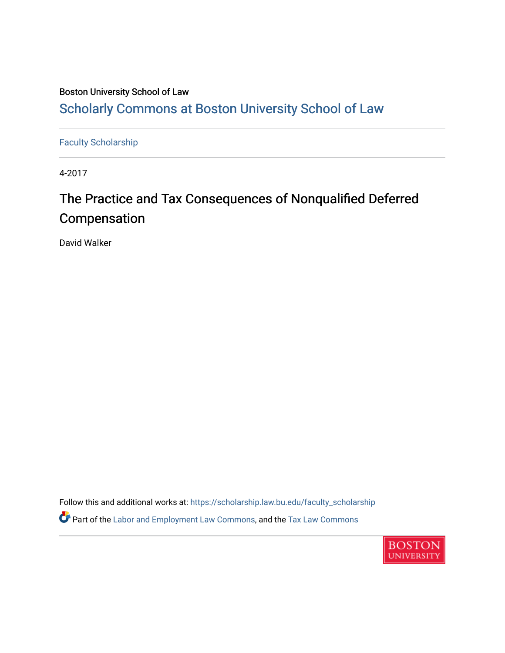# Boston University School of Law [Scholarly Commons at Boston University School of Law](https://scholarship.law.bu.edu/)

[Faculty Scholarship](https://scholarship.law.bu.edu/faculty_scholarship)

4-2017

# The Practice and Tax Consequences of Nonqualified Deferred Compensation

David Walker

Follow this and additional works at: [https://scholarship.law.bu.edu/faculty\\_scholarship](https://scholarship.law.bu.edu/faculty_scholarship?utm_source=scholarship.law.bu.edu%2Ffaculty_scholarship%2F806&utm_medium=PDF&utm_campaign=PDFCoverPages) Part of the [Labor and Employment Law Commons](http://network.bepress.com/hgg/discipline/909?utm_source=scholarship.law.bu.edu%2Ffaculty_scholarship%2F806&utm_medium=PDF&utm_campaign=PDFCoverPages), and the [Tax Law Commons](http://network.bepress.com/hgg/discipline/898?utm_source=scholarship.law.bu.edu%2Ffaculty_scholarship%2F806&utm_medium=PDF&utm_campaign=PDFCoverPages) 

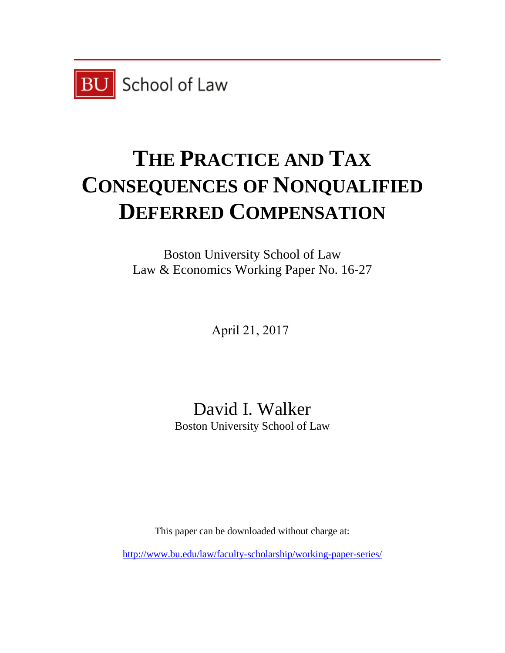

# **THE PRACTICE AND TAX CONSEQUENCES OF NONQUALIFIED DEFERRED COMPENSATION**

Boston University School of Law Law & Economics Working Paper No. 16-27

April 21, 2017

David I. Walker Boston University School of Law

This paper can be downloaded without charge at:

<http://www.bu.edu/law/faculty-scholarship/working-paper-series/>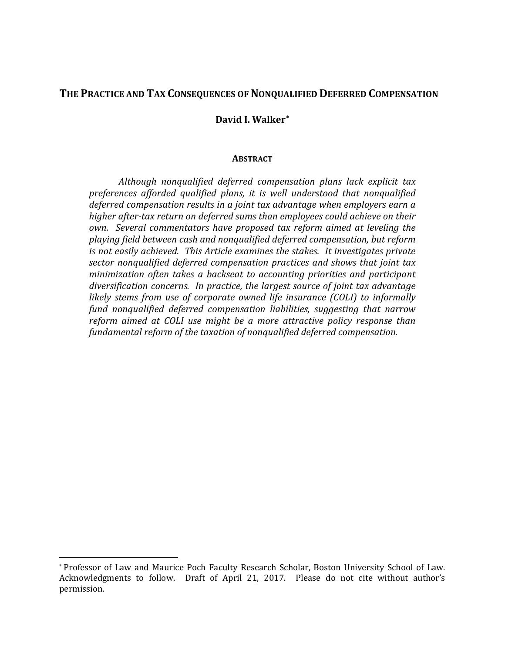# **THE PRACTICE AND TAX CONSEQUENCES OF NONQUALIFIED DEFERRED COMPENSATION**

#### **David I. Walker[\\*](#page-2-0)**

#### **ABSTRACT**

*Although nonqualified deferred compensation plans lack explicit tax preferences afforded qualified plans, it is well understood that nonqualified deferred compensation results in a joint tax advantage when employers earn a higher after-tax return on deferred sums than employees could achieve on their own. Several commentators have proposed tax reform aimed at leveling the playing field between cash and nonqualified deferred compensation, but reform is not easily achieved. This Article examines the stakes. It investigates private sector nonqualified deferred compensation practices and shows that joint tax minimization often takes a backseat to accounting priorities and participant diversification concerns. In practice, the largest source of joint tax advantage likely stems from use of corporate owned life insurance (COLI) to informally fund nonqualified deferred compensation liabilities, suggesting that narrow reform aimed at COLI use might be a more attractive policy response than fundamental reform of the taxation of nonqualified deferred compensation.*

<span id="page-2-0"></span> <sup>\*</sup> Professor of Law and Maurice Poch Faculty Research Scholar, Boston University School of Law. Acknowledgments to follow. Draft of April 21, 2017. Please do not cite without author's permission.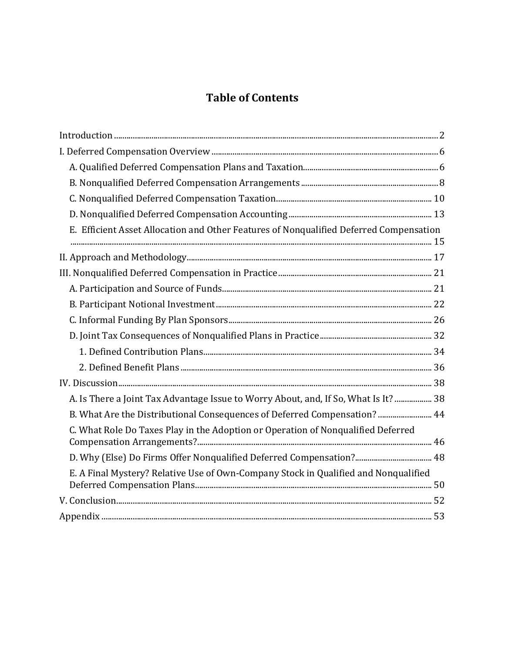# **Table of Contents**

| E. Efficient Asset Allocation and Other Features of Nonqualified Deferred Compensation |  |
|----------------------------------------------------------------------------------------|--|
|                                                                                        |  |
|                                                                                        |  |
|                                                                                        |  |
|                                                                                        |  |
|                                                                                        |  |
|                                                                                        |  |
|                                                                                        |  |
|                                                                                        |  |
|                                                                                        |  |
| A. Is There a Joint Tax Advantage Issue to Worry About, and, If So, What Is It?  38    |  |
| B. What Are the Distributional Consequences of Deferred Compensation?  44              |  |
| C. What Role Do Taxes Play in the Adoption or Operation of Nonqualified Deferred       |  |
| D. Why (Else) Do Firms Offer Nonqualified Deferred Compensation? 48                    |  |
| E. A Final Mystery? Relative Use of Own-Company Stock in Qualified and Nonqualified    |  |
|                                                                                        |  |
|                                                                                        |  |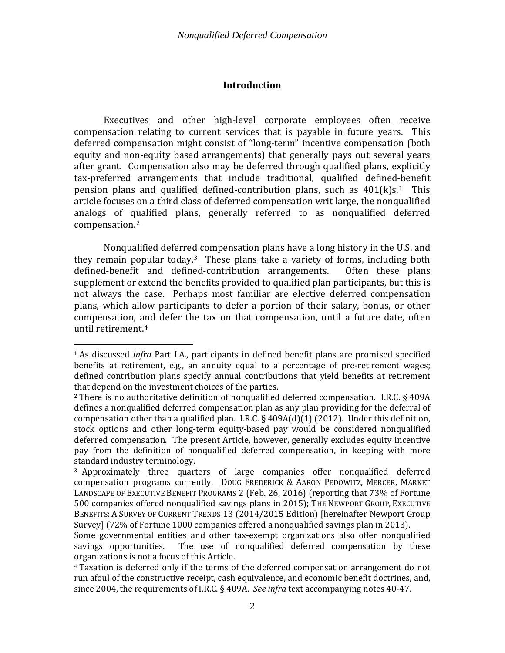#### **Introduction**

<span id="page-4-0"></span>Executives and other high-level corporate employees often receive compensation relating to current services that is payable in future years. This deferred compensation might consist of "long-term" incentive compensation (both equity and non-equity based arrangements) that generally pays out several years after grant. Compensation also may be deferred through qualified plans, explicitly tax-preferred arrangements that include traditional, qualified defined-benefit pension plans and qualified defined-contribution plans, such as  $401(k)s<sup>1</sup>$  $401(k)s<sup>1</sup>$  $401(k)s<sup>1</sup>$ . This article focuses on a third class of deferred compensation writ large, the nonqualified analogs of q[u](#page-4-2)alified plans, generally referred to as nonqualified deferred compensation. 2

Nonqualified deferred compensation plans have a long history in the U.S. and they remain popular today.<sup>3</sup> These plans take a variety of forms, including both defined-benefit and defined-contribution arrangements. Often these plans defined-benefit and defined-contribution arrangements. supplement or extend the benefits provided to qualified plan participants, but this is not always the case. Perhaps most familiar are elective deferred compensation plans, which allow participants to defer a portion of their salary, bonus, or other compensation, [an](#page-4-4)d defer the tax on that compensation, until a future date, often until retirement.4

<span id="page-4-1"></span> <sup>1</sup> As discussed *infra* Part I.A., participants in defined benefit plans are promised specified benefits at retirement, e.g., an annuity equal to a percentage of pre-retirement wages; defined contribution plans specify annual contributions that yield benefits at retirement that depend on the investment choices of the parties.

<span id="page-4-2"></span><sup>2</sup> There is no authoritative definition of nonqualified deferred compensation. I.R.C. § 409A defines a nonqualified deferred compensation plan as any plan providing for the deferral of compensation other than a qualified plan. I.R.C. § 409A(d)(1) (2012). Under this definition, stock options and other long-term equity-based pay would be considered nonqualified deferred compensation. The present Article, however, generally excludes equity incentive pay from the definition of nonqualified deferred compensation, in keeping with more standard industry terminology.

<span id="page-4-3"></span><sup>3</sup> Approximately three quarters of large companies offer nonqualified deferred compensation programs currently. DOUG FREDERICK & AARON PEDOWITZ, MERCER, MARKET LANDSCAPE OF EXECUTIVE BENEFIT PROGRAMS 2 (Feb. 26, 2016) (reporting that 73% of Fortune 500 companies offered nonqualified savings plans in 2015); THE NEWPORT GROUP, EXECUTIVE BENEFITS: A SURVEY OF CURRENT TRENDS 13 (2014/2015 Edition) [hereinafter Newport Group Survey] (72% of Fortune 1000 companies offered a nonqualified savings plan in 2013).

Some governmental entities and other tax-exempt organizations also offer nonqualified savings opportunities. The use of nonqualified deferred compensation by these The use of nonqualified deferred compensation by these organizations is not a focus of this Article.

<span id="page-4-4"></span><sup>4</sup> Taxation is deferred only if the terms of the deferred compensation arrangement do not run afoul of the constructive receipt, cash equivalence, and economic benefit doctrines, and, since 2004, the requirements of I.R.C. § 409A. *See infra* text accompanying notes [40](#page-12-1)[-47.](#page-13-0)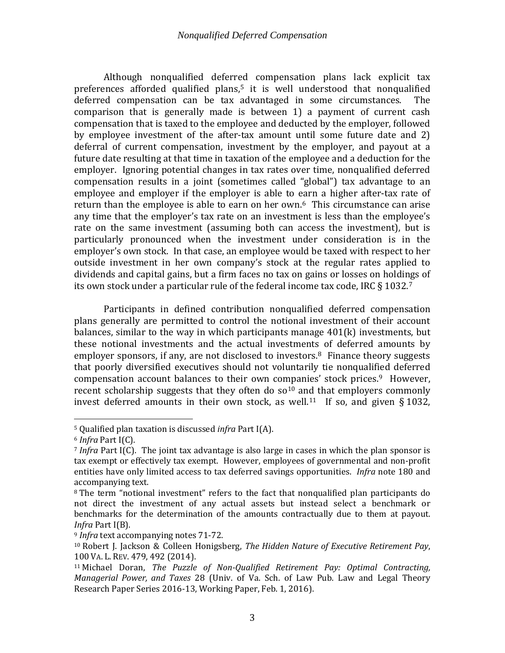Although nonqualified deferred compensation plans lack explicit tax preferences afforded qualified plans,<sup>[5](#page-5-0)</sup> it is well understood that nonqualified<br>deferred compensation can be tax advantaged in some circumstances. The deferred compensation can be tax advantaged in some circumstances. comparison that is generally made is between 1) a payment of current cash compensation that is taxed to the employee and deducted by the employer, followed by employee investment of the after-tax amount until some future date and 2) deferral of current compensation, investment by the employer, and payout at a future date resulting at that time in taxation of the employee and a deduction for the employer. Ignoring potential changes in tax rates over time, nonqualified deferred compensation results in a joint (sometimes called "global") tax advantage to an employee and employer if the employer is able to earn a higher after-tax rate of return than the employee is able to earn on her own.<sup>[6](#page-5-1)</sup> This circumstance can arise any time that the employer's tax rate on an investment is less than the employee's rate on the same investment (assuming both can access the investment), but is particularly pronounced when the investment under consideration is in the employer's own stock. In that case, an employee would be taxed with respect to her outside investment in her own company's stock at the regular rates applied to dividends and capital gains, but a firm faces no tax on gains or losses on holdi[ng](#page-5-2)s of its own stock under a particular rule of the federal income tax code, IRC  $\S 1032$ .<sup>7</sup>

Participants in defined contribution nonqualified deferred compensation plans generally are permitted to control the notional investment of their account balances, similar to the way in which participants manage  $401(k)$  investments, but these notional investments and the actual investments of deferred amounts by employer sponsors, if any, are not disclosed to investors.<sup>[8](#page-5-3)</sup> Finance theory suggests that poorly diversified executives should not voluntarily tie nonqualified deferred compensation account balances to their own companies' stock prices. [9](#page-5-4) However, recent scholarship suggests that they often do  $so<sup>10</sup>$  $so<sup>10</sup>$  $so<sup>10</sup>$  and that employers commonly invest deferred amounts in their own stock, as well.<sup>[11](#page-5-6)</sup> If so, and given § 1032,

<span id="page-5-7"></span><span id="page-5-0"></span> <sup>5</sup> Qualified plan taxation is discussed *infra* Part I(A).

<span id="page-5-1"></span><sup>6</sup> *Infra* Part I(C).

<span id="page-5-2"></span><sup>7</sup> *Infra* Part I(C). The joint tax advantage is also large in cases in which the plan sponsor is tax exempt or effectively tax exempt. However, employees of governmental and non-profit entities have only limited access to tax deferred savings opportunities. *Infra* note [180](#page-42-0) and accompanying text.

<span id="page-5-3"></span><sup>8</sup> The term "notional investment" refers to the fact that nonqualified plan participants do not direct the investment of any actual assets but instead select a benchmark or benchmarks for the determination of the amounts contractually due to them at payout. *Infra* Part I(B).

<span id="page-5-4"></span><sup>9</sup> *Infra* text accompanying note[s 71](#page-17-1)[-72.](#page-17-2)

<span id="page-5-5"></span><sup>10</sup> Robert J. Jackson & Colleen Honigsberg, *The Hidden Nature of Executive Retirement Pay*, 100 VA. L. REV. 479, 492 (2014).

<span id="page-5-6"></span><sup>11</sup> Michael Doran, *The Puzzle of Non-Qualified Retirement Pay: Optimal Contracting, Managerial Power, and Taxes* 28 (Univ. of Va. Sch. of Law Pub. Law and Legal Theory Research Paper Series 2016-13, Working Paper, Feb. 1, 2016).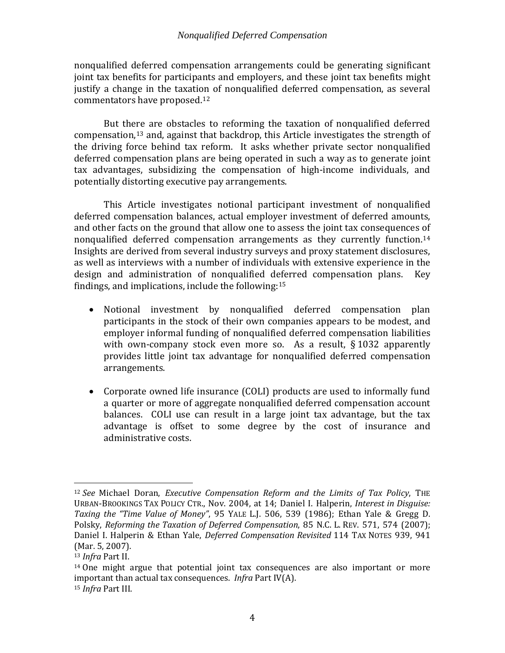nonqualified deferred compensation arrangements could be generating significant joint tax benefits for participants and employers, and these joint tax benefits might justify a change in the taxation of nonqualified deferred compensation, as several commentators have proposed.[12](#page-6-0) 

<span id="page-6-4"></span>But th[ere](#page-6-1) are obstacles to reforming the taxation of nonqualified deferred compensation, <sup>13</sup> and, against that backdrop, this Article investigates the strength of the driving force behind tax reform. It asks whether private sector nonqualified deferred compensation plans are being operated in such a way as to generate joint tax advantages, subsidizing the compensation of high-income individuals, and potentially distorting executive pay arrangements.

This Article investigates notional participant investment of nonqualified deferred compensation balances, actual employer investment of deferred amounts, and other facts on the ground that allow one to assess the joint tax consequences of nonqualified deferred compensation arrangements as they currently function.<sup>[14](#page-6-2)</sup> Insights are derived from several industry surveys and proxy statement disclosures, as well as interviews with a number of individuals with extensive experience in the design and administration of nonqualified deferred compensation plans. Key findings, and implications, include the following:[15](#page-6-3)

- Notional investment by nonqualified deferred compensation plan participants in the stock of their own companies appears to be modest, and employer informal funding of nonqualified deferred compensation liabilities with own-company stock even more so. As a result, §1032 apparently provides little joint tax advantage for nonqualified deferred compensation arrangements.
- Corporate owned life insurance (COLI) products are used to informally fund a quarter or more of aggregate nonqualified deferred compensation account balances. COLI use can result in a large joint tax advantage, but the tax advantage is offset to some degree by the cost of insurance and administrative costs.

<span id="page-6-0"></span> <sup>12</sup> *See* Michael Doran, *Executive Compensation Reform and the Limits of Tax Policy*, THE URBAN-BROOKINGS TAX POLICY CTR., Nov. 2004, at 14; Daniel I. Halperin, *Interest in Disguise: Taxing the "Time Value of Money"*, 95 YALE L.J. 506, 539 (1986); Ethan Yale & Gregg D. Polsky, *Reforming the Taxation of Deferred Compensation*, 85 N.C. L. REV. 571, 574 (2007); Daniel I. Halperin & Ethan Yale, *Deferred Compensation Revisited* 114 TAX NOTES 939, 941 (Mar. 5, 2007).

<span id="page-6-1"></span><sup>13</sup> *Infra* Part II.

<span id="page-6-3"></span><span id="page-6-2"></span><sup>14</sup> One might argue that potential joint tax consequences are also important or more important than actual tax consequences. *Infra* Part IV(A). <sup>15</sup> *Infra* Part III.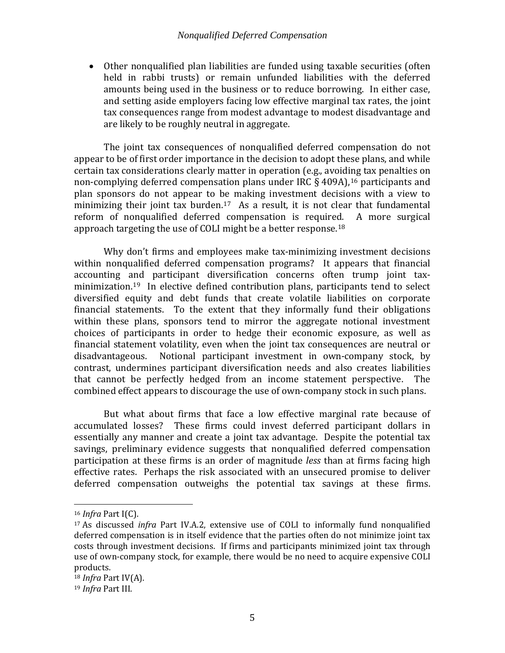• Other nonqualified plan liabilities are funded using taxable securities (often held in rabbi trusts) or remain unfunded liabilities with the deferred amounts being used in the business or to reduce borrowing. In either case, and setting aside employers facing low effective marginal tax rates, the joint tax consequences range from modest advantage to modest disadvantage and are likely to be roughly neutral in aggregate.

The joint tax consequences of nonqualified deferred compensation do not appear to be of first order importance in the decision to adopt these plans, and while certain tax considerations clearly matter in operation (e.g., avoiding tax penalties on non-complying deferred compensation plans under IRC  $\S$  409A), <sup>[16](#page-7-0)</sup> participants and plan sponsors do not appear to be making investment decisions with a view to minimizing their joint tax burden. [17](#page-7-1) As a result, it is not clear that fundamental reform of nonqualified deferred compensation is required. A more surgical approach targeting the use of COLI might be a better response.[18](#page-7-2) 

Why don't firms and employees make tax-minimizing investment decisions within nonqualified deferred compensation programs? It appears that financial accounting and participant diversification concerns often trump joint taxminimization.[19](#page-7-3) In elective defined contribution plans, participants tend to select diversified equity and debt funds that create volatile liabilities on corporate financial statements. To the extent that they informally fund their obligations within these plans, sponsors tend to mirror the aggregate notional investment choices of participants in order to hedge their economic exposure, as well as financial statement volatility, even when the joint tax consequences are neutral or disadvantageous. Notional participant investment in own-company stock, by contrast, undermines participant diversification needs and also creates liabilities that cannot be perfectly hedged from an income statement perspective. The combined effect appears to discourage the use of own-company stock in such plans.

But what about firms that face a low effective marginal rate because of accumulated losses? These firms could invest deferred participant dollars in essentially any manner and create a joint tax advantage. Despite the potential tax savings, preliminary evidence suggests that nonqualified deferred compensation participation at these firms is an order of magnitude *less* than at firms facing high effective rates. Perhaps the risk associated with an unsecured promise to deliver deferred compensation outweighs the potential tax savings at these firms.

<span id="page-7-0"></span> <sup>16</sup> *Infra* Part I(C).

<span id="page-7-1"></span><sup>17</sup> As discussed *infra* Part IV.A.2, extensive use of COLI to informally fund nonqualified deferred compensation is in itself evidence that the parties often do not minimize joint tax costs through investment decisions. If firms and participants minimized joint tax through use of own-company stock, for example, there would be no need to acquire expensive COLI products.

<span id="page-7-2"></span><sup>18</sup> *Infra* Part IV(A).

<span id="page-7-3"></span><sup>19</sup> *Infra* Part III.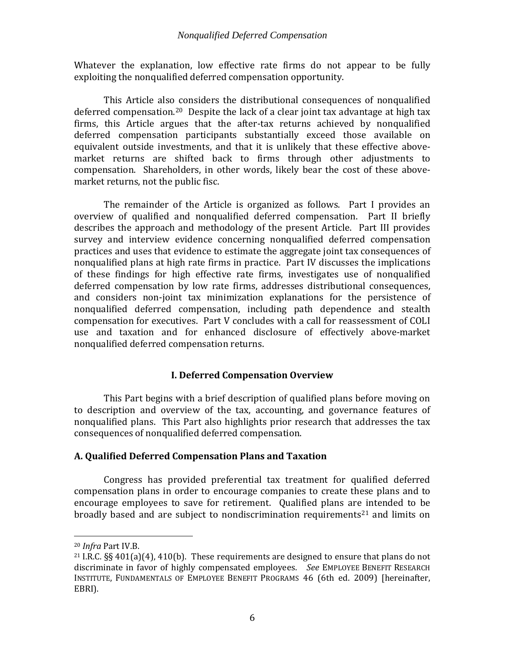Whatever the explanation, low effective rate firms do not appear to be fully exploiting the nonqualified deferred compensation opportunity.

This Article also considers the distributional consequences of nonqualified deferred compensation.[20](#page-8-2) Despite the lack of a clear joint tax advantage at high tax firms, this Article argues that the after-tax returns achieved by nonqualified deferred compensation participants substantially exceed those available on equivalent outside investments, and that it is unlikely that these effective abovemarket returns are shifted back to firms through other adjustments to compensation. Shareholders, in other words, likely bear the cost of these abovemarket returns, not the public fisc.

The remainder of the Article is organized as follows. Part I provides an overview of qualified and nonqualified deferred compensation. Part II briefly describes the approach and methodology of the present Article. Part III provides survey and interview evidence concerning nonqualified deferred compensation practices and uses that evidence to estimate the aggregate joint tax consequences of nonqualified plans at high rate firms in practice. Part IV discusses the implications of these findings for high effective rate firms, investigates use of nonqualified deferred compensation by low rate firms, addresses distributional consequences, and considers non-joint tax minimization explanations for the persistence of nonqualified deferred compensation, including path dependence and stealth compensation for executives. Part V concludes with a call for reassessment of COLI use and taxation and for enhanced disclosure of effectively above-market nonqualified deferred compensation returns.

# <span id="page-8-4"></span>**I. Deferred Compensation Overview**

<span id="page-8-0"></span>This Part begins with a brief description of qualified plans before moving on to description and overview of the tax, accounting, and governance features of nonqualified plans. This Part also highlights prior research that addresses the tax consequences of nonqualified deferred compensation.

#### <span id="page-8-1"></span>**A. Qualified Deferred Compensation Plans and Taxation**

Congress has provided preferential tax treatment for qualified deferred compensation plans in order to encourage companies to create these plans and to encourage employees to save for retirement. Qualified plans are intended to be broadly based and are subject to nondiscrimination requirements<sup>[21](#page-8-3)</sup> and limits on

<span id="page-8-2"></span> <sup>20</sup> *Infra* Part IV.B.

<span id="page-8-3"></span><sup>&</sup>lt;sup>21</sup> I.R.C.  $\S$ § 401(a)(4), 410(b). These requirements are designed to ensure that plans do not discriminate in favor of highly compensated employees. *See* EMPLOYEE BENEFIT RESEARCH INSTITUTE, FUNDAMENTALS OF EMPLOYEE BENEFIT PROGRAMS 46 (6th ed. 2009) [hereinafter, EBRI).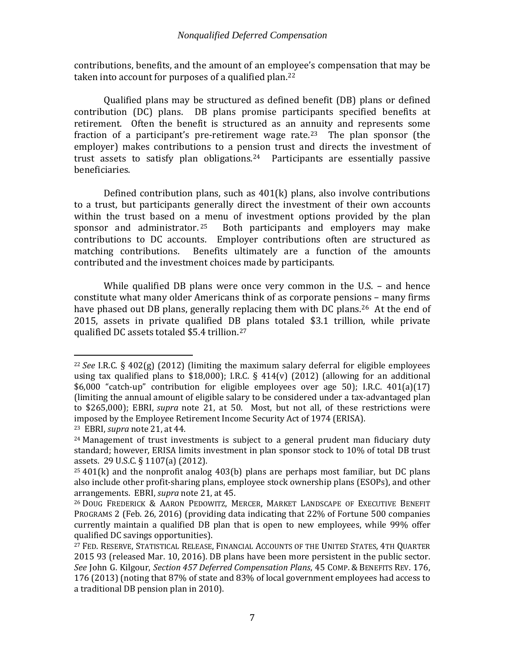contributions, benefits, and the amount of an employee's compensation that may be taken into account for purposes of a qualified plan.<sup>22</sup>

Qualified plans may be structured as defined benefit (DB) plans or defined contribution (DC) plans. DB plans promise participants specified benefits at retirement. Often the benefit is structured as an annuity and represents some fraction of a participant's pre-retirement wage rate.<sup>23</sup> The plan sponsor (the employer) makes contributions to a pension trust and directs the investment of trust assets to satisfy plan obligations.[24](#page-9-2) Participants are essentially passive beneficiaries.

Defined contribution plans, such as 401(k) plans, also involve contributions to a trust, but participants generally direct the investment of their own accounts within the trust based on a menu of investment options provided by the plan sponsor and administrator.<sup>25</sup> Both participants and employers may make Both participants and employers may make contributions to DC accounts. Employer contributions often are structured as Benefits ultimately are a function of the amounts contributed and the investment choices made by participants.

<span id="page-9-6"></span>While qualified DB plans were once very common in the U.S. – and hence constitute what many older Americans think of as corporate pensions – many firms have phased out DB plans, generally replacing them with DC plans.<sup>26</sup> At the end of 2015, assets in private qualified DB plans totaled \$3.1 trillion, while private qualified DC assets totaled \$5.4 trillion.[27](#page-9-5)

<span id="page-9-7"></span><span id="page-9-0"></span> <sup>22</sup> *See* I.R.C. § 402(g) (2012) (limiting the maximum salary deferral for eligible employees using tax qualified plans to \$18,000); I.R.C.  $\S$  414(v) (2012) (allowing for an additional \$6,000 "catch-up" contribution for eligible employees over age 50); I.R.C. 401(a)(17) (limiting the annual amount of eligible salary to be considered under a tax-advantaged plan to \$265,000); EBRI, *supra* note [21,](#page-8-4) at 50. Most, but not all, of these restrictions were imposed by the Employee Retirement Income Security Act of 1974 (ERISA).

<span id="page-9-1"></span><sup>23</sup> EBRI, *supra* note [21,](#page-8-4) at 44.

<span id="page-9-2"></span> $24$  Management of trust investments is subject to a general prudent man fiduciary duty standard; however, ERISA limits investment in plan sponsor stock to 10% of total DB trust assets. 29 U.S.C. § 1107(a) (2012).

<span id="page-9-3"></span> $25401(k)$  and the nonprofit analog 403(b) plans are perhaps most familiar, but DC plans also include other profit-sharing plans, employee stock ownership plans (ESOPs), and other arrangements. EBRI, *supra* note [21,](#page-8-4) at 45.

<span id="page-9-4"></span><sup>26</sup> DOUG FREDERICK & AARON PEDOWITZ, MERCER, MARKET LANDSCAPE OF EXECUTIVE BENEFIT PROGRAMS 2 (Feb. 26, 2016) (providing data indicating that 22% of Fortune 500 companies currently maintain a qualified DB plan that is open to new employees, while 99% offer qualified DC savings opportunities).

<span id="page-9-5"></span><sup>27</sup> FED. RESERVE, STATISTICAL RELEASE, FINANCIAL ACCOUNTS OF THE UNITED STATES, 4TH QUARTER 2015 93 (released Mar. 10, 2016). DB plans have been more persistent in the public sector. *See* John G. Kilgour, *Section 457 Deferred Compensation Plans*, 45 COMP. & BENEFITS REV. 176, 176 (2013) (noting that 87% of state and 83% of local government employees had access to a traditional DB pension plan in 2010).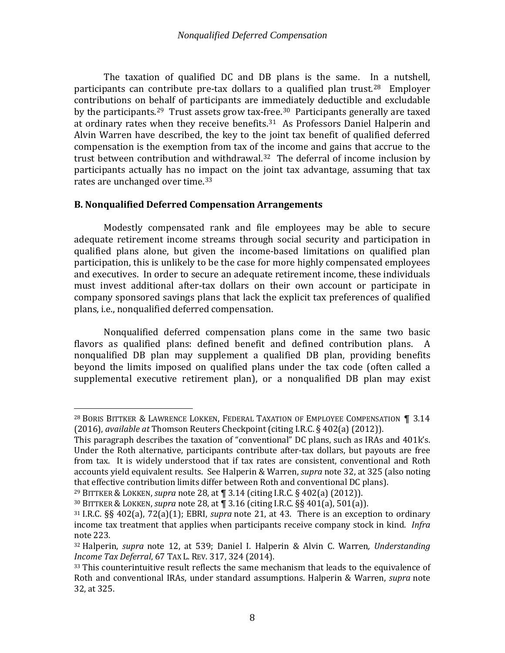<span id="page-10-2"></span>The taxation of qualified DC and DB plans is the same. In a nutshell, participants can contribute pre-tax dollars to a qualified plan trust. [28](#page-10-3) Employer contributions on behalf of participants are immediately deductible and excludable by the participants.<sup>[29](#page-10-4)</sup> Trust assets grow tax-f[ree](#page-10-6).<sup>[30](#page-10-5)</sup> Participants generally are taxed at ordinary rates when they receive benefits.31 As Professors Daniel Halperin and Alvin Warren have described, the key to the joint tax benefit of qualified deferred compensation is the exemption from tax of the income and gains that accrue to the trust between contribution and withdrawal.<sup>32</sup> The deferral of income inclusion by participants actually has no impact on the joint tax advantage, assuming that tax rates are unchanged over time.<sup>[33](#page-10-8)</sup>

# <span id="page-10-1"></span><span id="page-10-0"></span>**B. Nonqualified Deferred Compensation Arrangements**

Modestly compensated rank and file employees may be able to secure adequate retirement income streams through social security and participation in qualified plans alone, but given the income-based limitations on qualified plan participation, this is unlikely to be the case for more highly compensated employees and executives. In order to secure an adequate retirement income, these individuals must invest additional after-tax dollars on their own account or participate in company sponsored savings plans that lack the explicit tax preferences of qualified plans, i.e., nonqualified deferred compensation.

Nonqualified deferred compensation plans come in the same two basic flavors as qualified plans: defined benefit and defined contribution plans. A nonqualified DB plan may supplement a qualified DB plan, providing benefits beyond the limits imposed on qualified plans under the tax code (often called a supplemental executive retirement plan), or a nonqualified DB plan may exist

<span id="page-10-3"></span> <sup>28</sup> BORIS BITTKER & LAWRENCE LOKKEN, FEDERAL TAXATION OF EMPLOYEE COMPENSATION **¶** 3.14 (2016), *available at* Thomson Reuters Checkpoint (citing I.R.C. § 402(a) (2012)).

This paragraph describes the taxation of "conventional" DC plans, such as IRAs and 401k's. Under the Roth alternative, participants contribute after-tax dollars, but payouts are free from tax. It is widely understood that if tax rates are consistent, conventional and Roth accounts yield equivalent results. See Halperin & Warren, *supra* not[e 32,](#page-10-1) at 325 (also noting that effective contribution limits differ between Roth and conventional DC plans).

<span id="page-10-4"></span><sup>29</sup> BITTKER & LOKKEN, *supra* not[e 28,](#page-10-2) at **¶** 3.14 (citing I.R.C. § 402(a) (2012)).

<span id="page-10-5"></span><sup>30</sup> BITTKER & LOKKEN, *supra* not[e 28,](#page-10-2) at **¶** 3.16 (citing I.R.C. §§ 401(a), 501(a)).

<span id="page-10-6"></span><sup>31</sup> I.R.C. §§ 402(a), 72(a)(1); EBRI, *supra* note [21,](#page-8-4) at 43. There is an exception to ordinary income tax treatment that applies when participants receive company stock in kind. *Infra* not[e 223.](#page-54-1)

<span id="page-10-7"></span><sup>32</sup> Halperin, *supra* note [12,](#page-6-4) at 539; Daniel I. Halperin & Alvin C. Warren*, Understanding Income Tax Deferral*, 67 TAX L. REV. 317, 324 (2014).

<span id="page-10-8"></span><sup>&</sup>lt;sup>33</sup> This counterintuitive result reflects the same mechanism that leads to the equivalence of Roth and conventional IRAs, under standard assumptions. Halperin & Warren, *supra* note [32,](#page-10-1) at 325.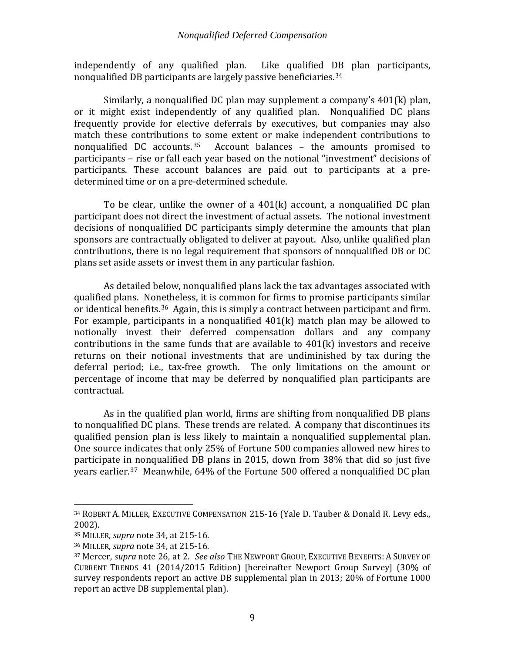<span id="page-11-0"></span>independently of any qualified plan. Like qualified DB plan participants, nonqualified DB participants are largely passive beneficiaries.[34](#page-11-1)

Similarly, a nonqualified DC plan may supplement a company's 401(k) plan, or it might exist independently of any qualified plan. Nonqualified DC plans frequently provide for elective deferrals by executives, but companies may also match these contributions [to](#page-11-2) some extent or make independent contributions to nonqualified  $DC$  accounts.<sup>35</sup> Account balances – the amounts promised to Account balances – the amounts promised to participants – rise or fall each year based on the notional "investment" decisions of participants. These account balances are paid out to participants at a predetermined time or on a pre-determined schedule.

To be clear, unlike the owner of a 401(k) account, a nonqualified DC plan participant does not direct the investment of actual assets. The notional investment decisions of nonqualified DC participants simply determine the amounts that plan sponsors are contractually obligated to deliver at payout. Also, unlike qualified plan contributions, there is no legal requirement that sponsors of nonqualified DB or DC plans set aside assets or invest them in any particular fashion.

As detailed below, nonqualified plans lack the tax advantages associated with qualified plans. Nonetheless, it is common for firms to promise participants similar or identical benefits.[36](#page-11-3) Again, this is simply a contract between participant and firm. For example, participants in a nonqualified 401(k) match plan may be allowed to notionally invest their deferred compensation dollars and any company contributions in the same funds that are available to 401(k) investors and receive returns on their notional investments that are undiminished by tax during the deferral period; i.e., tax-free growth. The only limitations on the amount or percentage of income that may be deferred by nonqualified plan participants are contractual.

As in the qualified plan world, firms are shifting from nonqualified DB plans to nonqualified DC plans. These trends are related. A company that discontinues its qualified pension plan is less likely to maintain a nonqualified supplemental plan. One source indicates that only 25% of Fortune 500 companies allowed new hires to participate in nonqualified DB plans in 2015, down from 38% that did so just five years earlier.[37](#page-11-4) Meanwhile, 64% of the Fortune 500 offered a nonqualified DC plan

<span id="page-11-5"></span><span id="page-11-1"></span> <sup>34</sup> ROBERT A. MILLER, EXECUTIVE COMPENSATION 215-16 (Yale D. Tauber & Donald R. Levy eds., 2002).

<span id="page-11-2"></span><sup>35</sup> MILLER, *supra* note [34,](#page-11-0) at 215-16.

<span id="page-11-3"></span><sup>36</sup> MILLER, *supra* note [34,](#page-11-0) at 215-16.

<span id="page-11-4"></span><sup>37</sup> Mercer, *supra* note [26,](#page-9-6) at 2. *See also* THE NEWPORT GROUP, EXECUTIVE BENEFITS: A SURVEY OF CURRENT TRENDS 41 (2014/2015 Edition) [hereinafter Newport Group Survey] (30% of survey respondents report an active DB supplemental plan in 2013; 20% of Fortune 1000 report an active DB supplemental plan).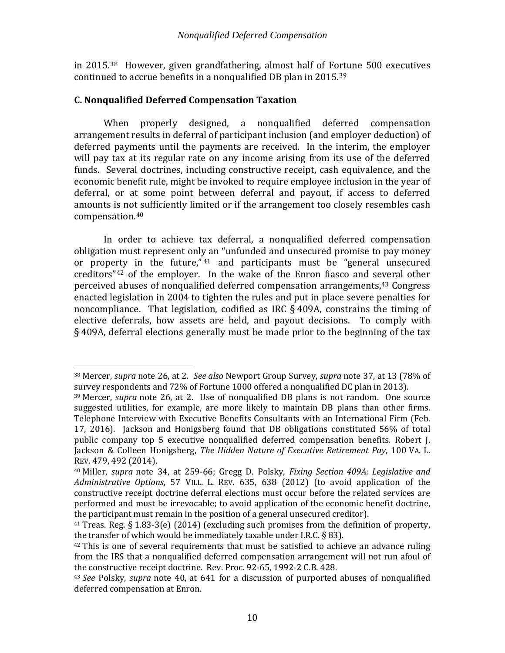<span id="page-12-8"></span>in 2015.[38](#page-12-2) However, given grandfathering, almost half of Fo[rtu](#page-12-3)ne 500 executives continued to accrue benefits in a nonqualified DB plan in 2015.39

# <span id="page-12-0"></span>**C. Nonqualified Deferred Compensation Taxation**

When properly designed, a nonqualified deferred compensation arrangement results in deferral of participant inclusion (and employer deduction) of deferred payments until the payments are received. In the interim, the employer will pay tax at its regular rate on any income arising from its use of the deferred funds. Several doctrines, including constructive receipt, cash equivalence, and the economic benefit rule, might be invoked to require employee inclusion in the year of deferral, or at some point between deferral and payout, if access to deferred amounts is not sufficiently limited or if the arrangement too closely resembles cash compensation.[40](#page-12-4)

<span id="page-12-1"></span>In order to achieve tax deferral, a nonqualified deferred compensation obligation must represent only an "unfunded and unsecured promise to pay money or property in the future,"<sup>41</sup> and participants must be "general unsecured creditors"[42](#page-12-6) of the employer. [I](#page-12-5)n the wake of the Enron fiasco and several other perceived abuses of nonqualified deferred compensation arrangements,<sup>[43](#page-12-7)</sup> Congress enacted legislation in 2004 to tighten the rules and put in place severe penalties for noncompliance. That legislation, codified as IRC § 409A, constrains the timing of elective deferrals, how assets are held, and payout decisions. To comply with § 409A, deferral elections generally must be made prior to the beginning of the tax

<span id="page-12-2"></span> <sup>38</sup> Mercer, *supra* note [26,](#page-9-6) at 2. *See also* Newport Group Survey, *supra* not[e 37,](#page-11-5) at 13 (78% of survey respondents and 72% of Fortune 1000 offered a nonqualified DC plan in 2013).

<span id="page-12-3"></span><sup>39</sup> Mercer, *supra* note [26,](#page-9-6) at 2. Use of nonqualified DB plans is not random. One source suggested utilities, for example, are more likely to maintain DB plans than other firms. Telephone Interview with Executive Benefits Consultants with an International Firm (Feb. 17, 2016). Jackson and Honigsberg found that DB obligations constituted 56% of total public company top 5 executive nonqualified deferred compensation benefits. Robert J. Jackson & Colleen Honigsberg, *The Hidden Nature of Executive Retirement Pay*, 100 VA. L. REV. 479, 492 (2014).

<span id="page-12-4"></span><sup>40</sup> Miller, *supra* note [34,](#page-11-0) at 259-66; Gregg D. Polsky, *Fixing Section 409A: Legislative and Administrative Options*, 57 VILL. L. REV. 635, 638 (2012) (to avoid application of the constructive receipt doctrine deferral elections must occur before the related services are performed and must be irrevocable; to avoid application of the economic benefit doctrine, the participant must remain in the position of a general unsecured creditor).

<span id="page-12-5"></span><sup>&</sup>lt;sup>41</sup> Treas. Reg. § 1.83-3(e) (2014) (excluding such promises from the definition of property, the transfer of which would be immediately taxable under I.R.C.  $\S$  83).

<span id="page-12-6"></span> $42$  This is one of several requirements that must be satisfied to achieve an advance ruling from the IRS that a nonqualified deferred compensation arrangement will not run afoul of the constructive receipt doctrine. Rev. Proc. 92-65, 1992-2 C.B. 428.

<span id="page-12-7"></span><sup>43</sup> *See* Polsky, *supra* note [40,](#page-12-1) at 641 for a discussion of purported abuses of nonqualified deferred compensation at Enron.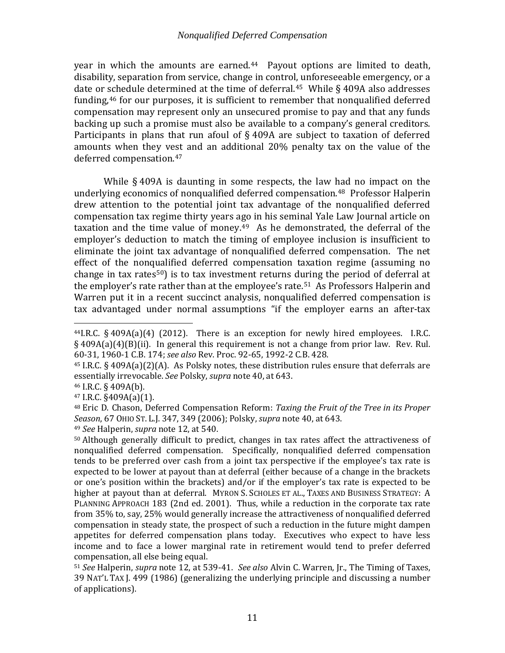year in which the amounts are earned.<sup>[44](#page-13-1)</sup> Payout options are limited to death, disability, separation from service, change in control, unforeseeable emergency, or a date or [sch](#page-13-3)edule determined at the time of deferral.<sup>45</sup> While § 409A also addresses funding,46 for our purposes, it is sufficient to remember that nonqualified deferred compensation may represent only an unsecured promise to pay and that any funds backing up such a promise must also be available to a company's general creditors. Participants in plans that run afoul of § 409A are subject to taxation of deferred amounts when they vest and an additional 20% penalty tax on the value of the deferred compensation.[47](#page-13-4)

<span id="page-13-0"></span>While § 409A is daunting in some respects, the law had no impact on the underlying economics of nonqualified deferred compensation.<sup>48</sup> Professor Halperin drew attention to the potential joint tax advantage of the nonqualified deferred compensation tax regime thirty years ago in his seminal Yale Law Journal article on taxation and the time value of money.[49](#page-13-6) As he demonstrated, the deferral of the employer's deduction to match the timing of employee inclusion is insufficient to eliminate the joint tax advantage of nonqualified deferred compensation. The net effect of the nonqualified deferred compensation taxation regime (assuming no change in tax rates<sup>50</sup>) is to tax investment returns d[uri](#page-13-8)ng the period of deferral at the employer's rate rather than at the employee's rate.<sup>51</sup> As Professors Halperin and Warren put it in a recent succinct analysis, nonqualified deferred compensation is tax advantaged under normal assumptions "if the employer earns an after-tax

<span id="page-13-3"></span><sup>46</sup> I.R.C. § 409A(b).

<span id="page-13-4"></span><sup>47</sup> I.R.C. §409A(a)(1).

<span id="page-13-9"></span><span id="page-13-1"></span> $44$ I.R.C. § 409A(a)(4) (2012). There is an exception for newly hired employees. I.R.C. § 409A(a)(4)(B)(ii). In general this requirement is not a change from prior law. Rev. Rul. 60-31, 1960-1 C.B. 174; *see also* Rev. Proc. 92-65, 1992-2 C.B. 428.

<span id="page-13-2"></span><sup>45</sup> I.R.C. § 409A(a)(2)(A). As Polsky notes, these distribution rules ensure that deferrals are essentially irrevocable. *See* Polsky, *supra* note [40,](#page-12-1) at 643.

<span id="page-13-5"></span><sup>48</sup> Eric D. Chason, Deferred Compensation Reform: *Taxing the Fruit of the Tree in its Proper Season*, 67 OHIO ST. L.J. 347, 349 (2006); Polsky, *supra* note [40,](#page-12-1) at 643.

<span id="page-13-6"></span><sup>49</sup> *See* Halperin, *supra* note [12,](#page-6-4) at 540.

<span id="page-13-7"></span><sup>50</sup> Although generally difficult to predict, changes in tax rates affect the attractiveness of nonqualified deferred compensation. Specifically, nonqualified deferred compensation tends to be preferred over cash from a joint tax perspective if the employee's tax rate is expected to be lower at payout than at deferral (either because of a change in the brackets or one's position within the brackets) and/or if the employer's tax rate is expected to be higher at payout than at deferral. MYRON S. SCHOLES ET AL., TAXES AND BUSINESS STRATEGY: A PLANNING APPROACH 183 (2nd ed. 2001). Thus, while a reduction in the corporate tax rate from 35% to, say, 25% would generally increase the attractiveness of nonqualified deferred compensation in steady state, the prospect of such a reduction in the future might dampen appetites for deferred compensation plans today. Executives who expect to have less income and to face a lower marginal rate in retirement would tend to prefer deferred compensation, all else being equal.

<span id="page-13-8"></span><sup>51</sup> *See* Halperin, *supra* note [12,](#page-6-4) at 539-41. *See also* Alvin C. Warren, Jr., The Timing of Taxes, 39 NAT'L TAX J. 499 (1986) (generalizing the underlying principle and discussing a number of applications).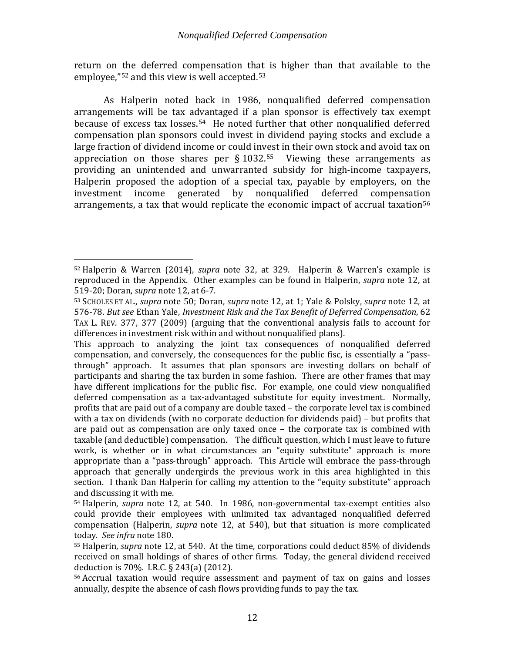return on the deferred compensation that is higher than that available to the employee,"[52](#page-14-0) and this view is well accepted.[53](#page-14-1)

<span id="page-14-5"></span>As Halperin noted back in 1986, nonqualified deferred compensation arrangements will be tax a[dva](#page-14-2)ntaged if a plan sponsor is effectively tax exempt because of excess tax losses. <sup>54</sup> He noted further that other nonqualified deferred compensation plan sponsors could invest in dividend paying stocks and exclude a large fraction of dividend income or could invest in their own stock and avoid tax on appreciation on those shares per  $\S$  1032.<sup>[55](#page-14-3)</sup> Viewing these arrangements as providing an unintended and unwarranted subsidy for high-income taxpayers, Halperin proposed the adoption of a special tax, payable by employers, on the investment income generated by nonqualified deferred compensation generated by nonqualified deferred compensation arrangements, a tax that would replicate the economic impact of accrual taxation<sup>[56](#page-14-4)</sup>

<span id="page-14-0"></span> <sup>52</sup> Halperin & Warren (2014), *supra* note [32,](#page-10-1) at 329. Halperin & Warren's example is reproduced in the Appendix. Other examples can be found in Halperin, *supra* note [12,](#page-6-4) at 519-20; Doran, *supra* note [12,](#page-6-4) at 6-7.

<span id="page-14-1"></span><sup>53</sup> SCHOLES ET AL., *supra* note [50;](#page-13-9) Doran, *supra* note [12,](#page-6-4) at 1; Yale & Polsky, *supra* note [12,](#page-6-4) at 576-78. *But see* Ethan Yale, *Investment Risk and the Tax Benefit of Deferred Compensation*, 62 TAX L. REV. 377, 377 (2009) (arguing that the conventional analysis fails to account for differences in investment risk within and without nonqualified plans).

This approach to analyzing the joint tax consequences of nonqualified deferred compensation, and conversely, the consequences for the public fisc, is essentially a "passthrough" approach. It assumes that plan sponsors are investing dollars on behalf of participants and sharing the tax burden in some fashion. There are other frames that may have different implications for the public fisc. For example, one could view nonqualified deferred compensation as a tax-advantaged substitute for equity investment. Normally, profits that are paid out of a company are double taxed – the corporate level tax is combined with a tax on dividends (with no corporate deduction for dividends paid) – but profits that are paid out as compensation are only taxed once – the corporate tax is combined with taxable (and deductible) compensation. The difficult question, which I must leave to future work, is whether or in what circumstances an "equity substitute" approach is more appropriate than a "pass-through" approach. This Article will embrace the pass-through approach that generally undergirds the previous work in this area highlighted in this section. I thank Dan Halperin for calling my attention to the "equity substitute" approach and discussing it with me.

<span id="page-14-2"></span><sup>54</sup> Halperin, *supra* note [12,](#page-6-4) at 540. In 1986, non-governmental tax-exempt entities also could provide their employees with unlimited tax advantaged nonqualified deferred compensation (Halperin, *supra* note [12,](#page-6-4) at 540), but that situation is more complicated today. *See infra* not[e 180.](#page-42-1)

<span id="page-14-3"></span><sup>55</sup> Halperin, *supra* note [12,](#page-6-4) at 540. At the time, corporations could deduct 85% of dividends received on small holdings of shares of other firms. Today, the general dividend received deduction is 70%. I.R.C. § 243(a) (2012).

<span id="page-14-4"></span><sup>56</sup> Accrual taxation would require assessment and payment of tax on gains and losses annually, despite the absence of cash flows providing funds to pay the tax.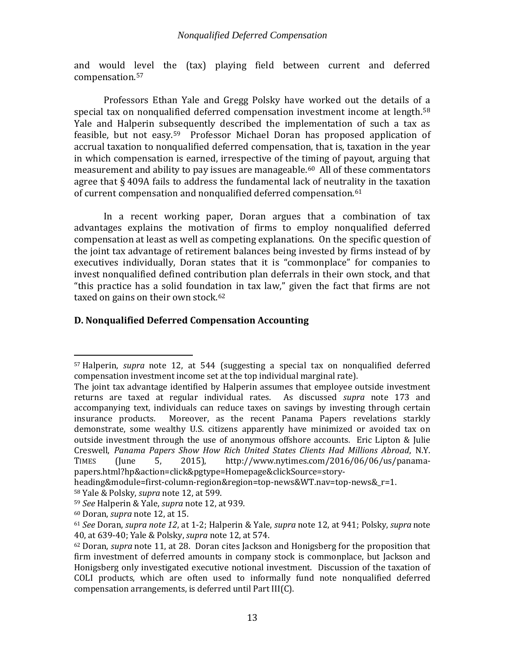and would level the (tax) playing field between current and deferred compensation.[57](#page-15-1)

Professors Ethan Yale and Gregg Polsky have worked out the details of a special tax on nonqualified deferred compensation investment income at length.<sup>[58](#page-15-2)</sup> Yale and Halperin subsequently described the implementation of such a tax as feasible, but not easy.<sup>[59](#page-15-3)</sup> Professor Michael Doran has proposed application of accrual taxation to nonqualified deferred compensation, that is, taxation in the year in which compensation is earned, irrespective of the timing of payout, arguing that measurement and ability to pay issues are manageable.<sup>[60](#page-15-4)</sup> All of these commentators agree that § 409A fails to address the fundamental lack of neutrality in the taxation of current compensation and nonqualified deferred compensation.<sup>[61](#page-15-5)</sup>

In a recent working paper, Doran argues that a combination of tax advantages explains the motivation of firms to employ nonqualified deferred compensation at least as well as competing explanations. On the specific question of the joint tax advantage of retirement balances being invested by firms instead of by executives individually, Doran states that it is "commonplace" for companies to invest nonqualified defined contribution plan deferrals in their own stock, and that "this practice has a solid foundation in tax law," given the fact that firms are not taxed on gains on their own stock.<sup>[62](#page-15-6)</sup>

# <span id="page-15-7"></span><span id="page-15-0"></span>**D. Nonqualified Deferred Compensation Accounting**

<span id="page-15-1"></span> <sup>57</sup> Halperin, *supra* note [12,](#page-6-4) at 544 (suggesting a special tax on nonqualified deferred compensation investment income set at the top individual marginal rate).

The joint tax advantage identified by Halperin assumes that employee outside investment returns are taxed at regular individual rates. As discussed *supra* note [173](#page-41-0) and accompanying text, individuals can reduce taxes on savings by investing through certain<br>insurance products. Moreover, as the recent Panama Papers revelations starkly Moreover, as the recent Panama Papers revelations starkly demonstrate, some wealthy U.S. citizens apparently have minimized or avoided tax on outside investment through the use of anonymous offshore accounts. Eric Lipton & Julie Creswell, *Panama Papers Show How Rich United States Clients Had Millions Abroad*, N.Y. http://www.nytimes.com/2016/06/06/us/panamapapers.html?hp&action=click&pgtype=Homepage&clickSource=story-

heading&module=first-column-region&region=top-news&WT.nav=top-news& r=1.

<span id="page-15-2"></span><sup>58</sup> Yale & Polsky, *supra* note [12,](#page-6-4) at 599.

<span id="page-15-3"></span><sup>59</sup> *See* Halperin & Yale, *supra* note [12,](#page-6-4) at 939.

<span id="page-15-4"></span><sup>60</sup> Doran, *supra* note [12,](#page-6-4) at 15.

<span id="page-15-5"></span><sup>61</sup> *See* Doran, *supra not[e 12](#page-6-4)*, at 1-2; Halperin & Yale, *supra* not[e 12,](#page-6-4) at 941; Polsky, *supra* note [40,](#page-12-1) at 639-40; Yale & Polsky, *supra* note [12,](#page-6-4) at 574.

<span id="page-15-6"></span><sup>62</sup> Doran, *supra* note [11,](#page-5-7) at 28. Doran cites Jackson and Honigsberg for the proposition that firm investment of deferred amounts in company stock is commonplace, but Jackson and Honigsberg only investigated executive notional investment. Discussion of the taxation of COLI products, which are often used to informally fund note nonqualified deferred compensation arrangements, is deferred until Part III(C).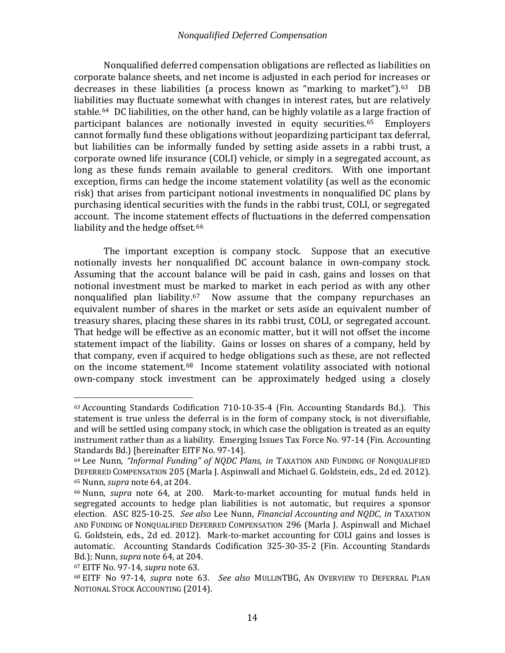<span id="page-16-1"></span><span id="page-16-0"></span>Nonqualified deferred compensation obligations are reflected as liabilities on corporate balance sheets, and net income is adjusted in each period for increases or decreases in these liabilities (a process known as "marking to market").<sup>[63](#page-16-2)</sup> DB liabilities may fluctuate somewhat with changes in interest rates, but are relatively stable.[64](#page-16-3) DC liabilities, on the other hand, can be highly volatile as a large fraction of participant balances are notionally invested in equity securities.[65](#page-16-4) Employers cannot formally fund these obligations without jeopardizing participant tax deferral, but liabilities can be informally funded by setting aside assets in a rabbi trust, a corporate owned life insurance (COLI) vehicle, or simply in a segregated account, as long as these funds remain available to general creditors. With one important exception, firms can hedge the income statement volatility (as well as the economic risk) that arises from participant notional investments in nonqualified DC plans by purchasing identical securities with the funds in the rabbi trust, COLI, or segregated account. The income statement effects of fluctuations in the deferred compensation liability and the hedge offset.<sup>[66](#page-16-5)</sup>

<span id="page-16-8"></span>The important exception is company stock. Suppose that an executive notionally invests her nonqualified DC account balance in own-company stock. Assuming that the account balance will be paid in cash, gains and losses on that notional investment must be marked to market in each period as with any other nonqualified plan liability.[67](#page-16-6) Now assume that the company repurchases an equivalent number of shares in the market or sets aside an equivalent number of treasury shares, placing these shares in its rabbi trust, COLI, or segregated account. That hedge will be effective as an economic matter, but it will not offset the income statement impact of the liability. Gains or losses on shares of a company, held by that company, even if acquired to hedge obligations such as these, are not reflected on the income statement. [68](#page-16-7) Income statement volatility associated with notional own-company stock investment can be approximately hedged using a closely

<span id="page-16-2"></span> <sup>63</sup> Accounting Standards Codification 710-10-35-4 (Fin. Accounting Standards Bd.). This statement is true unless the deferral is in the form of company stock, is not diversifiable, and will be settled using company stock, in which case the obligation is treated as an equity instrument rather than as a liability. Emerging Issues Tax Force No. 97-14 (Fin. Accounting Standards Bd.) [hereinafter EITF No. 97-14].

<span id="page-16-3"></span><sup>64</sup> Lee Nunn, *"Informal Funding" of NQDC Plans*, *in* TAXATION AND FUNDING OF NONQUALIFIED DEFERRED COMPENSATION 205 (Marla J. Aspinwall and Michael G. Goldstein, eds., 2d ed. 2012). <sup>65</sup> Nunn, *supra* not[e 64,](#page-16-0) at 204.

<span id="page-16-5"></span><span id="page-16-4"></span><sup>66</sup> Nunn, *supra* note [64,](#page-16-0) at 200. Mark-to-market accounting for mutual funds held in segregated accounts to hedge plan liabilities is not automatic, but requires a sponsor election. ASC 825-10-25. *See also* Lee Nunn, *Financial Accounting and NQDC*, *in* TAXATION AND FUNDING OF NONQUALIFIED DEFERRED COMPENSATION 296 (Marla J. Aspinwall and Michael G. Goldstein, eds., 2d ed. 2012). Mark-to-market accounting for COLI gains and losses is automatic. Accounting Standards Codification 325-30-35-2 (Fin. Accounting Standards Bd.); Nunn, *supra* note [64,](#page-16-0) at 204.

<span id="page-16-6"></span>

<span id="page-16-7"></span><sup>67</sup> EITF No. 97-14, *supra* not[e 63.](#page-16-1) 68 EITF No 97-14, *supra* note [63.](#page-16-1) *See also* MULLINTBG, AN OVERVIEW TO DEFERRAL PLAN NOTIONAL STOCK ACCOUNTING (2014).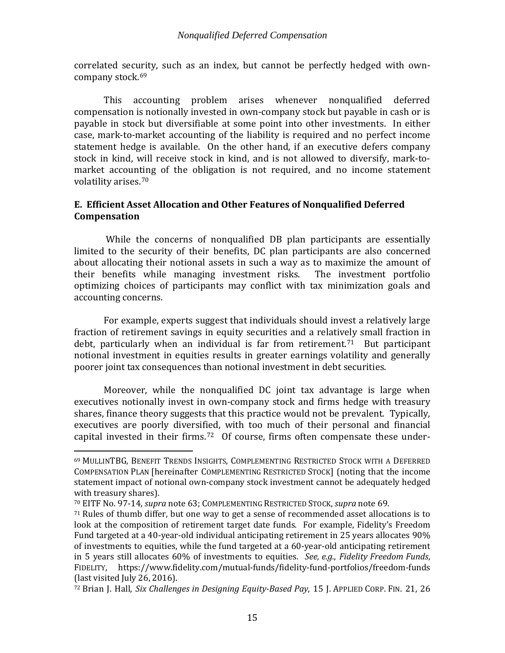<span id="page-17-3"></span>correlated security, such as an index, but cannot be perfectly hedged with own-company stock.<sup>[69](#page-17-4)</sup>

This accounting problem arises whenever nonqualified deferred compensation is notionally invested in own-company stock but payable in cash or is payable in stock but diversifiable at some point into other investments. In either case, mark-to-market accounting of the liability is required and no perfect income statement hedge is available. On the other hand, if an executive defers company stock in kind, will receive stock in kind, and is not allowed to diversify, mark-tomarket accounting of the obligation is not required, and no income statement volatility arises.[70](#page-17-5)

# <span id="page-17-0"></span>**E. Efficient Asset Allocation and Other Features of Nonqualified Deferred Compensation**

While the concerns of nonqualified DB plan participants are essentially limited to the security of their benefits, DC plan participants are also concerned about allocating their notional assets in such a way as to maximize the amount of their benefits while managing investment risks. The investment portfolio their benefits while managing investment risks. optimizing choices of participants may conflict with tax minimization goals and accounting concerns.

<span id="page-17-1"></span>For example, experts suggest that individuals should invest a relatively large fraction of retirement savings in equity securities and a relatively small fraction in debt, particularly when an individual is far from retirement. [71](#page-17-6) But participant notional investment in equities results in greater earnings volatility and generally poorer joint tax consequences than notional investment in debt securities.

Moreover, while the nonqualified DC joint tax advantage is large when executives notionally invest in own-company stock and firms hedge with treasury shares, finance theory suggests that this practice would not be prevalent. Typically, executives are poorly diversified, with too much of their personal and financial capital invested in their firms.<sup>72</sup> Of course, firms often compensate these under-

<span id="page-17-4"></span><span id="page-17-2"></span> <sup>69</sup> MULLINTBG, BENEFIT TRENDS INSIGHTS, COMPLEMENTING RESTRICTED STOCK WITH A DEFERRED COMPENSATION PLAN [hereinafter COMPLEMENTING RESTRICTED STOCK] (noting that the income statement impact of notional own-company stock investment cannot be adequately hedged with treasury shares).

<span id="page-17-5"></span><sup>70</sup> EITF No. 97-14, *supra* not[e 63;](#page-16-1) COMPLEMENTING RESTRICTED STOCK, *supra* note [69.](#page-17-3)

<span id="page-17-6"></span><sup>71</sup> Rules of thumb differ, but one way to get a sense of recommended asset allocations is to look at the composition of retirement target date funds. For example, Fidelity's Freedom Fund targeted at a 40-year-old individual anticipating retirement in 25 years allocates 90% of investments to equities, while the fund targeted at a 60-year-old anticipating retirement in 5 years still allocates 60% of investments to equities. *See, e.g.*, *Fidelity Freedom Funds*, FIDELITY, https://www.fidelity.com/mutual-funds/fidelity-fund-portfolios/freedom-funds (last visited July 26, 2016).

<span id="page-17-7"></span><sup>72</sup> Brian J. Hall, *Six Challenges in Designing Equity-Based Pay*, 15 J. APPLIED CORP. FIN. 21, 26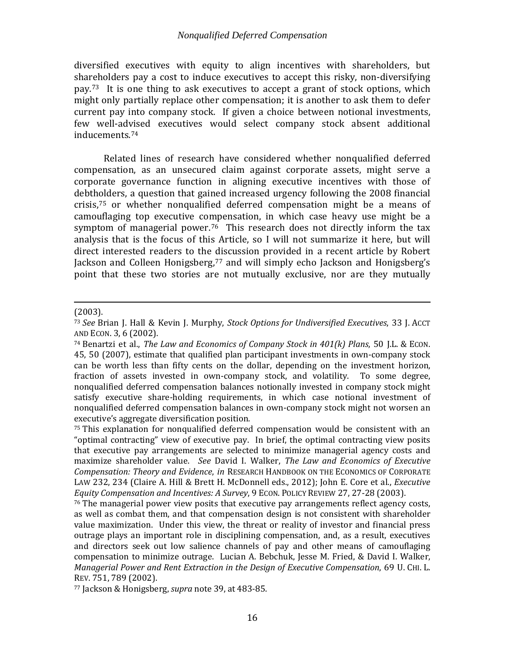diversified executives with equity to align incentives with shareholders, but shareholders pay a cost to induce executives to accept this risky, non-diversifying pay.[73](#page-18-0) It is one thing to ask executives to accept a grant of stock options, which might only partially replace other compensation; it is another to ask them to defer current pay into company stock. If given a choice between notional investments, few well-ad[vis](#page-18-1)ed executives would select company stock absent additional inducements. 74

<span id="page-18-7"></span><span id="page-18-6"></span><span id="page-18-5"></span>Related lines of research have considered whether nonqualified deferred compensation, as an unsecured claim against corporate assets, might serve a corporate governance function in aligning executive incentives with those of debtholders, a question that gained increased urgency following the 2008 financial crisis,[75](#page-18-2) or whether nonqualified deferred compensation might be a means of camouflaging top executive compensation, in which case heavy use might be a symptom of managerial power.<sup>76</sup> This research does not directly inform the tax analysis that is the focus of this Article, so I will not summarize it here, but will direct interested readers to the discussion provided in a recent article by Robert Jackson and Colleen Honigsberg,<sup>[77](#page-18-4)</sup> and will simply echo Jackson and Honigsberg's point that these two stories are not mutually exclusive, nor are they mutually

#### i<br>I (2003).

<span id="page-18-4"></span><sup>77</sup> Jackson & Honigsberg, *supra* note [39,](#page-12-8) at 483-85.

<span id="page-18-0"></span><sup>73</sup> *See* Brian J. Hall & Kevin J. Murphy, *Stock Options for Undiversified Executives*, 33 J. ACCT AND ECON. 3, 6 (2002).

<span id="page-18-1"></span><sup>74</sup> Benartzi et al., *The Law and Economics of Company Stock in 401(k) Plans*, 50 J.L. & ECON. 45, 50 (2007), estimate that qualified plan participant investments in own-company stock can be worth less than fifty cents on the dollar, depending on the investment horizon, fraction of assets invested in own-company stock, and volatility. To some degree, nonqualified deferred compensation balances notionally invested in company stock might satisfy executive share-holding requirements, in which case notional investment of nonqualified deferred compensation balances in own-company stock might not worsen an executive's aggregate diversification position.

<span id="page-18-2"></span><sup>75</sup> This explanation for nonqualified deferred compensation would be consistent with an "optimal contracting" view of executive pay. In brief, the optimal contracting view posits that executive pay arrangements are selected to minimize managerial agency costs and maximize shareholder value. *See* David I. Walker, *The Law and Economics of Executive Compensation: Theory and Evidence*, *in* RESEARCH HANDBOOK ON THE ECONOMICS OF CORPORATE LAW 232, 234 (Claire A. Hill & Brett H. McDonnell eds., 2012); John E. Core et al., *Executive Equity Compensation and Incentives: A Survey*, 9 ECON. POLICY REVIEW 27, 27-28 (2003).

<span id="page-18-3"></span><sup>76</sup> The managerial power view posits that executive pay arrangements reflect agency costs, as well as combat them, and that compensation design is not consistent with shareholder value maximization. Under this view, the threat or reality of investor and financial press outrage plays an important role in disciplining compensation, and, as a result, executives and directors seek out low salience channels of pay and other means of camouflaging compensation to minimize outrage. Lucian A. Bebchuk, Jesse M. Fried, & David I. Walker, *Managerial Power and Rent Extraction in the Design of Executive Compensation*, 69 U. CHI. L. REV. 751, 789 (2002).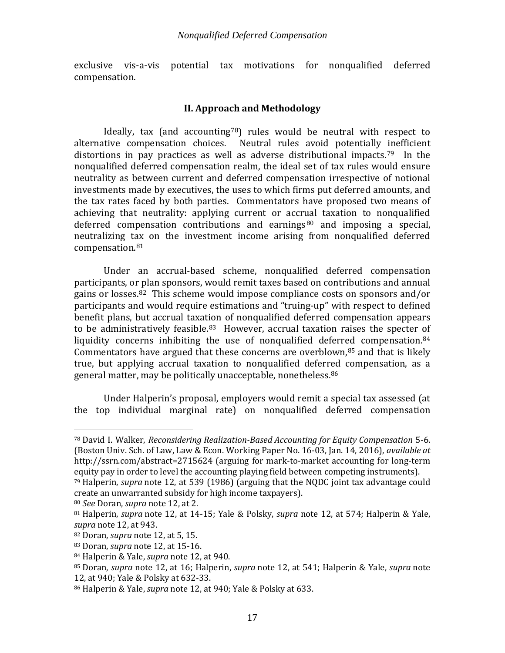<span id="page-19-0"></span>exclusive vis-a-vis potential tax motivations for nonqualified deferred compensation.

# **II. Approach and Methodology**

Ideally, tax (and accounting<sup>[78](#page-19-1)</sup>) rules would be neutral with respect to alternative compensation choices. Neutral rules avoid potentially inefficient distortions in pay practices as well as adverse distributional impacts.<sup>[79](#page-19-2)</sup> In the nonqualified deferred compensation realm, the ideal set of tax rules would ensure neutrality as between current and deferred compensation irrespective of notional investments made by executives, the uses to which firms put deferred amounts, and the tax rates faced by both parties. Commentators have proposed two means of achieving that neutrality: applying current or accrual taxation to nonqualified deferred compensation contributions and earnings $80$  and imposing a special, neutralizing tax on the investment income arising from nonqualified deferred compensation. [81](#page-19-4)

Under an accrual-based scheme, nonqualified deferred compensation participants, or plan sponsors, would remit taxes based on contributions and annual gains or losses.[82](#page-19-5) This scheme would impose compliance costs on sponsors and/or participants and would require estimations and "truing-up" with respect to defined benefit plans, but accrual taxation of nonqualified deferred compensation appears to be administratively feasible.<sup>[83](#page-19-6)</sup> However, accrual taxation raises the specter of liquidity concerns inhibiting the use of nonqualified deferred compensation. [84](#page-19-7) Commentators have argued that these concerns are overblown, $85$  and that is likely true, but applying accrual taxation to nonqualified deferr[ed](#page-19-9) compensation, as a general matter, may be politically unacceptable, nonetheless. 86

Under Halperin's proposal, employers would remit a special tax assessed (at the top individual marginal rate) on nonqualified deferred compensation

<span id="page-19-1"></span> <sup>78</sup> David I. Walker, *Reconsidering Realization-Based Accounting for Equity Compensation* 5-6. (Boston Univ. Sch. of Law, Law & Econ. Working Paper No. 16-03, Jan. 14, 2016), *available at*  http://ssrn.com/abstract=2715624 (arguing for mark-to-market accounting for long-term equity pay in order to level the accounting playing field between competing instruments).

<span id="page-19-2"></span><sup>79</sup> Halperin, *supra* note [12,](#page-6-4) at 539 (1986) (arguing that the NQDC joint tax advantage could create an unwarranted subsidy for high income taxpayers).

<span id="page-19-3"></span><sup>80</sup> *See* Doran, *supra* note [12,](#page-6-4) at 2.

<span id="page-19-4"></span><sup>81</sup> Halperin, *supra* note 12, at 14-15; Yale & Polsky, *supra* note [12,](#page-6-4) at 574; Halperin & Yale, *supra* note [12,](#page-6-4) at 943.

<span id="page-19-5"></span><sup>82</sup> Doran, *supra* note [12,](#page-6-4) at 5, 15.

<span id="page-19-6"></span><sup>83</sup> Doran, *supra* note [12,](#page-6-4) at 15-16.

<span id="page-19-7"></span><sup>84</sup> Halperin & Yale, *supra* note 12, at 940.

<span id="page-19-8"></span><sup>85</sup> Doran, *supra* note [12,](#page-6-4) at 16; Halperin, *supra* note [12,](#page-6-4) at 541; Halperin & Yale, *supra* note 12, at 940; Yale & Polsky at 632-33.

<span id="page-19-9"></span><sup>86</sup> Halperin & Yale, *supra* note 12, at 940; Yale & Polsky at 633.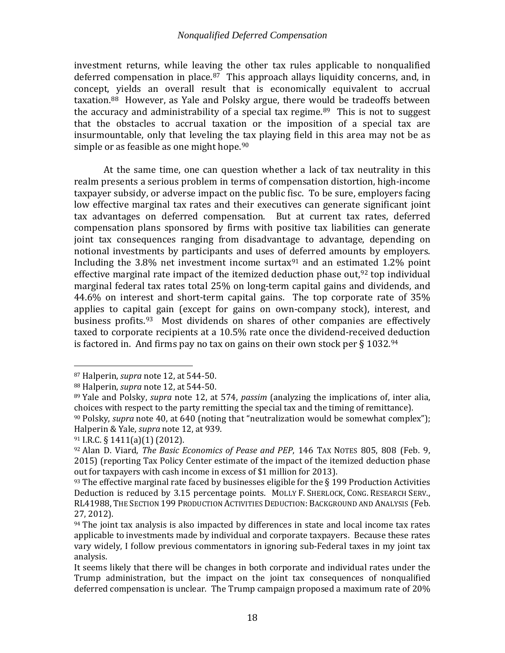investment returns, while leaving the other tax rules applicable to nonqualified deferred compensation in place.<sup>[87](#page-20-0)</sup> This approach allays liquidity concerns, and, in concept, yields an overall result that is economically equivalent to accrual taxation. [88](#page-20-1) However, as Yale and Polsky argue, there wo[uld](#page-20-2) be tradeoffs between the accuracy and administrability of a special tax regime.<sup>89</sup> This is not to suggest that the obstacles to accrual taxation or the imposition of a special tax are insurmountable, only that leveling the tax playing field in this area may not be as simple or as feasible as one might hope.<sup>[90](#page-20-3)</sup>

<span id="page-20-8"></span>At the same time, one can question whether a lack of tax neutrality in this realm presents a serious problem in terms of compensation distortion, high-income taxpayer subsidy, or adverse impact on the public fisc. To be sure, employers facing low effective marginal tax rates and their executives can generate significant joint tax advantages on deferred compensation. But at current tax rates, deferred compensation plans sponsored by firms with positive tax liabilities can generate joint tax consequences ranging from disadvantage to advantage, depending on notional investments by participants and uses of deferred amounts by employers. Including the  $3.8\%$  net investment income surtax<sup>[91](#page-20-4)</sup> and an estim[ate](#page-20-5)d 1.2% point effective marginal rate impact of the itemized deduction phase out, <sup>92</sup> top individual marginal federal tax rates total 25% on long-term capital gains and dividends, and 44.6% on interest and short-term capital gains. The top corporate rate of 35% applies to capital gain (except for gains on own-company stock), interest, and business profits.<sup>93</sup> Most dividends on shares of other companies are effectively taxed to corporate recipients at a 10.5% rate once the dividend-received deduction is factored in. And firms pay no tax on gains on their own stock per  $\S 1032.^{94}$  $\S 1032.^{94}$  $\S 1032.^{94}$ 

<span id="page-20-9"></span><span id="page-20-0"></span> <sup>87</sup> Halperin, *supra* note [12,](#page-6-4) at 544-50.

<span id="page-20-2"></span><span id="page-20-1"></span><sup>88</sup> Halperin, *supra* note [12,](#page-6-4) at 544-50.

<sup>89</sup> Yale and Polsky, *supra* note 12, at 574, *passim* (analyzing the implications of, inter alia, choices with respect to the party remitting the special tax and the timing of remittance).

<span id="page-20-3"></span><sup>90</sup> Polsky, *supra* note [40,](#page-12-1) at 640 (noting that "neutralization would be somewhat complex"); Halperin & Yale, *supra* note 12, at 939.

<span id="page-20-4"></span><sup>91</sup> I.R.C. § 1411(a)(1) (2012).

<span id="page-20-5"></span><sup>92</sup> Alan D. Viard, *The Basic Economics of Pease and PEP*, 146 TAX NOTES 805, 808 (Feb. 9, 2015) (reporting Tax Policy Center estimate of the impact of the itemized deduction phase out for taxpayers with cash income in excess of \$1 million for 2013).

<span id="page-20-6"></span> $93$  The effective marginal rate faced by businesses eligible for the  $\S$  199 Production Activities Deduction is reduced by 3.15 percentage points. MOLLY F. SHERLOCK, CONG. RESEARCH SERV., RL41988, THE SECTION 199 PRODUCTION ACTIVITIES DEDUCTION: BACKGROUND AND ANALYSIS (Feb. 27, 2012).

<span id="page-20-7"></span> $94$  The joint tax analysis is also impacted by differences in state and local income tax rates applicable to investments made by individual and corporate taxpayers. Because these rates vary widely, I follow previous commentators in ignoring sub-Federal taxes in my joint tax analysis.

It seems likely that there will be changes in both corporate and individual rates under the Trump administration, but the impact on the joint tax consequences of nonqualified deferred compensation is unclear. The Trump campaign proposed a maximum rate of 20%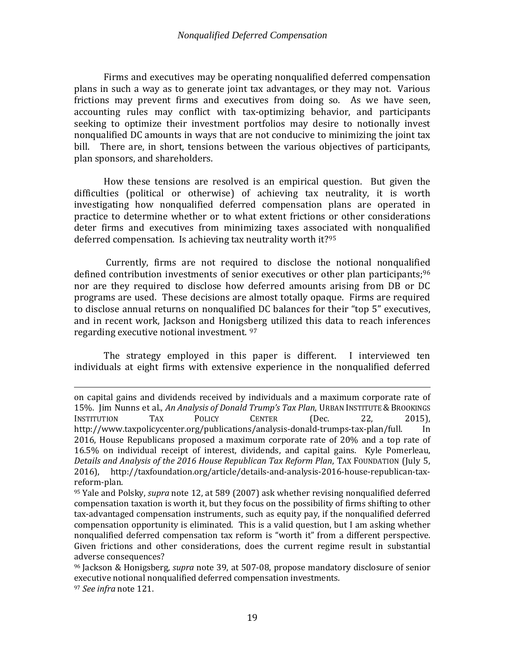Firms and executives may be operating nonqualified deferred compensation plans in such a way as to generate joint tax advantages, or they may not. Various frictions may prevent firms and executives from doing so. As we have seen, accounting rules may conflict with tax-optimizing behavior, and participants seeking to optimize their investment portfolios may desire to notionally invest nonqualified DC amounts in ways that are not conducive to minimizing the joint tax bill. There are, in short, tensions between the various objectives of participants, plan sponsors, and shareholders.

How these tensions are resolved is an empirical question. But given the difficulties (political or otherwise) of achieving tax neutrality, it is worth investigating how nonqualified deferred compensation plans are operated in practice to determine whether or to what extent frictions or other considerations deter firms and executives from minimizing taxes associated with nonqualified deferred compensation. Is achieving tax neutrality worth it?[95](#page-21-0)

Currently, firms are not required to disclose the notional nonqualified defined contribution investments of senior executives or other plan participants;<sup>[96](#page-21-1)</sup> nor are they required to disclose how deferred amounts arising from DB or DC programs are used. These decisions are almost totally opaque. Firms are required to disclose annual returns on nonqualified DC balances for their "top 5" executives, and in recent work, Jackson and Honigsberg utilized this data to reach inferences regarding executive notional investment. [97](#page-21-2)

The strategy employed in this paper is different. I interviewed ten individuals at eight firms with extensive experience in the nonqualified deferred

<span id="page-21-2"></span><sup>97</sup> *See infra* note [121.](#page-27-0)

i<br>I on capital gains and dividends received by individuals and a maximum corporate rate of 15%. Jim Nunns et al., *An Analysis of Donald Trump's Tax Plan*, URBAN INSTITUTE & BROOKINGS<br>INSTITUTION TAX POLICY CENTER (Dec. 22, 2015). INSTITUTION TAX POLICY CENTER (Dec. 22, 2015), http://www.taxpolicycenter.org/publications/analysis-donald-trumps-tax-plan/full. In 2016, House Republicans proposed a maximum corporate rate of 20% and a top rate of 16.5% on individual receipt of interest, dividends, and capital gains. Kyle Pomerleau, *Details and Analysis of the 2016 House Republican Tax Reform Plan, TAX FOUNDATION (July 5, 2016)*<br>2016), http://taxfoundation.org/article/details-and-analysis-2016-house-republican-tax-2016), http://taxfoundation.org/article/details-and-analysis-2016-house-republican-taxreform-plan.

<span id="page-21-0"></span><sup>95</sup> Yale and Polsky, *supra* note [12,](#page-6-4) at 589 (2007) ask whether revising nonqualified deferred compensation taxation is worth it, but they focus on the possibility of firms shifting to other tax-advantaged compensation instruments, such as equity pay, if the nonqualified deferred compensation opportunity is eliminated. This is a valid question, but I am asking whether nonqualified deferred compensation tax reform is "worth it" from a different perspective. Given frictions and other considerations, does the current regime result in substantial adverse consequences?

<span id="page-21-1"></span><sup>96</sup> Jackson & Honigsberg, *supra* note [39,](#page-12-8) at 507-08, propose mandatory disclosure of senior executive notional nonqualified deferred compensation investments.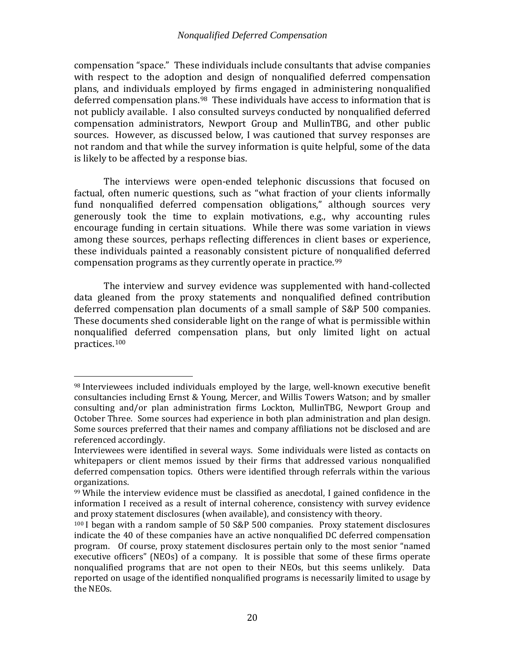compensation "space." These individuals include consultants that advise companies with respect to the adoption and design of nonqualified deferred compensation plans, and individuals employed by firms engaged in administering nonqualified deferred compensation plans.<sup>98</sup> These individuals have access to information that is not publicly available. I also consulted surveys conducted by nonqualified deferred compensation administrators, Newport Group and MullinTBG, and other public sources. However, as discussed below, I was cautioned that survey responses are not random and that while the survey information is quite helpful, some of the data is likely to be affected by a response bias.

The interviews were open-ended telephonic discussions that focused on factual, often numeric questions, such as "what fraction of your clients informally fund nonqualified deferred compensation obligations," although sources very generously took the time to explain motivations, e.g., why accounting rules encourage funding in certain situations. While there was some variation in views among these sources, perhaps reflecting differences in client bases or experience, these individuals painted a reasonably consistent picture of [n](#page-22-1)onqualified deferred compensation programs as they currently operate in practice. 99

The interview and survey evidence was supplemented with hand-collected data gleaned from the proxy statements and nonqualified defined contribution deferred compensation plan documents of a small sample of S&P 500 companies. These documents shed considerable light on the range of what is permissible within nonqualified deferred compensation plans, but only limited light on actual practices[.100](#page-22-2)

<span id="page-22-0"></span> <sup>98</sup> Interviewees included individuals employed by the large, well-known executive benefit consultancies including Ernst & Young, Mercer, and Willis Towers Watson; and by smaller consulting and/or plan administration firms Lockton, MullinTBG, Newport Group and October Three. Some sources had experience in both plan administration and plan design. Some sources preferred that their names and company affiliations not be disclosed and are referenced accordingly.

Interviewees were identified in several ways. Some individuals were listed as contacts on whitepapers or client memos issued by their firms that addressed various nonqualified deferred compensation topics. Others were identified through referrals within the various organizations.

<span id="page-22-1"></span><sup>99</sup> While the interview evidence must be classified as anecdotal, I gained confidence in the information I received as a result of internal coherence, consistency with survey evidence and proxy statement disclosures (when available), and consistency with theory.

<span id="page-22-2"></span><sup>100</sup> I began with a random sample of 50 S&P 500 companies. Proxy statement disclosures indicate the 40 of these companies have an active nonqualified DC deferred compensation program. Of course, proxy statement disclosures pertain only to the most senior "named executive officers" (NEOs) of a company. It is possible that some of these firms operate nonqualified programs that are not open to their NEOs, but this seems unlikely. Data reported on usage of the identified nonqualified programs is necessarily limited to usage by the NEOs.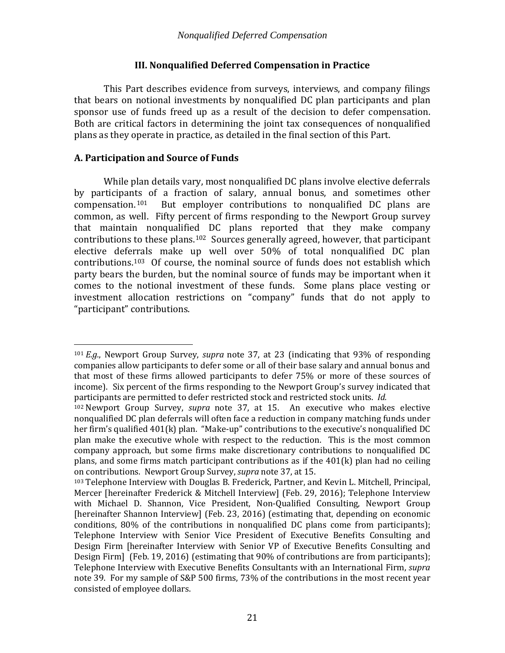# **III. Nonqualified Deferred Compensation in Practice**

<span id="page-23-0"></span>This Part describes evidence from surveys, interviews, and company filings that bears on notional investments by nonqualified DC plan participants and plan sponsor use of funds freed up as a result of the decision to defer compensation. Both are critical factors in determining the joint tax consequences of nonqualified plans as they operate in practice, as detailed in the final section of this Part.

# <span id="page-23-1"></span>**A. Participation and Source of Funds**

<span id="page-23-5"></span>While plan details vary, most nonqualified DC plans involve elective deferrals by participants of a fraction of salary, annual bonus, and sometimes other compensation.[101](#page-23-2) But employer contributions to nonqualified DC plans are common, as well. Fifty percent of firms responding to the Newport Group survey that maintain nonqualified DC plans reported that they make company contributions to these plans. [102](#page-23-3) Sources generally agreed, however, that participant elective deferrals make up well over 50% of total nonqualified DC plan contributions[.103](#page-23-4) Of course, the nominal source of funds does not establish which party bears the burden, but the nominal source of funds may be important when it comes to the notional investment of these funds. Some plans place vesting or investment allocation restrictions on "company" funds that do not apply to "participant" contributions.

<span id="page-23-2"></span> <sup>101</sup> *E.g.*, Newport Group Survey, *supra* note [37,](#page-11-5) at 23 (indicating that 93% of responding companies allow participants to defer some or all of their base salary and annual bonus and that most of these firms allowed participants to defer 75% or more of these sources of income). Six percent of the firms responding to the Newport Group's survey indicated that participants are permitted to defer restricted stock and restricted stock units. *Id.*

<span id="page-23-3"></span><sup>102</sup> Newport Group Survey, *supra* note [37,](#page-11-5) at 15. An executive who makes elective nonqualified DC plan deferrals will often face a reduction in company matching funds under her firm's qualified 401(k) plan. "Make-up" contributions to the executive's nonqualified DC plan make the executive whole with respect to the reduction. This is the most common company approach, but some firms make discretionary contributions to nonqualified DC plans, and some firms match participant contributions as if the 401(k) plan had no ceiling on contributions. Newport Group Survey, *supra* note [37,](#page-11-5) at 15.

<span id="page-23-4"></span><sup>103</sup> Telephone Interview with Douglas B. Frederick, Partner, and Kevin L. Mitchell, Principal, Mercer [hereinafter Frederick & Mitchell Interview] (Feb. 29, 2016); Telephone Interview with Michael D. Shannon, Vice President, Non-Qualified Consulting, Newport Group [hereinafter Shannon Interview] (Feb. 23, 2016) (estimating that, depending on economic conditions, 80% of the contributions in nonqualified DC plans come from participants); Telephone Interview with Senior Vice President of Executive Benefits Consulting and Design Firm [hereinafter Interview with Senior VP of Executive Benefits Consulting and Design Firm] (Feb. 19, 2016) (estimating that 90% of contributions are from participants); Telephone Interview with Executive Benefits Consultants with an International Firm, *supra* note [39.](#page-12-8) For my sample of S&P 500 firms, 73% of the contributions in the most recent year consisted of employee dollars.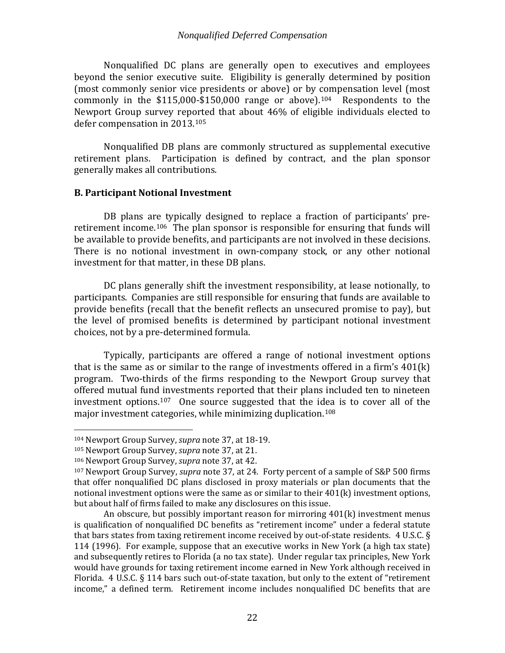Nonqualified DC plans are generally open to executives and employees beyond the senior executive suite. Eligibility is generally determined by position (most commonly senior vice presidents or above) or by compensation level (most commonly in the  $$115,000-\$150,000$  range or above).<sup>[104](#page-24-1)</sup> Respondents to the Newport Group survey reported that about 46% of eligible individuals elected to defer compensation in 2013.[105](#page-24-2)

Nonqualified DB plans are commonly structured as supplemental executive retirement plans. Participation is defined by contract, and the plan sponsor generally makes all contributions.

## <span id="page-24-0"></span>**B. Participant Notional Investment**

DB plans are typically designed to replace a fraction of participants' preretirement income.[106](#page-24-3) The plan sponsor is responsible for ensuring that funds will be available to provide benefits, and participants are not involved in these decisions. There is no notional investment in own-company stock, or any other notional investment for that matter, in these DB plans.

<span id="page-24-5"></span>DC plans generally shift the investment responsibility, at lease notionally, to participants. Companies are still responsible for ensuring that funds are available to provide benefits (recall that the benefit reflects an unsecured promise to pay), but the level of promised benefits is determined by participant notional investment choices, not by a pre-determined formula.

Typically, participants are offered a range of notional investment options that is the same as or similar to the range of investments offered in a firm's 401(k) program. Two-thirds of the firms responding to the Newport Group survey that offered mutual fund investments reported that their plans included ten to nineteen investment options.[107](#page-24-4) One source suggested that the i[dea](#page-24-5) is to cover all of the major investment categories, while minimizing duplication.<sup>108</sup>

<span id="page-24-6"></span><span id="page-24-1"></span> <sup>104</sup> Newport Group Survey, *supra* note [37,](#page-11-5) at 18-19.

<span id="page-24-2"></span><sup>105</sup> Newport Group Survey, *supra* note [37,](#page-11-5) at 21.

<span id="page-24-3"></span><sup>106</sup> Newport Group Survey, *supra* note [37,](#page-11-5) at 42.

<span id="page-24-4"></span><sup>107</sup> Newport Group Survey, *supra* note [37,](#page-11-5) at 24. Forty percent of a sample of S&P 500 firms that offer nonqualified DC plans disclosed in proxy materials or plan documents that the notional investment options were the same as or similar to their  $401(k)$  investment options, but about half of firms failed to make any disclosures on this issue.

An obscure, but possibly important reason for mirroring 401(k) investment menus is qualification of nonqualified DC benefits as "retirement income" under a federal statute that bars states from taxing retirement income received by out-of-state residents. 4 U.S.C. § 114 (1996). For example, suppose that an executive works in New York (a high tax state) and subsequently retires to Florida (a no tax state). Under regular tax principles, New York would have grounds for taxing retirement income earned in New York although received in Florida. 4 U.S.C. § 114 bars such out-of-state taxation, but only to the extent of "retirement income," a defined term. Retirement income includes nonqualified DC benefits that are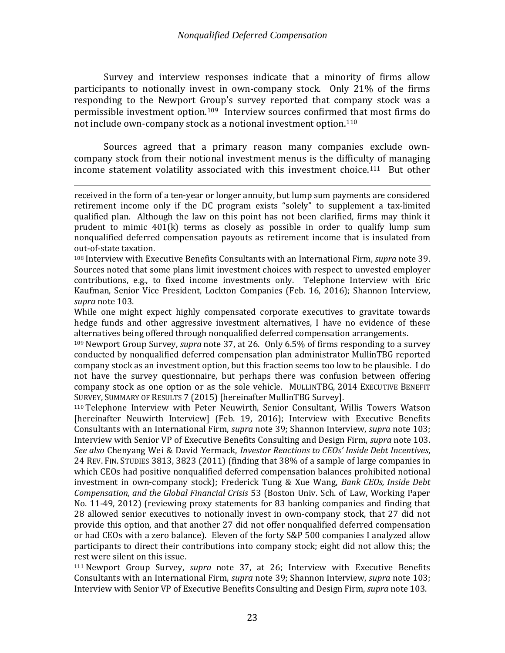<span id="page-25-4"></span>Survey and interview responses indicate that a minority of firms allow participants to notionally invest in own-company stock. Only 21% of the firms responding to the Newport Group's survey reported that company stock was a permissible investment option.[109](#page-25-0) Interview sources confirmed that most firms do not include own-company stock as a notional investment option.<sup>[110](#page-25-1)</sup>

<span id="page-25-3"></span>Sources agreed that a primary reason many companies exclude owncompany stock from their notional investment menus is the difficulty of managing income statement volatility associated with this investment choice.<sup>111</sup> But other

i<br>I received in the form of a ten-year or longer annuity, but lump sum payments are considered retirement income only if the DC program exists "solely" to supplement a tax-limited qualified plan. Although the law on this point has not been clarified, firms may think it prudent to mimic 401(k) terms as closely as possible in order to qualify lump sum nonqualified deferred compensation payouts as retirement income that is insulated from out-of-state taxation.

<sup>108</sup> Interview with Executive Benefits Consultants with an International Firm, *supra* note [39.](#page-12-8) Sources noted that some plans limit investment choices with respect to unvested employer contributions, e.g., to fixed income investments only. Telephone Interview with Eric Kaufman, Senior Vice President, Lockton Companies (Feb. 16, 2016); Shannon Interview, *supra* note [103.](#page-23-5)

While one might expect highly compensated corporate executives to gravitate towards hedge funds and other aggressive investment alternatives, I have no evidence of these alternatives being offered through nonqualified deferred compensation arrangements.

<span id="page-25-0"></span><sup>109</sup> Newport Group Survey, *supra* note [37,](#page-11-5) at 26. Only 6.5% of firms responding to a survey conducted by nonqualified deferred compensation plan administrator MullinTBG reported company stock as an investment option, but this fraction seems too low to be plausible. I do not have the survey questionnaire, but perhaps there was confusion between offering company stock as one option or as the sole vehicle. MULLINTBG, 2014 EXECUTIVE BENEFIT SURVEY, SUMMARY OF RESULTS 7 (2015) [hereinafter MullinTBG Survey].

<span id="page-25-1"></span><sup>110</sup> Telephone Interview with Peter Neuwirth, Senior Consultant, Willis Towers Watson [hereinafter Neuwirth Interview] (Feb. 19, 2016); Interview with Executive Benefits Consultants with an International Firm, *supra* note [39;](#page-12-8) Shannon Interview, *supra* note [103;](#page-23-5) Interview with Senior VP of Executive Benefits Consulting and Design Firm, *supra* note [103.](#page-23-5) *See also* Chenyang Wei & David Yermack, *Investor Reactions to CEOs' Inside Debt Incentives*, 24 REV. FIN. STUDIES 3813, 3823 (2011) (finding that 38% of a sample of large companies in which CEOs had positive nonqualified deferred compensation balances prohibited notional investment in own-company stock); Frederick Tung & Xue Wang, *Bank CEOs, Inside Debt Compensation, and the Global Financial Crisis* 53 (Boston Univ. Sch. of Law, Working Paper No. 11-49, 2012) (reviewing proxy statements for 83 banking companies and finding that 28 allowed senior executives to notionally invest in own-company stock, that 27 did not provide this option, and that another 27 did not offer nonqualified deferred compensation or had CEOs with a zero balance). Eleven of the forty S&P 500 companies I analyzed allow participants to direct their contributions into company stock; eight did not allow this; the rest were silent on this issue.

<span id="page-25-2"></span><sup>111</sup> Newport Group Survey, *supra* note [37,](#page-11-5) at 26; Interview with Executive Benefits Consultants with an International Firm, *supra* note [39;](#page-12-8) Shannon Interview, *supra* note [103;](#page-23-5) Interview with Senior VP of Executive Benefits Consulting and Design Firm, *supra* note [103.](#page-23-5)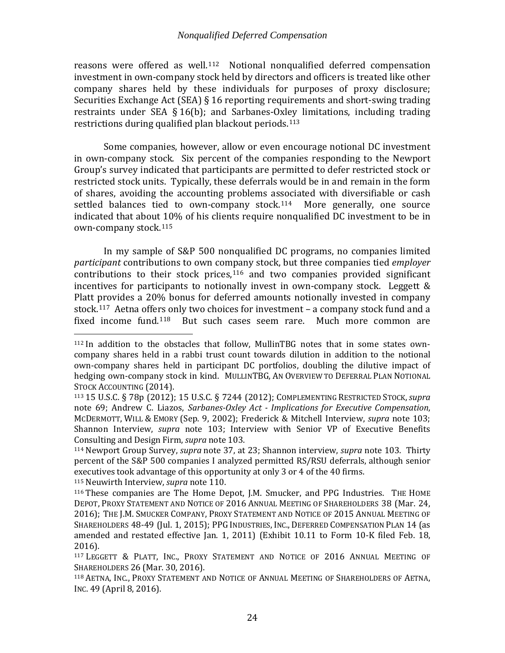reasons were offered as well.[112](#page-26-0) Notional nonqualified deferred compensation investment in own-company stock held by directors and officers is treated like other company shares held by these individuals for purposes of proxy disclosure; Securities Exchange Act (SEA) § 16 reporting requirements and short-swing trading restraints under SEA § 16(b); and Sarbanes-Oxley limitations, including trading restrictions during qualified plan blackout periods.[113](#page-26-1) 

Some companies, however, allow or even encourage notional DC investment in own-company stock. Six percent of the companies responding to the Newport Group's survey indicated that participants are permitted to defer restricted stock or restricted stock units. Typically, these deferrals would be in and remain in the form of shares, avoiding the accounting problems associated with diversifiable or cash settled balances tied to own-company stock.<sup>[114](#page-26-2)</sup> More generally, one source indicated that about 10% of his clients require nonqualified DC investment to be in own-company stock.[115](#page-26-3)

In my sample of S&P 500 nonqualified DC programs, no companies limited *participant* contributions to own company stock, but three companies tied *employer*  $contributions$  to their stock prices, $116$  and two companies provided significant incentives for participants to notionally invest in own-company stock. Leggett & Platt provides a 20% bonus for deferred amounts notionally invested in company stock.<sup>[117](#page-26-5)</sup> Aetna offe[rs o](#page-26-6)nly two choices for investment – a company stock fund and a fixed income fund.<sup>118</sup> But such cases seem rare. Much more common are But such cases seem rare. Much more common are

<span id="page-26-3"></span><sup>115</sup> Neuwirth Interview, *supra* note [110.](#page-25-3)

<span id="page-26-0"></span> <sup>112</sup> In addition to the obstacles that follow, MullinTBG notes that in some states owncompany shares held in a rabbi trust count towards dilution in addition to the notional own-company shares held in participant DC portfolios, doubling the dilutive impact of hedging own-company stock in kind. MULLINTBG, AN OVERVIEW TO DEFERRAL PLAN NOTIONAL STOCK ACCOUNTING (2014).

<span id="page-26-1"></span><sup>113</sup> 15 U.S.C. § 78p (2012); 15 U.S.C. § 7244 (2012); COMPLEMENTING RESTRICTED STOCK,*supra*  note [69;](#page-17-3) Andrew C. Liazos, *Sarbanes-Oxley Act - Implications for Executive Compensation*, MCDERMOTT, WILL & EMORY (Sep. 9, 2002); Frederick & Mitchell Interview, *supra* note [103;](#page-23-5) Shannon Interview, *supra* note [103;](#page-23-5) Interview with Senior VP of Executive Benefits Consulting and Design Firm, *supra* not[e 103.](#page-23-5)

<span id="page-26-2"></span><sup>114</sup> Newport Group Survey, *supra* note [37,](#page-11-5) at 23; Shannon interview, *supra* note [103.](#page-23-5) Thirty percent of the S&P 500 companies I analyzed permitted RS/RSU deferrals, although senior executives took advantage of this opportunity at only 3 or 4 of the 40 firms.

<span id="page-26-4"></span><sup>116</sup> These companies are The Home Depot, J.M. Smucker, and PPG Industries. THE HOME DEPOT, PROXY STATEMENT AND NOTICE OF 2016 ANNUAL MEETING OF SHAREHOLDERS 38 (Mar. 24, 2016); THE J.M. SMUCKER COMPANY, PROXY STATEMENT AND NOTICE OF 2015 ANNUAL MEETING OF SHAREHOLDERS 48-49 (Jul. 1, 2015); PPG INDUSTRIES, INC., DEFERRED COMPENSATION PLAN 14 (as amended and restated effective Jan. 1, 2011) (Exhibit 10.11 to Form 10-K filed Feb. 18, 2016).

<span id="page-26-5"></span><sup>117</sup> LEGGETT & PLATT, INC., PROXY STATEMENT AND NOTICE OF 2016 ANNUAL MEETING OF SHAREHOLDERS 26 (Mar. 30, 2016).

<span id="page-26-6"></span><sup>118</sup> AETNA, INC., PROXY STATEMENT AND NOTICE OF ANNUAL MEETING OF SHAREHOLDERS OF AETNA, INC. 49 (April 8, 2016).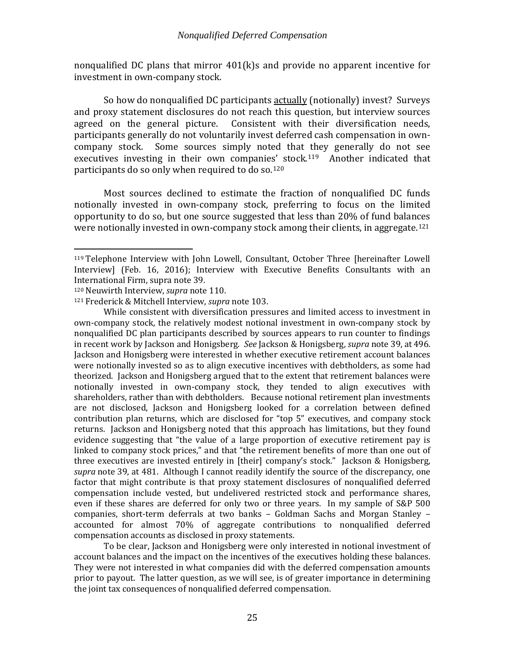nonqualified DC plans that mirror 401(k)s and provide no apparent incentive for investment in own-company stock.

So how do nonqualified DC participants actually (notionally) invest? Surveys and proxy statement disclosures do not reach this question, but interview sources agreed on the general picture. Consistent with their diversification needs, participants generally do not voluntarily invest deferred cash compensation in owncompany stock. Some sources simply noted that they generally do not see executives investing in their own companie[s' s](#page-27-2)tock.<sup>119</sup> Another indicated that participants do so only when required to do so.<sup>120</sup>

<span id="page-27-4"></span><span id="page-27-0"></span>Most sources declined to estimate the fraction of nonqualified DC funds notionally invested in own-company stock, preferring to focus on the limited opportunity to do so, but one source suggested that less than 20% of fund balances were notionally invested in own-company stock among their clients, in aggregate.[121](#page-27-3)

While consistent with diversification pressures and limited access to investment in own-company stock, the relatively modest notional investment in own-company stock by nonqualified DC plan participants described by sources appears to run counter to findings in recent work by Jackson and Honigsberg. *See* Jackson & Honigsberg, *supra* not[e 39,](#page-12-8) at 496. Jackson and Honigsberg were interested in whether executive retirement account balances were notionally invested so as to align executive incentives with debtholders, as some had theorized. Jackson and Honigsberg argued that to the extent that retirement balances were notionally invested in own-company stock, they tended to align executives with shareholders, rather than with debtholders. Because notional retirement plan investments are not disclosed, Jackson and Honigsberg looked for a correlation between defined contribution plan returns, which are disclosed for "top 5" executives, and company stock returns. Jackson and Honigsberg noted that this approach has limitations, but they found evidence suggesting that "the value of a large proportion of executive retirement pay is linked to company stock prices," and that "the retirement benefits of more than one out of three executives are invested entirely in [their] company's stock." Jackson & Honigsberg, *supra* note [39,](#page-12-8) at 481. Although I cannot readily identify the source of the discrepancy, one factor that might contribute is that proxy statement disclosures of nonqualified deferred compensation include vested, but undelivered restricted stock and performance shares, even if these shares are deferred for only two or three years. In my sample of S&P 500 companies, short-term deferrals at two banks – Goldman Sachs and Morgan Stanley – accounted for almost 70% of aggregate contributions to nonqualified deferred compensation accounts as disclosed in proxy statements.

To be clear, Jackson and Honigsberg were only interested in notional investment of account balances and the impact on the incentives of the executives holding these balances. They were not interested in what companies did with the deferred compensation amounts prior to payout. The latter question, as we will see, is of greater importance in determining the joint tax consequences of nonqualified deferred compensation.

<span id="page-27-1"></span> <sup>119</sup> Telephone Interview with John Lowell, Consultant, October Three [hereinafter Lowell Interview] (Feb. 16, 2016); Interview with Executive Benefits Consultants with an International Firm, supra note 39.

<span id="page-27-2"></span><sup>&</sup>lt;sup>120</sup> Neuwirth Interview, *supra* note [110.](#page-25-3)

<span id="page-27-3"></span><sup>121</sup> Frederick & Mitchell Interview, *supra* note [103.](#page-23-5)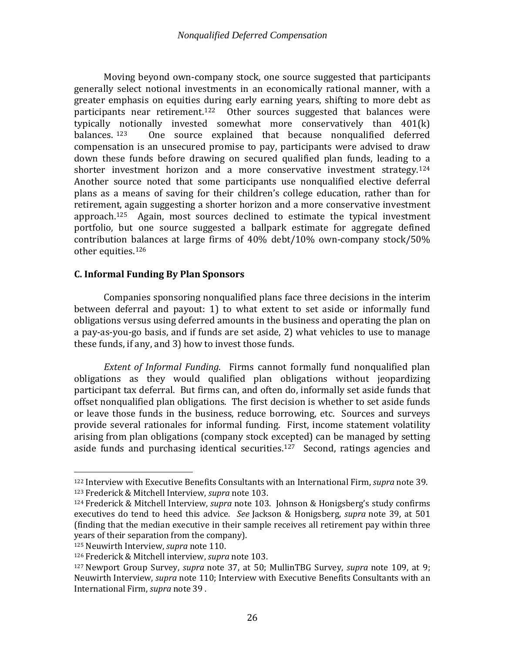Moving beyond own-company stock, one source suggested that participants generally select notional investments in an economically rational manner, with a greater emphasis on equities during early earning years, shifting to more debt as participants near retirement.<sup>[122](#page-28-1)</sup> Other sources suggested that balances were typically notionally invested somewhat more conservatively than  $401(k)$  balances.  $123$  One source explained that because nonqualified deferred One source explained that because nonqualified deferred compensation is an unsecured promise to pay, participants were advised to draw down these funds before drawing on secured qualified plan funds, leading to a shorter investment horizon and a more conservative investment strategy.<sup>[124](#page-28-3)</sup> Another source noted that some participants use nonqualified elective deferral plans as a means of saving for their children's college education, rather than for retirement, again suggesting a shorter horizon and a more conservative investment approach.<sup>125</sup> Again, most sources declined to estimate the typical investment portfolio, but one source suggested a ballpark estimate for aggregate defined contribution [bala](#page-28-5)nces at large firms of 40% debt/10% own-company stock/50% other equities. 126

# <span id="page-28-0"></span>**C. Informal Funding By Plan Sponsors**

Companies sponsoring nonqualified plans face three decisions in the interim between deferral and payout: 1) to what extent to set aside or informally fund obligations versus using deferred amounts in the business and operating the plan on a pay-as-you-go basis, and if funds are set aside, 2) what vehicles to use to manage these funds, if any, and 3) how to invest those funds.

*Extent of Informal Funding*. Firms cannot formally fund nonqualified plan obligations as they would qualified plan obligations without jeopardizing participant tax deferral. But firms can, and often do, informally set aside funds that offset nonqualified plan obligations. The first decision is whether to set aside funds or leave those funds in the business, reduce borrowing, etc. Sources and surveys provide several rationales for informal funding. First, income statement volatility arising from plan obligations (company stock excepted) can be managed by setting aside funds and purchasing identical securities.<sup>127</sup> Second, ratings agencies and

<span id="page-28-2"></span><span id="page-28-1"></span> <sup>122</sup> Interview with Executive Benefits Consultants with an International Firm, *supra* not[e 39.](#page-12-8) <sup>123</sup> Frederick & Mitchell Interview, *supra* note [103.](#page-23-5)

<span id="page-28-3"></span><sup>124</sup> Frederick & Mitchell Interview, *supra* note [103.](#page-23-5) Johnson & Honigsberg's study confirms executives do tend to heed this advice. *See* Jackson & Honigsberg, *supra* note [39,](#page-12-8) at 501 (finding that the median executive in their sample receives all retirement pay within three years of their separation from the company).

<span id="page-28-5"></span><span id="page-28-4"></span><sup>&</sup>lt;sup>125</sup> Neuwirth Interview, *supra* note [110.](#page-25-3)<br><sup>126</sup> Frederick & Mitchell interview, *supra* note 103.

<span id="page-28-6"></span><sup>126</sup> Frederick & Mitchell interview, *supra* [no](#page-11-5)te [103.](#page-23-5) 127 Newport Group Survey, *supra* note 37, at 50; MullinTBG Survey, *supra* note [109,](#page-25-4) at 9; Neuwirth Interview, *supra* note [110;](#page-25-3) Interview with Executive Benefits Consultants with an International Firm, *supra* note [39](#page-12-8) .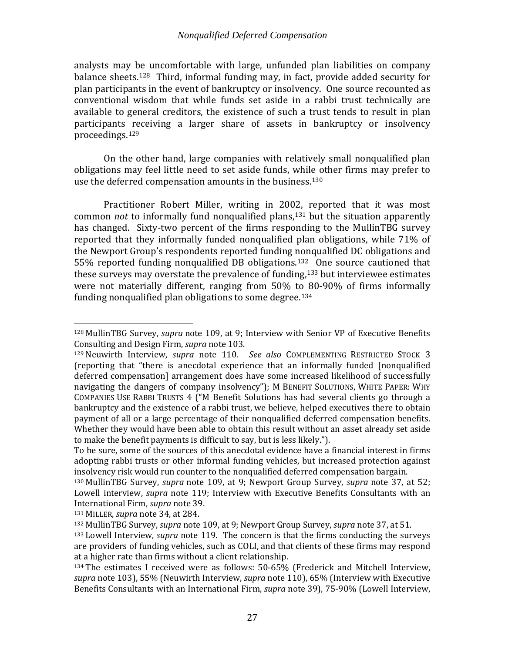analysts may be uncomfortable with large, unfunded plan liabilities on company balance sheets.<sup>[128](#page-29-0)</sup> Third, informal funding may, in fact, provide added security for plan participants in the event of bankruptcy or insolvency. One source recounted as conventional wisdom that while funds set aside in a rabbi trust technically are available to general creditors, the existence of such a trust tends to result in plan participants receiving a larger share of assets in bankruptcy or insolvency proceedings.[129](#page-29-1)

<span id="page-29-8"></span>On the other hand, large companies with relatively small nonqualified plan obligations may feel little need to set aside funds, while other firms may prefer to use the deferred compensation amounts in the business.<sup>[130](#page-29-2)</sup>

Practitioner Robert Miller, writing in 2002, reported that it was most common *not* to informally fund nonqualified plans,<sup>[131](#page-29-3)</sup> but the situation apparently has changed. Sixty-two percent of the firms responding to the MullinTBG survey reported that they informally funded nonqualified plan obligations, while 71% of the Newport Group's respondents reported funding nonqualified DC obligations and 55% reported funding nonqualified DB obligations.[132](#page-29-4) [O](#page-29-5)ne source cautioned that these surveys may overstate the prevalence of funding,<sup>133</sup> but interviewee estimates were not materially different, ranging from 50% to 80-90% of firms informally funding nonqualified plan obligations to some degree.<sup>[134](#page-29-6)</sup>

<span id="page-29-7"></span><span id="page-29-0"></span> <sup>128</sup> MullinTBG Survey, *supra* note [109,](#page-25-4) at 9; Interview with Senior VP of Executive Benefits Consulting and Design Firm, *supra* not[e 103.](#page-23-5)

<span id="page-29-1"></span><sup>129</sup> Neuwirth Interview, *supra* note [110.](#page-25-3) *See also* COMPLEMENTING RESTRICTED STOCK 3 (reporting that "there is anecdotal experience that an informally funded [nonqualified deferred compensation] arrangement does have some increased likelihood of successfully navigating the dangers of company insolvency"); M BENEFIT SOLUTIONS, WHITE PAPER: WHY COMPANIES USE RABBI TRUSTS 4 ("M Benefit Solutions has had several clients go through a bankruptcy and the existence of a rabbi trust, we believe, helped executives there to obtain payment of all or a large percentage of their nonqualified deferred compensation benefits. Whether they would have been able to obtain this result without an asset already set aside to make the benefit payments is difficult to say, but is less likely.").

To be sure, some of the sources of this anecdotal evidence have a financial interest in firms adopting rabbi trusts or other informal funding vehicles, but increased protection against insolvency risk would run counter to the nonqualified deferred compensation bargain.

<span id="page-29-2"></span><sup>130</sup> MullinTBG Survey, *supra* note [109,](#page-25-4) at 9; Newport Group Survey, *supra* note [37,](#page-11-5) at 52; Lowell interview, *supra* note [119;](#page-27-4) Interview with Executive Benefits Consultants with an International Firm, *supra* note [39.](#page-12-8)

<span id="page-29-3"></span><sup>131</sup> MILLER, *supra* note [34,](#page-11-0) at 284.

<span id="page-29-5"></span><span id="page-29-4"></span><sup>132</sup> MullinTBG Survey, *supra* note [109,](#page-25-4) at 9; Newport Group Survey, *supra* note [37,](#page-11-5) at 51.

<sup>133</sup> Lowell Interview, *supra* note [119.](#page-27-4) The concern is that the firms conducting the surveys are providers of funding vehicles, such as COLI, and that clients of these firms may respond at a higher rate than firms without a client relationship.

<span id="page-29-6"></span><sup>134</sup> The estimates I received were as follows: 50-65% (Frederick and Mitchell Interview, *supra* note [103\)](#page-23-5), 55% (Neuwirth Interview, *supra* note [110\)](#page-25-3), 65% (Interview with Executive Benefits Consultants with an International Firm, *supra* note [39\)](#page-12-8), 75-90% (Lowell Interview,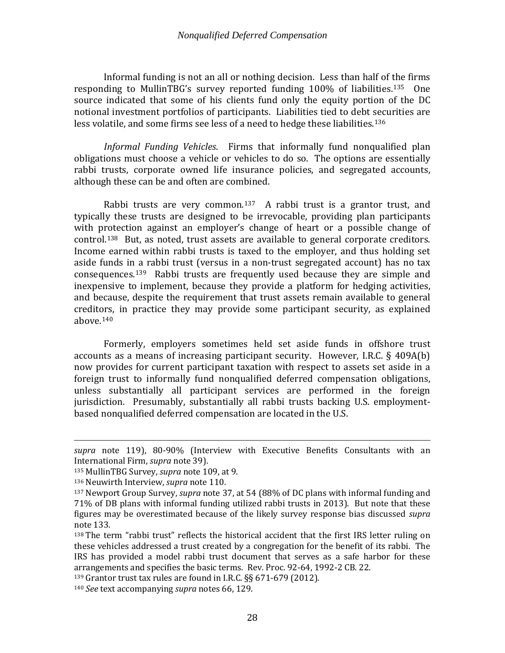Informal funding is not an all or nothing decision. Less than half of the firms responding to MullinTBG's survey reported funding 100% of liabilities.[135](#page-30-0) One source indicated that some of his clients fund only the equity portion of the DC notional investment portfolios of participants. Liabilities tied to debt securities are less volatile, and some firms see less of a need to hedge these liabilities.<sup>[136](#page-30-1)</sup>

*Informal Funding Vehicles*. Firms that informally fund nonqualified plan obligations must choose a vehicle or vehicles to do so. The options are essentially rabbi trusts, corporate owned life insurance policies, and segregated accounts, although these can be and often are combined.

Rabbi trusts are very common.<sup>137</sup> A rabbi trust is a grantor trust, and typically these trusts are designed to [be](#page-30-2) irrevocable, providing plan participants with protection against an employer's change of heart or a possible change of control.[138](#page-30-3) But, as noted, trust assets are available to general corporate creditors. Income earned within rabbi trusts is taxed to the employer, and thus holding set aside funds in a rabbi trust (versus in a non-trust segregated account) has no tax consequences.[139](#page-30-4) Rabbi trusts are frequently used because they are simple and inexpensive to implement, because they provide a platform for hedging activities, and because, despite the requirement that trust assets remain available to general creditors, in practice they may provide some participant security, as explained above.[140](#page-30-5)

Formerly, employers sometimes held set aside funds in offshore trust accounts as a means of increasing participant security. However, I.R.C. § 409A(b) now provides for current participant taxation with respect to assets set aside in a foreign trust to informally fund nonqualified deferred compensation obligations, unless substantially all participant services are performed in the foreign jurisdiction. Presumably, substantially all rabbi trusts backing U.S. employmentbased nonqualified deferred compensation are located in the U.S.

i<br>I *supra* note [119\)](#page-27-4), 80-90% (Interview with Executive Benefits Consultants with an International Firm, *supra* note [39\)](#page-12-8).

<span id="page-30-0"></span><sup>135</sup> MullinTBG Survey, *supra* note [109,](#page-25-4) at 9.

<span id="page-30-2"></span><span id="page-30-1"></span><sup>136</sup> Neuwirth Interview, *supra* note [110.](#page-25-3)

<sup>137</sup> Newport Group Survey, *supra* note [37,](#page-11-5) at 54 (88% of DC plans with informal funding and 71% of DB plans with informal funding utilized rabbi trusts in 2013). But note that these figures may be overestimated because of the likely survey response bias discussed *supra* not[e 133.](#page-29-7)

<span id="page-30-3"></span><sup>138</sup> The term "rabbi trust" reflects the historical accident that the first IRS letter ruling on these vehicles addressed a trust created by a congregation for the benefit of its rabbi. The IRS has provided a model rabbi trust document that serves as a safe harbor for these arrangements and specifies the basic terms. Rev. Proc. 92-64, 1992-2 CB. 22.

<span id="page-30-4"></span><sup>139</sup> Grantor trust tax rules are found in I.R.C. §§ 671-679 (2012).

<span id="page-30-5"></span><sup>140</sup> *See* text accompanying *supra* notes [66,](#page-16-8) [129.](#page-29-8)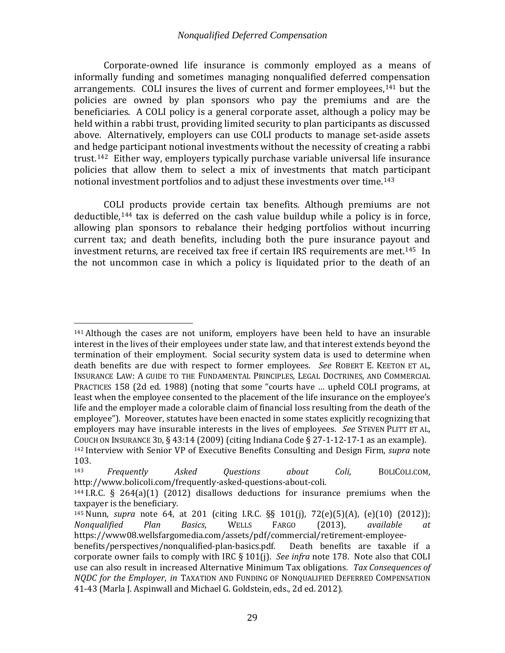Corporate-owned life insurance is commonly employed as a means of informally funding and sometimes managing nonqualified deferred compensation arrangements. COLI insures the lives of current and former employees,[141](#page-31-0) but the policies are owned by plan sponsors who pay the premiums and are the beneficiaries. A COLI policy is a general corporate asset, although a policy may be held within a rabbi trust, providing limited security to plan participants as discussed above. Alternatively, employers can use COLI products to manage set-aside assets and hedge participant notional investments without the necessity of creating a rabbi trust.[142](#page-31-1) Either way, employers typically purchase variable universal life insurance policies that allow them to select a mix of investments that match participant notional investment portfolios and to adjust these investments over time.[143](#page-31-2)

COLI products provide certain tax benefits. Although premiums are not deductible,[144](#page-31-3) tax is deferred on the cash value buildup while a policy is in force, allowing plan sponsors to rebalance their hedging portfolios without incurring current tax; and death benefits, including both the pure insurance payout and investment returns, are received tax free if certain IRS requirements are met.[145](#page-31-4) In the not uncommon case in which a policy is liquidated prior to the death of an

<span id="page-31-0"></span> <sup>141</sup> Although the cases are not uniform, employers have been held to have an insurable interest in the lives of their employees under state law, and that interest extends beyond the termination of their employment. Social security system data is used to determine when death benefits are due with respect to former employees. *See* ROBERT E. KEETON ET AL, INSURANCE LAW: A GUIDE TO THE FUNDAMENTAL PRINCIPLES, LEGAL DOCTRINES, AND COMMERCIAL PRACTICES 158 (2d ed. 1988) (noting that some "courts have … upheld COLI programs, at least when the employee consented to the placement of the life insurance on the employee's life and the employer made a colorable claim of financial loss resulting from the death of the employee"). Moreover, statutes have been enacted in some states explicitly recognizing that employers may have insurable interests in the lives of employees. *See* STEVEN PLITT ET AL, COUCH ON INSURANCE 3D,  $\S 43:14$  (2009) (citing Indiana Code  $\S 27-1-12-17-1$  as an example). <sup>142</sup> Interview with Senior VP of Executive Benefits Consulting and Design Firm, *supra* note

<span id="page-31-2"></span><span id="page-31-1"></span> $103.$ <sub>143</sub> <sup>143</sup> *Frequently Asked Questions about Coli*, BOLICOLI.COM, http://www.bolicoli.com/frequently-asked-questions-about-coli.

<span id="page-31-3"></span><sup>144</sup> I.R.C. § 264(a)(1) (2012) disallows deductions for insurance premiums when the taxpayer is the beneficiary.

<span id="page-31-4"></span><sup>145</sup> Nunn, *supra* note [64,](#page-16-0) at 201 (citing I.R.C. §§ 101(j), 72(e)(5)(A), (e)(10) (2012)); *Nonqualified Plan Basics*, WELLS FARGO (2013), *available at*  https://www08.wellsfargomedia.com/assets/pdf/commercial/retirement-employee-

benefits/perspectives/nonqualified-plan-basics.pdf. Death benefits are taxable if a corporate owner fails to comply with IRC § 101(j). *See infra* note [178.](#page-42-2) Note also that COLI use can also result in increased Alternative Minimum Tax obligations. *Tax Consequences of NQDC for the Employer*, *in* TAXATION AND FUNDING OF NONQUALIFIED DEFERRED COMPENSATION 41-43 (Marla J. Aspinwall and Michael G. Goldstein, eds., 2d ed. 2012).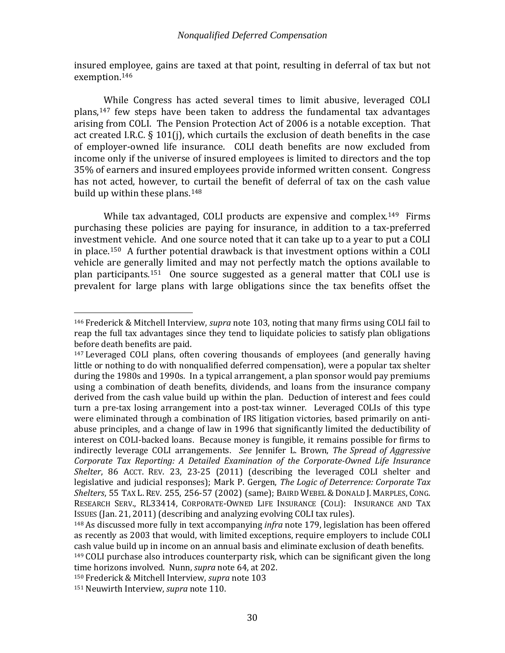insured employee, gains are taxed at that point, resulting in deferral of tax but not exemption.[146](#page-32-0)

<span id="page-32-6"></span>While Congress has acted several times to limit abusive, leveraged COLI plans,[147](#page-32-1) few steps have been taken to address the fundamental tax advantages arising from COLI. The Pension Protection Act of 2006 is a notable exception. That act created I.R.C. § 101(j), which curtails the exclusion of death benefits in the case of employer-owned life insurance. COLI death benefits are now excluded from income only if the universe of insured employees is limited to directors and the top 35% of earners and insured employees provide informed written consent. Congress has not acted, however, to curtail the benefit of deferral of tax on the cash value build up within these plans.[148](#page-32-2)

While tax advantaged, COLI products are expensive and complex.<sup>[149](#page-32-3)</sup> Firms purchasing these policies are paying for insurance, in addition to a tax-preferred investment vehicle. And one source noted that it can take up to a year to put a COLI in place.[150](#page-32-4) A further potential drawback is that investment options within a COLI vehicle are generally limited and may not perfectly match the options available to plan participants.[151](#page-32-5) One source suggested as a general matter that COLI use is prevalent for large plans with large obligations since the tax benefits offset the

<span id="page-32-0"></span> <sup>146</sup> Frederick & Mitchell Interview, *supra* note [103,](#page-23-5) noting that many firms using COLI fail to reap the full tax advantages since they tend to liquidate policies to satisfy plan obligations before death benefits are paid.

<span id="page-32-1"></span><sup>147</sup> Leveraged COLI plans, often covering thousands of employees (and generally having little or nothing to do with nonqualified deferred compensation), were a popular tax shelter during the 1980s and 1990s. In a typical arrangement, a plan sponsor would pay premiums using a combination of death benefits, dividends, and loans from the insurance company derived from the cash value build up within the plan. Deduction of interest and fees could turn a pre-tax losing arrangement into a post-tax winner. Leveraged COLIs of this type were eliminated through a combination of IRS litigation victories, based primarily on antiabuse principles, and a change of law in 1996 that significantly limited the deductibility of interest on COLI-backed loans. Because money is fungible, it remains possible for firms to indirectly leverage COLI arrangements. *See* Jennifer L. Brown, *The Spread of Aggressive Corporate Tax Reporting: A Detailed Examination of the Corporate-Owned Life Insurance Shelter*, 86 ACCT. REV. 23, 23-25 (2011) (describing the leveraged COLI shelter and legislative and judicial responses); Mark P. Gergen, *The Logic of Deterrence: Corporate Tax Shelters*, 55 TAX L. REV. 255, 256-57 (2002) (same); BAIRD WEBEL &DONALD J. MARPLES, CONG. RESEARCH SERV., RL33414, CORPORATE-OWNED LIFE INSURANCE (COLI): INSURANCE AND TAX ISSUES (Jan. 21, 2011) (describing and analyzing evolving COLI tax rules).

<span id="page-32-2"></span><sup>148</sup> As discussed more fully in text accompanying *infra* note [179,](#page-42-3) legislation has been offered as recently as 2003 that would, with limited exceptions, require employers to include COLI cash value build up in income on an annual basis and eliminate exclusion of death benefits.

<span id="page-32-3"></span><sup>149</sup> COLI purchase also introduces counterparty risk, which can be significant given the long time horizons involved. Nunn, *supra* not[e 64,](#page-16-0) at 202.

<span id="page-32-4"></span><sup>150</sup> Frederick & Mitchell Interview, *supra* note [103](#page-23-5)

<span id="page-32-5"></span><sup>151</sup> Neuwirth Interview, *supra* note [110.](#page-25-3)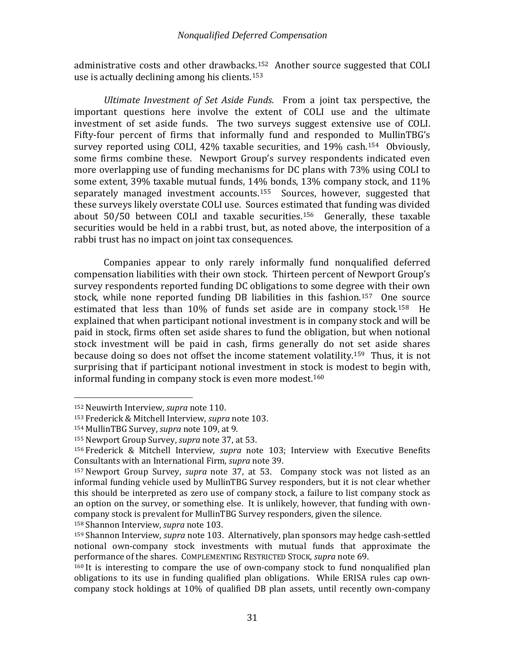administrative costs and other drawback[s.1](#page-33-1)[52](#page-33-0) Another source suggested that COLI use is actually declining among his clients.153

<span id="page-33-9"></span>*Ultimate Investment of Set Aside Funds*. From a joint tax perspective, the important questions here involve the extent of COLI use and the ultimate investment of set aside funds. The two surveys suggest extensive use of COLI. Fifty-four percent of firms that informally fund and responded to MullinTBG's survey reported using COLI,  $42\%$  taxable securities, and  $19\%$  cash.<sup>154</sup> Obviously, some firms combine these. Newport Group's survey respondents indicated even more overlapping use of funding mechanisms for DC plans with 73% using COLI to some extent, 39% taxable mutual funds, 14% bonds, 13% company stock, and 11% separately managed investment accounts.<sup>155</sup> Sources, however, suggested that these surveys likely overstate COLI use. Sources estimated that funding was divided about 50/50 between COLI and taxable securities. [156](#page-33-4) Generally, these taxable securities would be held in a rabbi trust, but, as noted above, the interposition of a rabbi trust has no impact on joint tax consequences.

<span id="page-33-10"></span>Companies appear to only rarely informally fund nonqualified deferred compensation liabilities with their own stock. Thirteen percent of Newport Group's survey respondents reported funding DC obligations to some degree with their own stock, while none reported funding DB liabilities in this fashion.[157](#page-33-5) One [so](#page-33-6)urce estimated that less than 10% of funds set aside are in company stock.<sup>158</sup> He explained that when participant notional investment is in company stock and will be paid in stock, firms often set aside shares to fund the obligation, but when notional stock investment will be paid in cash, firms generally do not set aside shares because doing so does not offset the income statement volatility.[159](#page-33-7) Thus, it is not surprising that if participant notional investment in stock is modest to begin with, informal funding in company stock is even more modest.[160](#page-33-8)

<span id="page-33-6"></span><sup>158</sup> Shannon Interview, *supra* note [103.](#page-23-5)

<span id="page-33-0"></span> <sup>152</sup> Neuwirth Interview, *supra* note [110.](#page-25-3)

<span id="page-33-1"></span><sup>153</sup> Frederick & Mitchell Interview, *supra* note [103.](#page-23-5)

<span id="page-33-2"></span><sup>154</sup> MullinTBG Survey, *supra* note [109,](#page-25-4) at 9.

<span id="page-33-3"></span><sup>155</sup> Newport Group Survey, *supra* note [37,](#page-11-5) at 53.

<span id="page-33-4"></span><sup>156</sup> Frederick & Mitchell Interview, *supra* note [103;](#page-23-5) Interview with Executive Benefits Consultants with an International Firm, *supra* not[e 39.](#page-12-8)

<span id="page-33-5"></span><sup>157</sup> Newport Group Survey, *supra* note [37,](#page-11-5) at 53. Company stock was not listed as an informal funding vehicle used by MullinTBG Survey responders, but it is not clear whether this should be interpreted as zero use of company stock, a failure to list company stock as an option on the survey, or something else. It is unlikely, however, that funding with owncompany stock is prevalent for MullinTBG Survey responders, given the silence.

<span id="page-33-7"></span><sup>159</sup> Shannon Interview, *supra* note [103.](#page-23-5) Alternatively, plan sponsors may hedge cash-settled notional own-company stock investments with mutual funds that approximate the performance of the shares. COMPLEMENTING RESTRICTED STOCK, *supra* note [69.](#page-17-3)

<span id="page-33-8"></span><sup>160</sup> It is interesting to compare the use of own-company stock to fund nonqualified plan obligations to its use in funding qualified plan obligations. While ERISA rules cap owncompany stock holdings at 10% of qualified DB plan assets, until recently own-company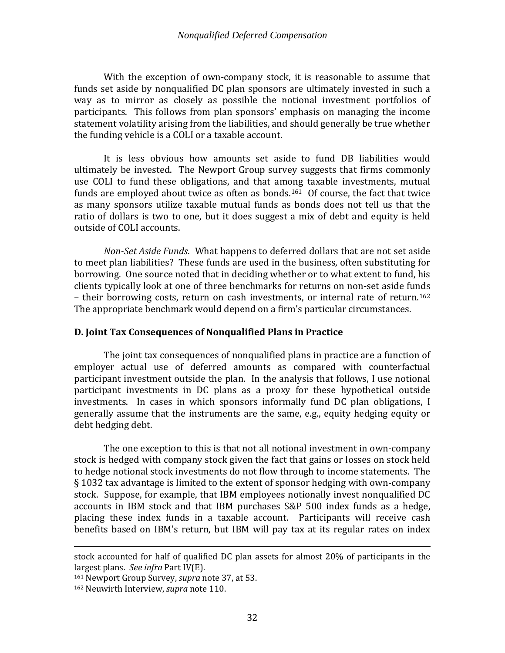With the exception of own-company stock, it is reasonable to assume that funds set aside by nonqualified DC plan sponsors are ultimately invested in such a way as to mirror as closely as possible the notional investment portfolios of participants. This follows from plan sponsors' emphasis on managing the income statement volatility arising from the liabilities, and should generally be true whether the funding vehicle is a COLI or a taxable account.

It is less obvious how amounts set aside to fund DB liabilities would ultimately be invested. The Newport Group survey suggests that firms commonly use COLI to fund these obligations, and that among taxable investments, mutual funds are employed about twice as often as bonds.<sup>161</sup> Of course, the fact that twice as many sponsors utilize taxable mutual funds as bonds does not tell us that the ratio of dollars is two to one, but it does suggest a mix of debt and equity is held outside of COLI accounts.

*Non-Set Aside Funds*. What happens to deferred dollars that are not set aside to meet plan liabilities? These funds are used in the business, often substituting for borrowing. One source noted that in deciding whether or to what extent to fund, his clients typically look at one of three benchmarks for returns on non-set aside funds – their borrowing costs, return on cash investments, or internal rate of return.[162](#page-34-2) The appropriate benchmark would depend on a firm's particular circumstances.

# <span id="page-34-0"></span>**D. Joint Tax Consequences of Nonqualified Plans in Practice**

The joint tax consequences of nonqualified plans in practice are a function of employer actual use of deferred amounts as compared with counterfactual participant investment outside the plan. In the analysis that follows, I use notional participant investments in DC plans as a proxy for these hypothetical outside investments. In cases in which sponsors informally fund DC plan obligations, I generally assume that the instruments are the same, e.g., equity hedging equity or debt hedging debt.

The one exception to this is that not all notional investment in own-company stock is hedged with company stock given the fact that gains or losses on stock held to hedge notional stock investments do not flow through to income statements. The § 1032 tax advantage is limited to the extent of sponsor hedging with own-company stock. Suppose, for example, that IBM employees notionally invest nonqualified DC accounts in IBM stock and that IBM purchases S&P 500 index funds as a hedge, placing these index funds in a taxable account. Participants will receive cash benefits based on IBM's return, but IBM will pay tax at its regular rates on index

<span id="page-34-1"></span><sup>161</sup> Newport Group Survey, *supra* note [37,](#page-11-5) at 53.

i<br>I stock accounted for half of qualified DC plan assets for almost 20% of participants in the largest plans. *See infra* Part IV(E).

<span id="page-34-2"></span><sup>162</sup> Neuwirth Interview, *supra* note [110.](#page-25-3)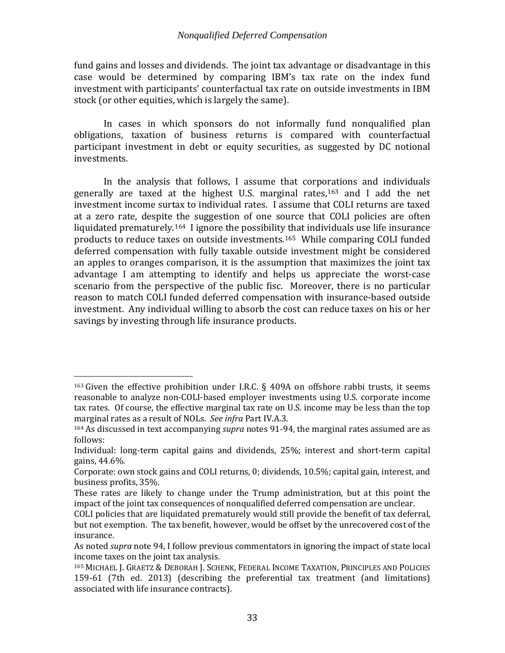fund gains and losses and dividends. The joint tax advantage or disadvantage in this case would be determined by comparing IBM's tax rate on the index fund investment with participants' counterfactual tax rate on outside investments in IBM stock (or other equities, which is largely the same).

In cases in which sponsors do not informally fund nonqualified plan obligations, taxation of business returns is compared with counterfactual participant investment in debt or equity securities, as suggested by DC notional investments.

<span id="page-35-3"></span>In the analysis that follows, I assume that corporations and individuals generally are taxed at the highest U.S. marginal rates,[163](#page-35-0) and I add the net investment income surtax to individual rates. I assume that COLI returns are taxed at a zero rate, despite the suggestion of one source that COLI policies are often liquidated prematurely.[164](#page-35-1) I ignore the possibilit[y th](#page-35-2)at individuals use life insurance products to reduce taxes on outside investments.165 While comparing COLI funded deferred compensation with fully taxable outside investment might be considered an apples to oranges comparison, it is the assumption that maximizes the joint tax advantage I am attempting to identify and helps us appreciate the worst-case scenario from the perspective of the public fisc. Moreover, there is no particular reason to match COLI funded deferred compensation with insurance-based outside investment. Any individual willing to absorb the cost can reduce taxes on his or her savings by investing through life insurance products.

<span id="page-35-0"></span><sup>&</sup>lt;sup>163</sup> Given the effective prohibition under I.R.C. § 409A on offshore rabbi trusts, it seems reasonable to analyze non-COLI-based employer investments using U.S. corporate income tax rates. Of course, the effective marginal tax rate on U.S. income may be less than the top marginal rates as a result of NOLs. *See infra* Part IV.A.3.

<span id="page-35-1"></span><sup>164</sup> As discussed in text accompanying *supra* notes [91](#page-20-8)[-94,](#page-20-9) the marginal rates assumed are as follows:

Individual: long-term capital gains and dividends, 25%; interest and short-term capital gains, 44.6%.

Corporate: own stock gains and COLI returns, 0; dividends, 10.5%; capital gain, interest, and business profits, 35%.

These rates are likely to change under the Trump administration, but at this point the impact of the joint tax consequences of nonqualified deferred compensation are unclear.

COLI policies that are liquidated prematurely would still provide the benefit of tax deferral, but not exemption. The tax benefit, however, would be offset by the unrecovered cost of the insurance.

As noted *supra* note [94,](#page-20-9) I follow previous commentators in ignoring the impact of state local income taxes on the joint tax analysis.

<span id="page-35-2"></span><sup>165</sup> MICHAEL J. GRAETZ & DEBORAH J. SCHENK, FEDERAL INCOME TAXATION, PRINCIPLES AND POLICIES 159-61 (7th ed. 2013) (describing the preferential tax treatment (and limitations) associated with life insurance contracts).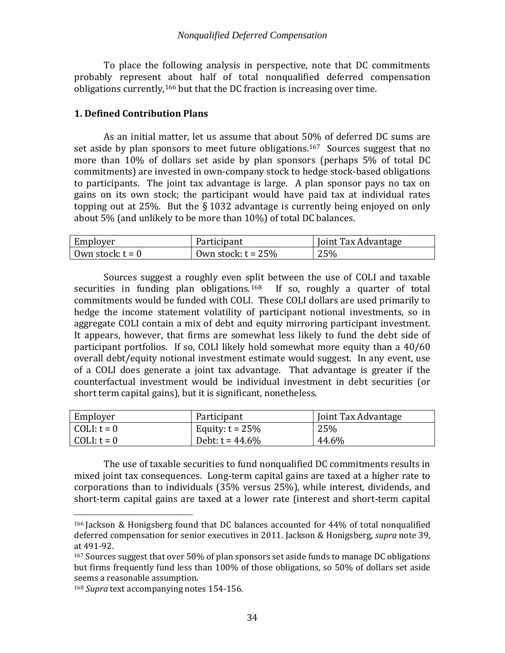To place the following analysis in perspective, note that DC commitments probably represent [ab](#page-36-1)out half of total nonqualified deferred compensation obligations currently, <sup>166</sup> but that the DC fraction is increasing over time.

# <span id="page-36-0"></span>**1. Defined Contribution Plans**

As an initial matter, let us assume that about 50% of deferred DC sums are set aside by plan sponsors to meet future obligations.<sup>[167](#page-36-2)</sup> Sources suggest that no more than 10% of dollars set aside by plan sponsors (perhaps 5% of total DC commitments) are invested in own-company stock to hedge stock-based obligations to participants. The joint tax advantage is large. A plan sponsor pays no tax on gains on its own stock; the participant would have paid tax at individual rates topping out at 25%. But the § 1032 advantage is currently being enjoyed on only about 5% (and unlikely to be more than 10%) of total DC balances.

| Employer           | Participant           | Joint Tax Advantage |
|--------------------|-----------------------|---------------------|
| Own stock: $t = 0$ | Own stock: $t = 25\%$ | 25%                 |

Sources suggest a roughly even split between the use of COLI and taxable ies in funding plan obligations.<sup>168</sup> If so, roughly a quarter of total securities in funding plan obligations.<sup>[168](#page-36-3)</sup> commitments would be funded with COLI. These COLI dollars are used primarily to hedge the income statement volatility of participant notional investments, so in aggregate COLI contain a mix of debt and equity mirroring participant investment. It appears, however, that firms are somewhat less likely to fund the debt side of participant portfolios. If so, COLI likely hold somewhat more equity than a 40/60 overall debt/equity notional investment estimate would suggest. In any event, use of a COLI does generate a joint tax advantage. That advantage is greater if the counterfactual investment would be individual investment in debt securities (or short term capital gains), but it is significant, nonetheless.

| Employer            | Participant        | Joint Tax Advantage |
|---------------------|--------------------|---------------------|
| $\vert$ COLI: t = 0 | Equity: $t = 25\%$ | 25%                 |
| COLI: t = 0         | Debt: $t = 44.6\%$ | 44.6%               |

The use of taxable securities to fund nonqualified DC commitments results in mixed joint tax consequences. Long-term capital gains are taxed at a higher rate to corporations than to individuals (35% versus 25%), while interest, dividends, and short-term capital gains are taxed at a lower rate (interest and short-term capital

<span id="page-36-1"></span> <sup>166</sup> Jackson & Honigsberg found that DC balances accounted for 44% of total nonqualified deferred compensation for senior executives in 2011. Jackson & Honigsberg, *supra* note [39,](#page-12-8) at 491-92.

<span id="page-36-2"></span><sup>167</sup> Sources suggest that over 50% of plan sponsors set aside funds to manage DC obligations but firms frequently fund less than 100% of those obligations, so 50% of dollars set aside seems a reasonable assumption.

<span id="page-36-3"></span><sup>168</sup> *Supra* text accompanying notes [154](#page-33-9)[-156.](#page-33-10)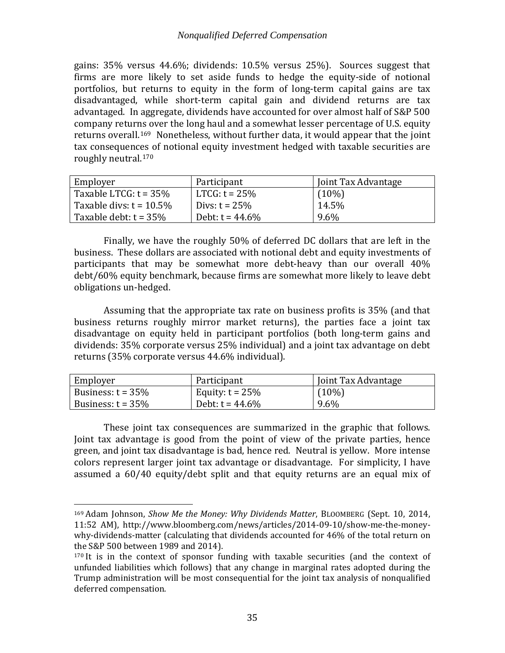gains: 35% versus 44.6%; dividends: 10.5% versus 25%). Sources suggest that firms are more likely to set aside funds to hedge the equity-side of notional portfolios, but returns to equity in the form of long-term capital gains are tax disadvantaged, while short-term capital gain and dividend returns are tax advantaged. In aggregate, dividends have accounted for over almost half of S&P 500 company returns over the long haul and a somewhat lesser percentage of U.S. equity returns overall.<sup>[169](#page-37-0)</sup> Nonetheless, without further data, it would appear that the joint tax consequences of notional equity investment hedged with taxable securities are roughly neutral.[170](#page-37-1)

| Employer                   | Participant        | Joint Tax Advantage |
|----------------------------|--------------------|---------------------|
| Taxable LTCG: $t = 35\%$   | $LTCG: t = 25%$    | $(10\%)$            |
| Taxable divs: $t = 10.5\%$ | Divs: $t = 25%$    | 14.5%               |
| Taxable debt: $t = 35\%$   | Debt: $t = 44.6\%$ | 9.6%                |

Finally, we have the roughly 50% of deferred DC dollars that are left in the business. These dollars are associated with notional debt and equity investments of participants that may be somewhat more debt-heavy than our overall 40% debt/60% equity benchmark, because firms are somewhat more likely to leave debt obligations un-hedged.

Assuming that the appropriate tax rate on business profits is 35% (and that business returns roughly mirror market returns), the parties face a joint tax disadvantage on equity held in participant portfolios (both long-term gains and dividends: 35% corporate versus 25% individual) and a joint tax advantage on debt returns (35% corporate versus 44.6% individual).

| Employer             | Participant        | Joint Tax Advantage |
|----------------------|--------------------|---------------------|
| Business: $t = 35\%$ | Equity: $t = 25\%$ | $(10\%)$            |
| Business: $t = 35\%$ | Debt: $t = 44.6\%$ | 9.6%                |

These joint tax consequences are summarized in the graphic that follows. Joint tax advantage is good from the point of view of the private parties, hence green, and joint tax disadvantage is bad, hence red. Neutral is yellow. More intense colors represent larger joint tax advantage or disadvantage. For simplicity, I have assumed a 60/40 equity/debt split and that equity returns are an equal mix of

<span id="page-37-0"></span> <sup>169</sup> Adam Johnson, *Show Me the Money: Why Dividends Matter*, BLOOMBERG (Sept. 10, 2014, 11:52 AM), http://www.bloomberg.com/news/articles/2014-09-10/show-me-the-moneywhy-dividends-matter (calculating that dividends accounted for 46% of the total return on the S&P 500 between 1989 and 2014).

<span id="page-37-1"></span><sup>170</sup> It is in the context of sponsor funding with taxable securities (and the context of unfunded liabilities which follows) that any change in marginal rates adopted during the Trump administration will be most consequential for the joint tax analysis of nonqualified deferred compensation.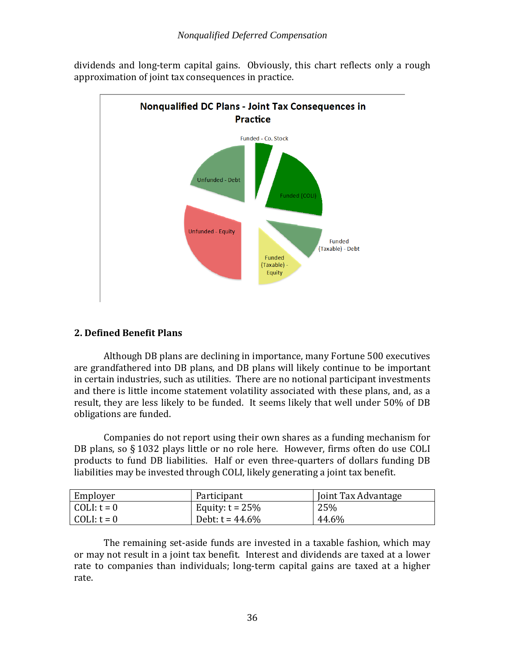

dividends and long-term capital gains. Obviously, this chart reflects only a rough approximation of joint tax consequences in practice.

# <span id="page-38-0"></span>**2. Defined Benefit Plans**

Although DB plans are declining in importance, many Fortune 500 executives are grandfathered into DB plans, and DB plans will likely continue to be important in certain industries, such as utilities. There are no notional participant investments and there is little income statement volatility associated with these plans, and, as a result, they are less likely to be funded. It seems likely that well under 50% of DB obligations are funded.

Companies do not report using their own shares as a funding mechanism for DB plans, so § 1032 plays little or no role here. However, firms often do use COLI products to fund DB liabilities. Half or even three-quarters of dollars funding DB liabilities may be invested through COLI, likely generating a joint tax benefit.

| Employer    | Participant        | Joint Tax Advantage |
|-------------|--------------------|---------------------|
| COLI: t = 0 | Equity: $t = 25\%$ | 25%                 |
| COLI: t = 0 | Debt: $t = 44.6\%$ | 44.6%               |

The remaining set-aside funds are invested in a taxable fashion, which may or may not result in a joint tax benefit. Interest and dividends are taxed at a lower rate to companies than individuals; long-term capital gains are taxed at a higher rate.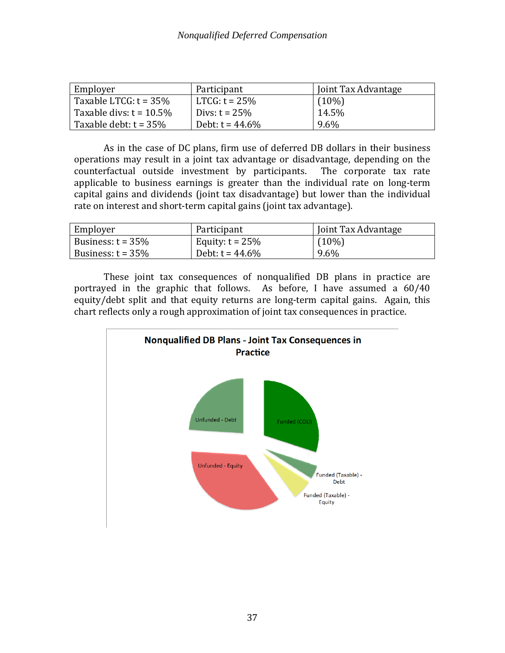| Employer                   | Participant        | Joint Tax Advantage |
|----------------------------|--------------------|---------------------|
| Taxable LTCG: $t = 35\%$   | $LTCG: t = 25\%$   | $(10\%)$            |
| Taxable divs: $t = 10.5\%$ | Divs: $t = 25%$    | 14.5%               |
| Taxable debt: $t = 35\%$   | Debt: $t = 44.6\%$ | 9.6%                |

As in the case of DC plans, firm use of deferred DB dollars in their business operations may result in a joint tax advantage or disadvantage, depending on the counterfactual outside investment by participants. The corporate tax rate counterfactual outside investment by participants. applicable to business earnings is greater than the individual rate on long-term capital gains and dividends (joint tax disadvantage) but lower than the individual rate on interest and short-term capital gains (joint tax advantage).

| Employer             | Participant        | Joint Tax Advantage |
|----------------------|--------------------|---------------------|
| Business: $t = 35\%$ | Equity: $t = 25\%$ | $(10\%)$            |
| Business: $t = 35\%$ | Debt: $t = 44.6\%$ | 9.6%                |

These joint tax consequences of nonqualified DB plans in practice are portrayed in the graphic that follows. As before, I have assumed a 60/40 equity/debt split and that equity returns are long-term capital gains. Again, this chart reflects only a rough approximation of joint tax consequences in practice.

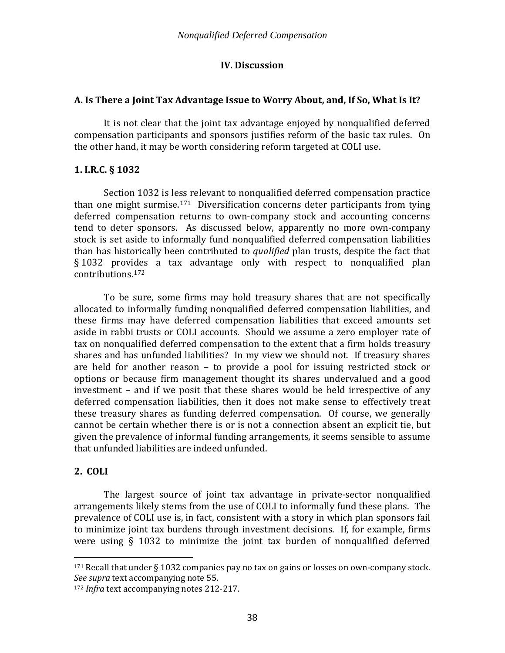# **IV. Discussion**

# <span id="page-40-1"></span><span id="page-40-0"></span>**A. Is There a Joint Tax Advantage Issue to Worry About, and, If So, What Is It?**

It is not clear that the joint tax advantage enjoyed by nonqualified deferred compensation participants and sponsors justifies reform of the basic tax rules. On the other hand, it may be worth considering reform targeted at COLI use.

# **1. I.R.C. § 1032**

Section 1032 is less relevant to nonqualified deferred compensation practice than one might surmise. [171](#page-40-2) Diversification concerns deter participants from tying deferred compensation returns to own-company stock and accounting concerns tend to deter sponsors. As discussed below, apparently no more own-company stock is set aside to informally fund nonqualified deferred compensation liabilities than has historically been contributed to *qualified* plan trusts, despite the fact that § 1032 prov[ides](#page-40-3) a tax advantage only with respect to nonqualified plan contributions. 172

To be sure, some firms may hold treasury shares that are not specifically allocated to informally funding nonqualified deferred compensation liabilities, and these firms may have deferred compensation liabilities that exceed amounts set aside in rabbi trusts or COLI accounts. Should we assume a zero employer rate of tax on nonqualified deferred compensation to the extent that a firm holds treasury shares and has unfunded liabilities? In my view we should not. If treasury shares are held for another reason – to provide a pool for issuing restricted stock or options or because firm management thought its shares undervalued and a good investment – and if we posit that these shares would be held irrespective of any deferred compensation liabilities, then it does not make sense to effectively treat these treasury shares as funding deferred compensation. Of course, we generally cannot be certain whether there is or is not a connection absent an explicit tie, but given the prevalence of informal funding arrangements, it seems sensible to assume that unfunded liabilities are indeed unfunded.

# **2. COLI**

The largest source of joint tax advantage in private-sector nonqualified arrangements likely stems from the use of COLI to informally fund these plans. The prevalence of COLI use is, in fact, consistent with a story in which plan sponsors fail to minimize joint tax burdens through investment decisions. If, for example, firms were using § 1032 to minimize the joint tax burden of nonqualified deferred

<span id="page-40-2"></span> $171$  Recall that under § 1032 companies pay no tax on gains or losses on own-company stock. *See supra* text accompanying not[e 55.](#page-14-5)

<span id="page-40-3"></span><sup>172</sup> *Infra* text accompanying notes [212-](#page-52-1)[217.](#page-52-2)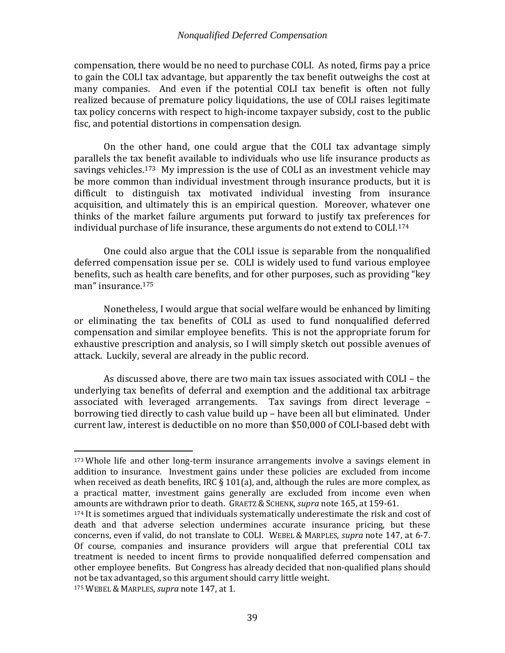compensation, there would be no need to purchase COLI. As noted, firms pay a price to gain the COLI tax advantage, but apparently the tax benefit outweighs the cost at many companies. And even if the potential COLI tax benefit is often not fully realized because of premature policy liquidations, the use of COLI raises legitimate tax policy concerns with respect to high-income taxpayer subsidy, cost to the public fisc, and potential distortions in compensation design.

<span id="page-41-0"></span>On the other hand, one could argue that the COLI tax advantage simply parallels the tax benefit available to individuals who use life insurance products as savings vehicles.<sup>[173](#page-41-1)</sup> My impression is the use of COLI as an investment vehicle may be more common than individual investment through insurance products, but it is difficult to distinguish tax motivated individual investing from insurance acquisition, and ultimately this is an empirical question. Moreover, whatever one thinks of the market failure arguments put forward to justify tax preferences for individual purchase of life insurance, these arguments do not extend to COLI.[174](#page-41-2)

One could also argue that the COLI issue is separable from the nonqualified deferred compensation issue per se. COLI is widely used to fund various employee benefits, such as health care benefits, and for other purposes, such as providing "key man" insurance. [175](#page-41-3)

Nonetheless, I would argue that social welfare would be enhanced by limiting or eliminating the tax benefits of COLI as used to fund nonqualified deferred compensation and similar employee benefits. This is not the appropriate forum for exhaustive prescription and analysis, so I will simply sketch out possible avenues of attack. Luckily, several are already in the public record.

As discussed above, there are two main tax issues associated with COLI – the underlying tax benefits of deferral and exemption and the additional tax arbitrage associated with leveraged arrangements. Tax savings from direct leverage – borrowing tied directly to cash value build up – have been all but eliminated. Under current law, interest is deductible on no more than \$50,000 of COLI-based debt with

<span id="page-41-1"></span> <sup>173</sup> Whole life and other long-term insurance arrangements involve a savings element in addition to insurance. Investment gains under these policies are excluded from income when received as death benefits, IRC  $\S 101(a)$ , and, although the rules are more complex, as a practical matter, investment gains generally are excluded from income even when amounts are withdrawn prior to death. GRAETZ & SCHENK, *supra* note [165,](#page-35-3) at 159-61.

<span id="page-41-2"></span><sup>&</sup>lt;sup>174</sup> It is sometimes argued that individuals systematically underestimate the risk and cost of death and that adverse selection undermines accurate insurance pricing, but these concerns, even if valid, do not translate to COLI. WEBEL & MARPLES, *supra* note [147,](#page-32-6) at 6-7. Of course, companies and insurance providers will argue that preferential COLI tax treatment is needed to incent firms to provide nonqualified deferred compensation and other employee benefits. But Congress has already decided that non-qualified plans should not be tax advantaged, so this argument should carry little weight.

<span id="page-41-3"></span><sup>175</sup> WEBEL & MARPLES, *supra* note [147,](#page-32-6) at 1.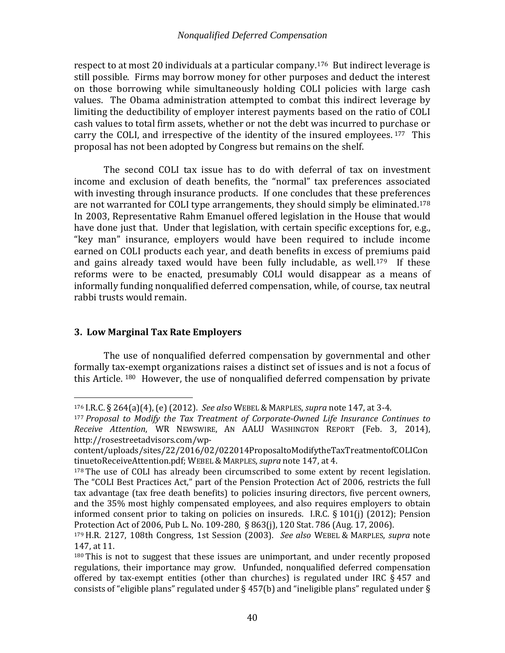respect to at most 20 individuals at a particular company.[176](#page-42-4) But indirect leverage is still possible. Firms may borrow money for other purposes and deduct the interest on those borrowing while simultaneously holding COLI policies with large cash values. The Obama administration attempted to combat this indirect leverage by limiting the deductibility of employer interest payments based on the ratio of COLI cash values to total firm assets, whether or not the debt was incurred to pu[rcha](#page-42-5)se or carry the COLI, and irrespective of the identity of the insured employees. <sup>177</sup> This proposal has not been adopted by Congress but remains on the shelf.

<span id="page-42-2"></span>The second COLI tax issue has to do with deferral of tax on investment income and exclusion of death benefits, the "normal" tax preferences associated with investing through insurance products. If one concludes that these preferences are not warranted for COLI type arrangements, they should simply be eliminated.[178](#page-42-6) In 2003, Representative Rahm Emanuel offered legislation in the House that would have done just that. Under that legislation, with certain specific exceptions for, e.g., "key man" insurance, employers would have been required to include income earned on COLI products each year, and death benefits in excess of premiums paid and gains already taxed would have been fully includable, as well.<sup>179</sup> If these reforms were to be enacted, presumably COLI would disappear as a means of informally funding nonqualified deferred compensation, while, of course, tax neutral rabbi trusts would remain.

# <span id="page-42-3"></span>**3. Low Marginal Tax Rate Employers**

<span id="page-42-1"></span><span id="page-42-0"></span>The use of nonqualified deferred compensation by governmental and other formally tax-exempt organizations raises a distinct set of issues and is not a focus of this Article. [180](#page-42-8) However, the use of nonqualified deferred compensation by private

<span id="page-42-4"></span> <sup>176</sup> I.R.C. § 264(a)(4), (e) (2012). *See also* WEBEL & MARPLES, *supra* note [147,](#page-32-6) at 3-4.

<span id="page-42-5"></span><sup>177</sup> *Proposal to Modify the Tax Treatment of Corporate-Owned Life Insurance Continues to Receive Attention*, WR NEWSWIRE, AN AALU WASHINGTON REPORT (Feb. 3, 2014), http://rosestreetadvisors.com/wp-

content/uploads/sites/22/2016/02/022014ProposaltoModifytheTaxTreatmentofCOLICon tinuetoReceiveAttention.pdf; WEBEL & MARPLES, *supra* note [147,](#page-32-6) at 4.

<span id="page-42-6"></span><sup>&</sup>lt;sup>178</sup> The use of COLI has already been circumscribed to some extent by recent legislation. The "COLI Best Practices Act," part of the Pension Protection Act of 2006, restricts the full tax advantage (tax free death benefits) to policies insuring directors, five percent owners, and the 35% most highly compensated employees, and also requires employers to obtain informed consent prior to taking on policies on insureds. I.R.C. § 101(j) (2012); Pension Protection Act of 2006, Pub L. No. 109-280, § 863(j), 120 Stat. 786 (Aug. 17, 2006).

<span id="page-42-7"></span><sup>179</sup> H.R. 2127, 108th Congress, 1st Session (2003). *See also* WEBEL & MARPLES, *supra* note [147,](#page-32-6) at 11.

<span id="page-42-8"></span><sup>180</sup> This is not to suggest that these issues are unimportant, and under recently proposed regulations, their importance may grow. Unfunded, nonqualified deferred compensation offered by tax-exempt entities (other than churches) is regulated under IRC  $\S$ 457 and consists of "eligible plans" regulated under § 457(b) and "ineligible plans" regulated under §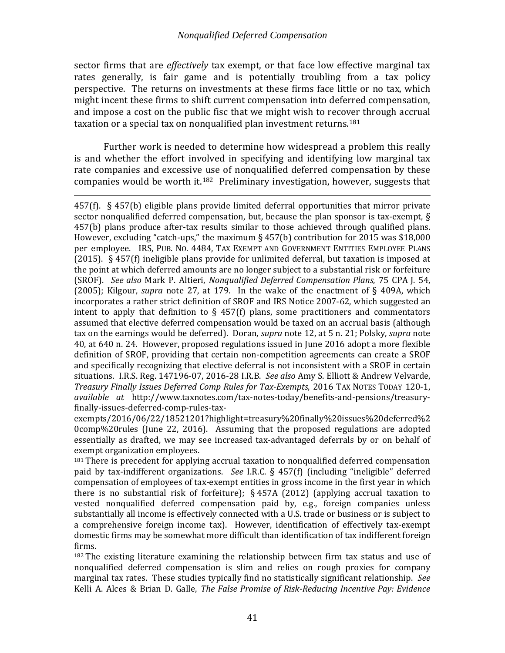sector firms that are *effectively* tax exempt, or that face low effective marginal tax rates generally, is fair game and is potentially troubling from a tax policy perspective. The returns on investments at these firms face little or no tax, which might incent these firms to shift current compensation into deferred compensation, and impose a cost on the public fisc that we might wish to recover through accrual taxation or a special tax on nonqualified plan investment returns.<sup>[181](#page-43-0)</sup>

Further work is needed to determine how widespread a problem this really is and whether the effort involved in specifying and identifying low marginal tax rate companies and excessive use of nonqualified deferred compensation by these companies would be worth it.[182](#page-43-1) Preliminary investigation, however, suggests that

i<br>I 457(f). § 457(b) eligible plans provide limited deferral opportunities that mirror private sector nonqualified deferred compensation, but, because the plan sponsor is tax-exempt, § 457(b) plans produce after-tax results similar to those achieved through qualified plans. However, excluding "catch-ups," the maximum § 457(b) contribution for 2015 was \$18,000 per employee. IRS, PUB. NO. 4484, TAX EXEMPT AND GOVERNMENT ENTITIES EMPLOYEE PLANS (2015). § 457(f) ineligible plans provide for unlimited deferral, but taxation is imposed at the point at which deferred amounts are no longer subject to a substantial risk or forfeiture (SROF). *See also* Mark P. Altieri, *Nonqualified Deferred Compensation Plans*, 75 CPA J. 54, (2005); Kilgour, *supra* note [27,](#page-9-7) at 179. In the wake of the enactment of § 409A, which incorporates a rather strict definition of SROF and IRS Notice 2007-62, which suggested an intent to apply that definition to  $\S$  457(f) plans, some practitioners and commentators assumed that elective deferred compensation would be taxed on an accrual basis (although tax on the earnings would be deferred). Doran, *supra* note [12,](#page-6-4) at 5 n. 21; Polsky, *supra* note [40,](#page-12-1) at 640 n. 24. However, proposed regulations issued in June 2016 adopt a more flexible definition of SROF, providing that certain non-competition agreements can create a SROF and specifically recognizing that elective deferral is not inconsistent with a SROF in certain situations. I.R.S. Reg. 147196-07, 2016-28 I.R.B. *See also* Amy S. Elliott & Andrew Velvarde, *Treasury Finally Issues Deferred Comp Rules for Tax-Exempts*, 2016 TAX NOTES TODAY 120-1, *available at* http://www.taxnotes.com/tax-notes-today/benefits-and-pensions/treasuryfinally-issues-deferred-comp-rules-tax-

exempts/2016/06/22/18521201?highlight=treasury%20finally%20issues%20deferred%2 0comp%20rules (June 22, 2016). Assuming that the proposed regulations are adopted essentially as drafted, we may see increased tax-advantaged deferrals by or on behalf of exempt organization employees.

<span id="page-43-0"></span><sup>181</sup> There is precedent for applying accrual taxation to nonqualified deferred compensation paid by tax-indifferent organizations. *See* I.R.C. § 457(f) (including "ineligible" deferred compensation of employees of tax-exempt entities in gross income in the first year in which there is no substantial risk of forfeiture);  $\S$  457A (2012) (applying accrual taxation to vested nonqualified deferred compensation paid by, e.g., foreign companies unless substantially all income is effectively connected with a U.S. trade or business or is subject to a comprehensive foreign income tax). However, identification of effectively tax-exempt domestic firms may be somewhat more difficult than identification of tax indifferent foreign firms.

<span id="page-43-1"></span><sup>182</sup> The existing literature examining the relationship between firm tax status and use of nonqualified deferred compensation is slim and relies on rough proxies for company marginal tax rates. These studies typically find no statistically significant relationship. *See* Kelli A. Alces & Brian D. Galle, *The False Promise of Risk-Reducing Incentive Pay: Evidence*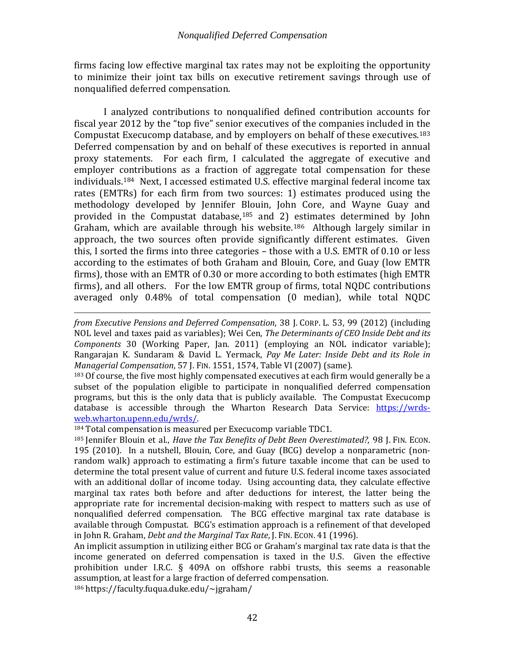firms facing low effective marginal tax rates may not be exploiting the opportunity to minimize their joint tax bills on executive retirement savings through use of nonqualified deferred compensation.

I analyzed contributions to nonqualified defined contribution accounts for fiscal year 2012 by the "top five" senior executives of the companies included in the Compustat Execucomp database, and by employers on behalf of these executives.[183](#page-44-0) Deferred compensation by and on behalf of these executives is reported in annual proxy statements. For each firm, I calculated the aggregate of executive and employer contributions as a fraction of aggregate total compensation for these individuals.[184](#page-44-1) Next, I accessed estimated U.S. effective marginal federal income tax rates (EMTRs) for each firm from two sources: 1) estimates produced using the methodology developed by Jennifer Blouin, John Core, and Wayne Guay and provided in the Compustat database, $185$  and 2) estimates determined by John Graham, which are available through his website.<sup>[186](#page-44-3)</sup> Although largely similar in approach, the two sources often provide significantly different estimates. Given this, I sorted the firms into three categories – those with a U.S. EMTR of 0.10 or less according to the estimates of both Graham and Blouin, Core, and Guay (low EMTR firms), those with an EMTR of 0.30 or more according to both estimates (high EMTR firms), and all others. For the low EMTR group of firms, total NQDC contributions averaged only 0.48% of total compensation (0 median), while total NQDC

i<br>I *from Executive Pensions and Deferred Compensation*, 38 J. CORP. L. 53, 99 (2012) (including NOL level and taxes paid as variables); Wei Cen, *The Determinants of CEO Inside Debt and its Components* 30 (Working Paper, Jan. 2011) (employing an NOL indicator variable); Rangarajan K. Sundaram & David L. Yermack, *Pay Me Later: Inside Debt and its Role in Managerial Compensation*, 57 J. FIN. 1551, 1574, Table VI (2007) (same).

<span id="page-44-0"></span><sup>183</sup> Of course, the five most highly compensated executives at each firm would generally be a subset of the population eligible to participate in nonqualified deferred compensation programs, but this is the only data that is publicly available. The Compustat Execucomp database is accessible through the Wharton Research Data Service: https://wrds-<br>web.wharton.upenn.edu/wrds/.

<span id="page-44-1"></span> $184$  Total compensation is measured per Execucomp variable TDC1.

<span id="page-44-2"></span><sup>185</sup> Jennifer Blouin et al., *Have the Tax Benefits of Debt Been Overestimated?*, 98 J. FIN. ECON. 195 (2010). In a nutshell, Blouin, Core, and Guay (BCG) develop a nonparametric (nonrandom walk) approach to estimating a firm's future taxable income that can be used to determine the total present value of current and future U.S. federal income taxes associated with an additional dollar of income today. Using accounting data, they calculate effective marginal tax rates both before and after deductions for interest, the latter being the appropriate rate for incremental decision-making with respect to matters such as use of nonqualified deferred compensation. The BCG effective marginal tax rate database is available through Compustat. BCG's estimation approach is a refinement of that developed in John R. Graham, *Debt and the Marginal Tax Rate*, J. FIN. ECON. 41 (1996).

An implicit assumption in utilizing either BCG or Graham's marginal tax rate data is that the income generated on deferred compensation is taxed in the U.S. Given the effective prohibition under I.R.C. § 409A on offshore rabbi trusts, this seems a reasonable assumption, at least for a large fraction of deferred compensation.

<span id="page-44-3"></span><sup>186</sup> https://faculty.fuqua.duke.edu/~jgraham/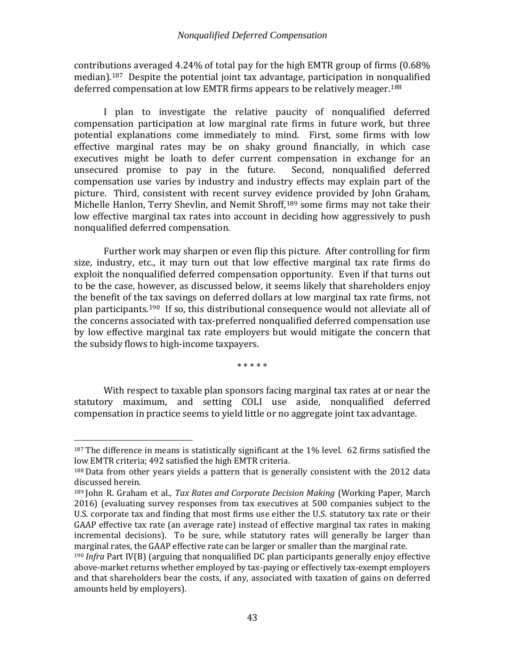contributions averaged 4.24% of total pay for the high EMTR group of firms (0.68% median).[187](#page-45-0) Despite the potential joint tax advantage, participation in nonqualified deferred compensation at low EMTR firms appears to be relatively meager.<sup>[188](#page-45-1)</sup>

I plan to investigate the relative paucity of nonqualified deferred compensation participation at low marginal rate firms in future work, but three potential explanations come immediately to mind. First, some firms with low effective marginal rates may be on shaky ground financially, in which case executives might be loath to defer current compensation in exchange for an unsecured promise to pay in the future. Second, nonqualified deferred unsecured promise to pay in the future. compensation use varies by industry and industry effects may explain part of the picture. Third, consistent with recent survey evidence provided by John Graham, Michelle Hanlon, Terry Shevlin, and Nemit Shroff,<sup>[189](#page-45-2)</sup> some firms may not take their low effective marginal tax rates into account in deciding how aggressively to push nonqualified deferred compensation.

Further work may sharpen or even flip this picture. After controlling for firm size, industry, etc., it may turn out that low effective marginal tax rate firms do exploit the nonqualified deferred compensation opportunity. Even if that turns out to be the case, however, as discussed below, it seems likely that shareholders enjoy the benefit of the tax savings on deferred dollars at low marginal tax rate firms, not plan participants. [190](#page-45-3) If so, this distributional consequence would not alleviate all of the concerns associated with tax-preferred nonqualified deferred compensation use by low effective marginal tax rate employers but would mitigate the concern that the subsidy flows to high-income taxpayers.

\* \* \* \* \*

With respect to taxable plan sponsors facing marginal tax rates at or near the statutory maximum, and setting COLI use aside, nonqualified deferred compensation in practice seems to yield little or no aggregate joint tax advantage.

<span id="page-45-0"></span> $187$  The difference in means is statistically significant at the  $1\%$  level. 62 firms satisfied the low EMTR criteria; 492 satisfied the high EMTR criteria.

<span id="page-45-1"></span><sup>&</sup>lt;sup>188</sup> Data from other years yields a pattern that is generally consistent with the 2012 data discussed herein.

<span id="page-45-2"></span><sup>189</sup> John R. Graham et al., *Tax Rates and Corporate Decision Making* (Working Paper, March 2016) (evaluating survey responses from tax executives at 500 companies subject to the U.S. corporate tax and finding that most firms use either the U.S. statutory tax rate or their GAAP effective tax rate (an average rate) instead of effective marginal tax rates in making incremental decisions). To be sure, while statutory rates will generally be larger than marginal rates, the GAAP effective rate can be larger or smaller than the marginal rate.

<span id="page-45-3"></span><sup>190</sup> *Infra* Part IV(B) (arguing that nonqualified DC plan participants generally enjoy effective above-market returns whether employed by tax-paying or effectively tax-exempt employers and that shareholders bear the costs, if any, associated with taxation of gains on deferred amounts held by employers).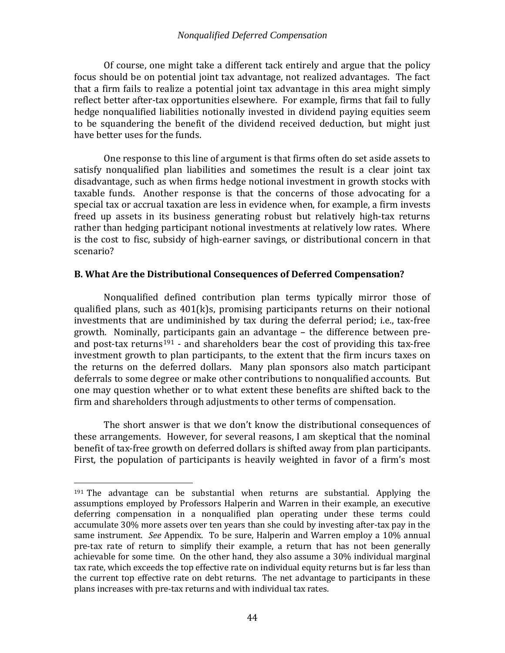Of course, one might take a different tack entirely and argue that the policy focus should be on potential joint tax advantage, not realized advantages. The fact that a firm fails to realize a potential joint tax advantage in this area might simply reflect better after-tax opportunities elsewhere. For example, firms that fail to fully hedge nonqualified liabilities notionally invested in dividend paying equities seem to be squandering the benefit of the dividend received deduction, but might just have better uses for the funds.

One response to this line of argument is that firms often do set aside assets to satisfy nonqualified plan liabilities and sometimes the result is a clear joint tax disadvantage, such as when firms hedge notional investment in growth stocks with taxable funds. Another response is that the concerns of those advocating for a special tax or accrual taxation are less in evidence when, for example, a firm invests freed up assets in its business generating robust but relatively high-tax returns rather than hedging participant notional investments at relatively low rates. Where is the cost to fisc, subsidy of high-earner savings, or distributional concern in that scenario?

## <span id="page-46-0"></span>**B. What Are the Distributional Consequences of Deferred Compensation?**

Nonqualified defined contribution plan terms typically mirror those of qualified plans, such as 401(k)s, promising participants returns on their notional investments that are undiminished by tax during the deferral period; i.e., tax-free growth. Nominally, participants gain an advantage – the difference between pre-and post-tax returns<sup>[191](#page-46-1)</sup> - and shareholders bear the cost of providing this tax-free investment growth to plan participants, to the extent that the firm incurs taxes on the returns on the deferred dollars. Many plan sponsors also match participant deferrals to some degree or make other contributions to nonqualified accounts. But one may question whether or to what extent these benefits are shifted back to the firm and shareholders through adjustments to other terms of compensation.

The short answer is that we don't know the distributional consequences of these arrangements. However, for several reasons, I am skeptical that the nominal benefit of tax-free growth on deferred dollars is shifted away from plan participants. First, the population of participants is heavily weighted in favor of a firm's most

<span id="page-46-1"></span> <sup>191</sup> The advantage can be substantial when returns are substantial. Applying the assumptions employed by Professors Halperin and Warren in their example, an executive deferring compensation in a nonqualified plan operating under these terms could accumulate 30% more assets over ten years than she could by investing after-tax pay in the same instrument. *See* Appendix. To be sure, Halperin and Warren employ a 10% annual pre-tax rate of return to simplify their example, a return that has not been generally achievable for some time. On the other hand, they also assume a 30% individual marginal tax rate, which exceeds the top effective rate on individual equity returns but is far less than the current top effective rate on debt returns. The net advantage to participants in these plans increases with pre-tax returns and with individual tax rates.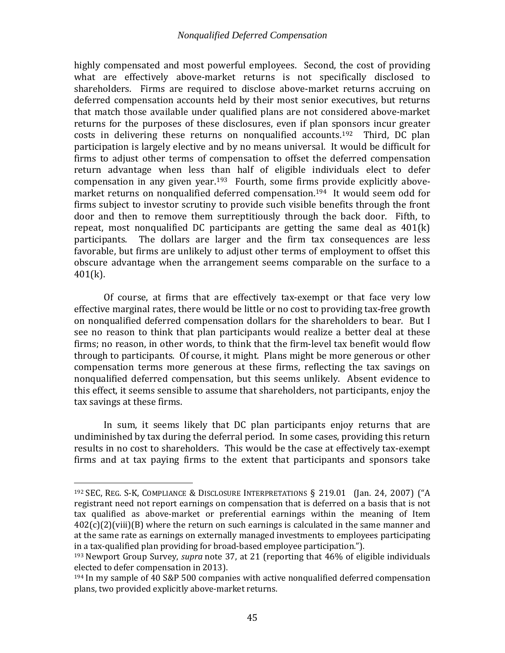highly compensated and most powerful employees. Second, the cost of providing what are effectively above-market returns is not specifically disclosed to shareholders. Firms are required to disclose above-market returns accruing on deferred compensation accounts held by their most senior executives, but returns that match those available under qualified plans are not considered above-market returns for the purposes of these disclosures, even if plan sponsors incur greater costs in delivering these returns on nonqualified accounts.[192](#page-47-0) Third, DC plan participation is largely elective and by no means universal. It would be difficult for firms to adjust other terms of compensation to offset the deferred compensation return advantage when less than half of eligible individuals elect to defer compensation in any given year.[193](#page-47-1) Fourth, some firms provide explicitly abovemarket returns on nonqualified deferred compensation.[194](#page-47-2) It would seem odd for firms subject to investor scrutiny to provide such visible benefits through the front door and then to remove them surreptitiously through the back door. Fifth, to repeat, most nonqualified DC participants are getting the same deal as 401(k) participants. The dollars are larger and the firm tax consequences are less favorable, but firms are unlikely to adjust other terms of employment to offset this obscure advantage when the arrangement seems comparable on the surface to a  $401(k)$ .

Of course, at firms that are effectively tax-exempt or that face very low effective marginal rates, there would be little or no cost to providing tax-free growth on nonqualified deferred compensation dollars for the shareholders to bear. But I see no reason to think that plan participants would realize a better deal at these firms; no reason, in other words, to think that the firm-level tax benefit would flow through to participants. Of course, it might. Plans might be more generous or other compensation terms more generous at these firms, reflecting the tax savings on nonqualified deferred compensation, but this seems unlikely. Absent evidence to this effect, it seems sensible to assume that shareholders, not participants, enjoy the tax savings at these firms.

In sum, it seems likely that DC plan participants enjoy returns that are undiminished by tax during the deferral period. In some cases, providing this return results in no cost to shareholders. This would be the case at effectively tax-exempt firms and at tax paying firms to the extent that participants and sponsors take

<span id="page-47-0"></span> <sup>192</sup> SEC, REG. S-K, COMPLIANCE & DISCLOSURE INTERPRETATIONS § 219.01 (Jan. 24, 2007) ("A registrant need not report earnings on compensation that is deferred on a basis that is not tax qualified as above-market or preferential earnings within the meaning of Item  $402(c)(2)(viii)(B)$  where the return on such earnings is calculated in the same manner and at the same rate as earnings on externally managed investments to employees participating in a tax-qualified plan providing for broad-based employee participation.").

<span id="page-47-1"></span><sup>193</sup> Newport Group Survey, *supra* note [37,](#page-11-5) at 21 (reporting that 46% of eligible individuals elected to defer compensation in 2013).

<span id="page-47-2"></span><sup>194</sup> In my sample of 40 S&P 500 companies with active nonqualified deferred compensation plans, two provided explicitly above-market returns.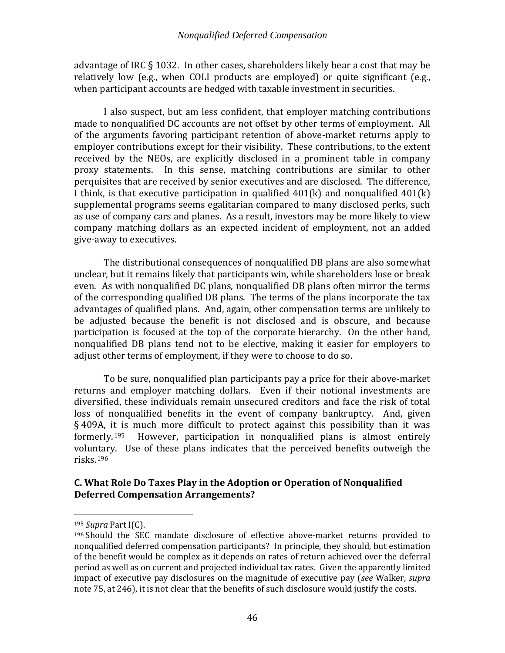advantage of IRC § 1032. In other cases, shareholders likely bear a cost that may be relatively low (e.g., when COLI products are employed) or quite significant (e.g., when participant accounts are hedged with taxable investment in securities.

I also suspect, but am less confident, that employer matching contributions made to nonqualified DC accounts are not offset by other terms of employment. All of the arguments favoring participant retention of above-market returns apply to employer contributions except for their visibility. These contributions, to the extent received by the NEOs, are explicitly disclosed in a prominent table in company proxy statements. In this sense, matching contributions are similar to other perquisites that are received by senior executives and are disclosed. The difference, I think, is that executive participation in qualified 401(k) and nonqualified 401(k) supplemental programs seems egalitarian compared to many disclosed perks, such as use of company cars and planes. As a result, investors may be more likely to view company matching dollars as an expected incident of employment, not an added give-away to executives.

The distributional consequences of nonqualified DB plans are also somewhat unclear, but it remains likely that participants win, while shareholders lose or break even. As with nonqualified DC plans, nonqualified DB plans often mirror the terms of the corresponding qualified DB plans. The terms of the plans incorporate the tax advantages of qualified plans. And, again, other compensation terms are unlikely to be adjusted because the benefit is not disclosed and is obscure, and because participation is focused at the top of the corporate hierarchy. On the other hand, nonqualified DB plans tend not to be elective, making it easier for employers to adjust other terms of employment, if they were to choose to do so.

To be sure, nonqualified plan participants pay a price for their above-market returns and employer matching dollars. Even if their notional investments are diversified, these individuals remain unsecured creditors and face the risk of total loss of nonqualified benefits in the event of company bankruptcy. And, given  $§$  409A, it is much more difficult to protect against this possibility than it was formerly.<sup>195</sup> However, participation in nonqualified plans is almost entirely However, participation in nonqualified plans is almost entirely voluntary. Use of these plans indicates that the perceived benefits outweigh the risks. [196](#page-48-2)

# <span id="page-48-0"></span>**C. What Role Do Taxes Play in the Adoption or Operation of Nonqualified Deferred Compensation Arrangements?**

<span id="page-48-1"></span> <sup>195</sup> *Supra* Part I(C).

<span id="page-48-2"></span><sup>196</sup> Should the SEC mandate disclosure of effective above-market returns provided to nonqualified deferred compensation participants? In principle, they should, but estimation of the benefit would be complex as it depends on rates of return achieved over the deferral period as well as on current and projected individual tax rates. Given the apparently limited impact of executive pay disclosures on the magnitude of executive pay (*see* Walker, *supra*  not[e 75,](#page-18-5) at 246), it is not clear that the benefits of such disclosure would justify the costs.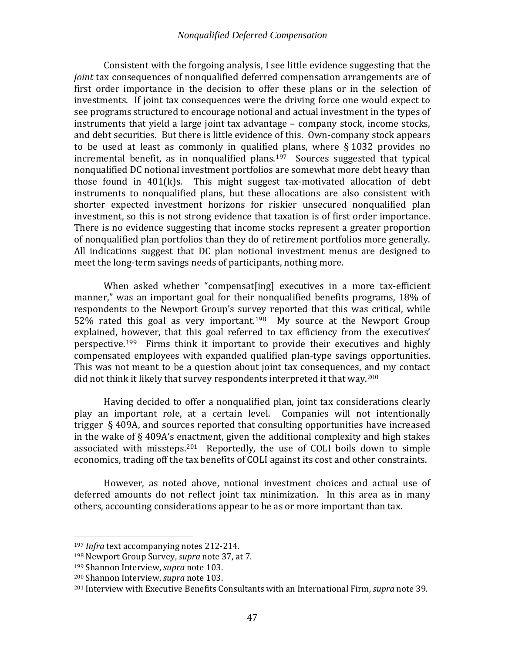Consistent with the forgoing analysis, I see little evidence suggesting that the *joint* tax consequences of nonqualified deferred compensation arrangements are of first order importance in the decision to offer these plans or in the selection of investments. If joint tax consequences were the driving force one would expect to see programs structured to encourage notional and actual investment in the types of instruments that yield a large joint tax advantage – company stock, income stocks, and debt securities. But there is little evidence of this. Own-company stock appears to be used at least as commonly in qualified plans, where § 1032 provides no incremental benefit, as in nonqualified plans.<sup>[197](#page-49-0)</sup> Sources suggested that typical nonqualified DC notional investment portfolios are somewhat more debt heavy than those found in 401(k)s. This might suggest tax-motivated allocation of debt instruments to nonqualified plans, but these allocations are also consistent with shorter expected investment horizons for riskier unsecured nonqualified plan investment, so this is not strong evidence that taxation is of first order importance. There is no evidence suggesting that income stocks represent a greater proportion of nonqualified plan portfolios than they do of retirement portfolios more generally. All indications suggest that DC plan notional investment menus are designed to meet the long-term savings needs of participants, nothing more.

When asked whether "compensat[ing] executives in a more tax-efficient manner," was an important goal for their nonqualified benefits programs, 18% of respondents to the Newport Group's survey reported that this was critical, while 52% rated this goal as very important.<sup>[198](#page-49-1)</sup> My source at the Newport Group explained, however, that this goal referred to tax efficiency from the executives' perspective.[199](#page-49-2) Firms think it important to provide their executives and highly compensated employees with expanded qualified plan-type savings opportunities. This was not meant to be a question about joint tax consequences, and my contact did not think it likely that survey respondents interpreted it that way.<sup>[200](#page-49-3)</sup>

Having decided to offer a nonqualified plan, joint tax considerations clearly play an important role, at a certain level. Companies will not intentionally trigger § 409A, and sources reported that consulting opportunities have increased in the wake of § 409A's enactment, given the additional complexity and high stakes associated with missteps.<sup>201</sup> Reportedly, the use of COLI boils down to simple economics, trading off the tax benefits of COLI against its cost and other constraints.

However, as noted above, notional investment choices and actual use of deferred amounts do not reflect joint tax minimization. In this area as in many others, accounting considerations appear to be as or more important than tax.

<span id="page-49-0"></span> <sup>197</sup> *Infra* text accompanying notes [212-](#page-52-1)[214.](#page-52-3)

<span id="page-49-1"></span><sup>198</sup> Newport Group Survey, *supra* note [37,](#page-11-5) at 7.

<span id="page-49-2"></span><sup>199</sup> Shannon Interview, *supra* note [103.](#page-23-5)

<span id="page-49-3"></span><sup>200</sup> Shannon Interview, *supra* note [103.](#page-23-5)

<span id="page-49-4"></span><sup>201</sup> Interview with Executive Benefits Consultants with an International Firm, *supra* not[e 39.](#page-12-8)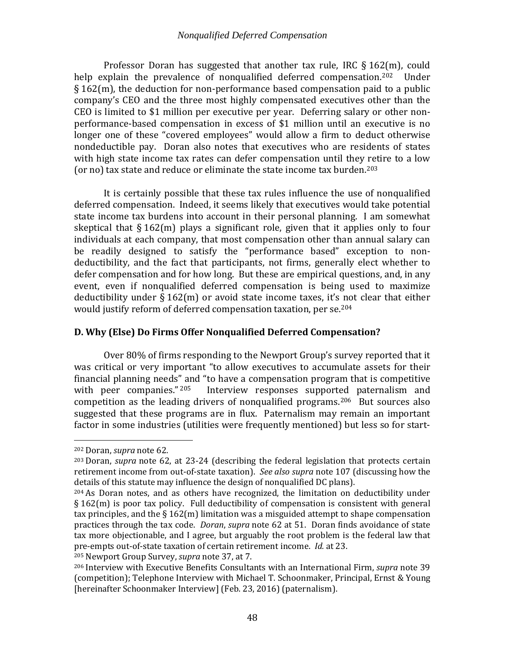Professor Doran has suggested that another tax rule, IRC § 162(m), could help explain the prevalence of nonqualified deferred compensation.<sup>202</sup> Under § 162(m), the deduction for non-performance based compensation paid to a public company's CEO and the three most highly compensated executives other than the CEO is limited to \$1 million per executive per year. Deferring salary or other nonperformance-based compensation in excess of \$1 million until an executive is no longer one of these "covered employees" would allow a firm to deduct otherwise nondeductible pay. Doran also notes that executives who are residents of states with high state income tax rates can defer compensation until they retire to a low (or no) tax state and reduce or eliminate the state income tax burden.<sup>[203](#page-50-2)</sup>

It is certainly possible that these tax rules influence the use of nonqualified deferred compensation. Indeed, it seems likely that executives would take potential state income tax burdens into account in their personal planning. I am somewhat skeptical that  $\S 162(m)$  plays a significant role, given that it applies only to four individuals at each company, that most compensation other than annual salary can be readily designed to satisfy the "performance based" exception to nondeductibility, and the fact that participants, not firms, generally elect whether to defer compensation and for how long. But these are empirical questions, and, in any event, even if nonqualified deferred compensation is being used to maximize deductibility under § 162(m) or avoid state income taxes, it's [no](#page-50-3)t clear that either would justify reform of deferred compensation taxation, per se. 204

# <span id="page-50-0"></span>**D. Why (Else) Do Firms Offer Nonqualified Deferred Compensation?**

<span id="page-50-6"></span>Over 80% of firms responding to the Newport Group's survey reported that it was critical or very important "to allow executives to accumulate assets for their financial planning needs" and "to have a compensation program that is competitive with peer companies."  $205$  Interview responses supported paternalism and Interview responses supported paternalism and competition as the leading drivers of nonqualified programs.[206](#page-50-5) But sources also suggested that these programs are in flux. Paternalism may remain an important factor in some industries (utilities were frequently mentioned) but less so for start-

<span id="page-50-1"></span> <sup>202</sup> Doran, *supra* note [62.](#page-15-7)

<span id="page-50-2"></span><sup>203</sup> Doran, *supra* note [62,](#page-15-7) at 23-24 (describing the federal legislation that protects certain retirement income from out-of-state taxation). *See also supra* not[e 107](#page-24-6) (discussing how the details of this statute may influence the design of nonqualified DC plans).

<span id="page-50-3"></span><sup>204</sup> As Doran notes, and as others have recognized, the limitation on deductibility under § 162(m) is poor tax policy. Full deductibility of compensation is consistent with general tax principles, and the  $\S 162(m)$  limitation was a misguided attempt to shape compensation practices through the tax code. *Doran*, *supra* note [62](#page-15-7) at 51. Doran finds avoidance of state tax more objectionable, and I agree, but arguably the root problem is the federal law that pre-empts out-of-state taxation of certain retirement income. *Id.* at 23.

<span id="page-50-4"></span><sup>205</sup> Newport Group Survey, *supra* note [37,](#page-11-5) at 7.

<span id="page-50-5"></span><sup>206</sup> Interview with Executive Benefits Consultants with an International Firm, *supra* note [39](#page-12-8) (competition); Telephone Interview with Michael T. Schoonmaker, Principal, Ernst & Young [hereinafter Schoonmaker Interview] (Feb. 23, 2016) (paternalism).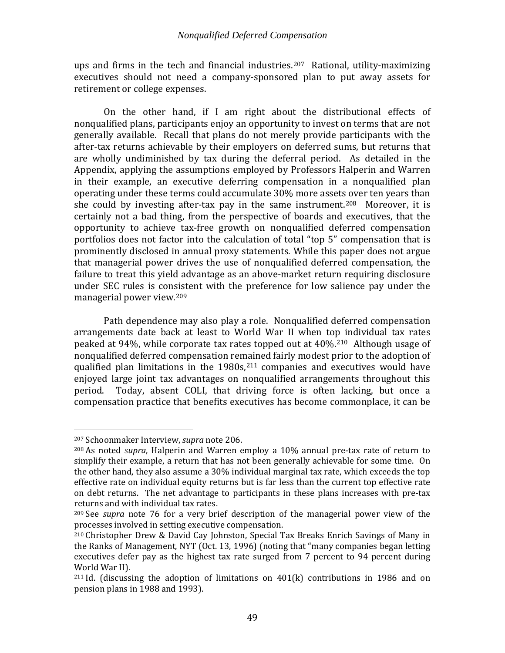ups and firms in the tech and financial industries.<sup>[207](#page-51-0)</sup> Rational, utility-maximizing executives should not need a company-sponsored plan to put away assets for retirement or college expenses.

On the other hand, if I am right about the distributional effects of nonqualified plans, participants enjoy an opportunity to invest on terms that are not generally available. Recall that plans do not merely provide participants with the after-tax returns achievable by their employers on deferred sums, but returns that are wholly undiminished by tax during the deferral period. As detailed in the Appendix, applying the assumptions employed by Professors Halperin and Warren in their example, an executive deferring compensation in a nonqualified plan operating under these terms could accumulate 30% more assets over ten years than she could by investing after-tax pay in the same instrument.<sup>208</sup> Moreover, it is certainly not a bad thing, from the perspective of boards and executives, that the opportunity to achieve tax-free growth on nonqualified deferred compensation portfolios does not factor into the calculation of total "top 5" compensation that is prominently disclosed in annual proxy statements. While this paper does not argue that managerial power drives the use of nonqualified deferred compensation, the failure to treat this yield advantage as an above-market return requiring disclosure under SEC rules is consistent with the preference for low salience pay under the managerial power view.[209](#page-51-2)

Path dependence may also play a role. Nonqualified deferred compensation arrangements date back at least to World War II when top individual tax rates peaked at 94%, while corporate tax rates topped out at 40%.[210](#page-51-3) Although usage of nonqualified deferred compensation remained fairly modest prior to the adoption of qualified plan limitations in the  $1980s<sub>1</sub><sup>211</sup>$  $1980s<sub>1</sub><sup>211</sup>$  $1980s<sub>1</sub><sup>211</sup>$  companies and executives would have enjoyed large joint tax advantages on nonqualified arrangements throughout this period. Today, absent COLI, that driving force is often lacking, but once a Today, absent COLI, that driving force is often lacking, but once a compensation practice that benefits executives has become commonplace, it can be

<span id="page-51-0"></span> <sup>207</sup> Schoonmaker Interview, *supra* note [206.](#page-50-6)

<span id="page-51-1"></span><sup>208</sup> As noted *supra*, Halperin and Warren employ a 10% annual pre-tax rate of return to simplify their example, a return that has not been generally achievable for some time. On the other hand, they also assume a 30% individual marginal tax rate, which exceeds the top effective rate on individual equity returns but is far less than the current top effective rate on debt returns. The net advantage to participants in these plans increases with pre-tax returns and with individual tax rates.

<span id="page-51-2"></span><sup>209</sup> See *supra* note [76](#page-18-6) for a very brief description of the managerial power view of the processes involved in setting executive compensation.

<span id="page-51-3"></span><sup>210</sup> Christopher Drew & David Cay Johnston, Special Tax Breaks Enrich Savings of Many in the Ranks of Management, NYT (Oct. 13, 1996) (noting that "many companies began letting executives defer pay as the highest tax rate surged from 7 percent to 94 percent during World War II).

<span id="page-51-4"></span><sup>&</sup>lt;sup>211</sup> Id. (discussing the adoption of limitations on  $401(k)$  contributions in 1986 and on pension plans in 1988 and 1993).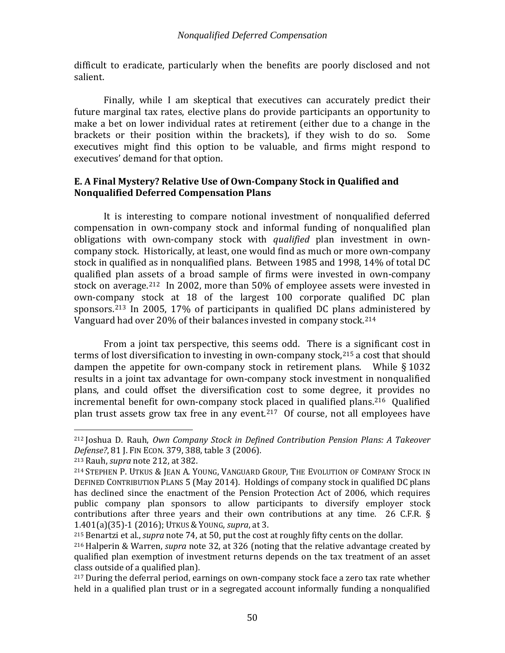difficult to eradicate, particularly when the benefits are poorly disclosed and not salient.

Finally, while I am skeptical that executives can accurately predict their future marginal tax rates, elective plans do provide participants an opportunity to make a bet on lower individual rates at retirement (either due to a change in the brackets or their position within the brackets), if they wish to do so. Some executives might find this option to be valuable, and firms might respond to executives' demand for that option.

# <span id="page-52-0"></span>**E. A Final Mystery? Relative Use of Own-Company Stock in Qualified and Nonqualified Deferred Compensation Plans**

It is interesting to compare notional investment of nonqualified deferred compensation in own-company stock and informal funding of nonqualified plan obligations with own-company stock with *qualified* plan investment in owncompany stock. Historically, at least, one would find as much or more own-company stock in qualified as in nonqualified plans. Between 1985 and 1998, 14% of total DC qualified plan assets of a broad sample of firms were invested in own-company stock on average.[212](#page-52-4) In 2002, more than 50% of employee assets were invested in own-company stock at 18 of the largest 100 corporate qualified DC plan sponsors.[213](#page-52-5) In 2005, 17% of participants in qualified DC plans administered by Vanguard had over 20% of their balances invested in company stock.[214](#page-52-6)

<span id="page-52-3"></span><span id="page-52-1"></span>From a joint tax perspective, this seems odd. There is a significant cost in terms of lost diversification to investing in own-company stock, $215$  a cost that should dampen the appetite for own-company stock in retirement plans. While § 1032 results in a joint tax advantage for own-company stock investment in nonqualified plans, and could offset the diversification cost to some degree, it provides no incremental benefit for own-company stock [pla](#page-52-9)ced in qualified plans.[216](#page-52-8) Qualified plan trust assets grow tax free in any event.<sup>217</sup> Of course, not all employees have

<span id="page-52-4"></span><span id="page-52-2"></span> <sup>212</sup> Joshua D. Rauh, *Own Company Stock in Defined Contribution Pension Plans: A Takeover Defense?*, 81 J. FIN ECON. 379, 388, table 3 (2006).

<span id="page-52-6"></span><span id="page-52-5"></span><sup>213</sup> Rauh, *supra* note [212,](#page-52-1) at 382.

<sup>214</sup> STEPHEN P. UTKUS & JEAN A. YOUNG, VANGUARD GROUP, THE EVOLUTION OF COMPANY STOCK IN DEFINED CONTRIBUTION PLANS 5 (May 2014). Holdings of company stock in qualified DC plans has declined since the enactment of the Pension Protection Act of 2006, which requires public company plan sponsors to allow participants to diversify employer stock contributions after three years and their own contributions at any time. 26 C.F.R. § 1.401(a)(35)-1 (2016); UTKUS & YOUNG, *supra*, at 3.

<span id="page-52-7"></span><sup>215</sup> Benartzi et al., *supra* note [74,](#page-18-7) at 50, put the cost at roughly fifty cents on the dollar.

<span id="page-52-8"></span><sup>216</sup> Halperin & Warren, *supra* note [32,](#page-10-1) at 326 (noting that the relative advantage created by qualified plan exemption of investment returns depends on the tax treatment of an asset class outside of a qualified plan).

<span id="page-52-9"></span><sup>&</sup>lt;sup>217</sup> During the deferral period, earnings on own-company stock face a zero tax rate whether held in a qualified plan trust or in a segregated account informally funding a nonqualified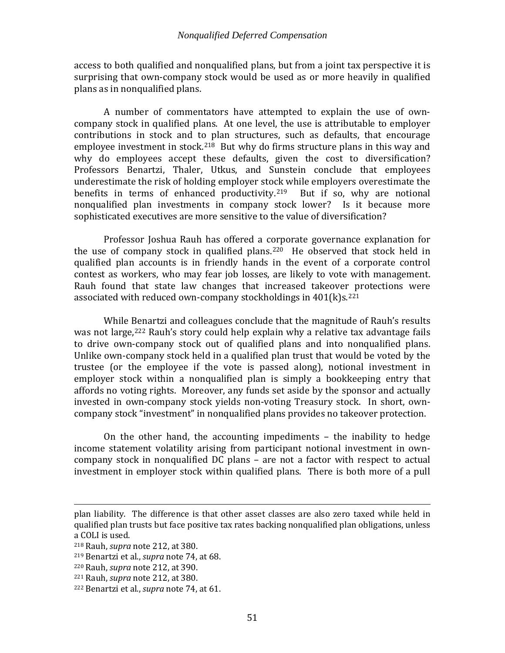access to both qualified and nonqualified plans, but from a joint tax perspective it is surprising that own-company stock would be used as or more heavily in qualified plans as in nonqualified plans.

A number of commentators have attempted to explain the use of owncompany stock in qualified plans. At one level, the use is attributable to employer contributions in stock and to plan structures, such as defaults, that encourage employee investment in stock.<sup>[218](#page-53-0)</sup> But why do firms structure plans in this way and why do employees accept these defaults, given the cost to diversification? Professors Benartzi, Thaler, Utkus, and Sunstein conclude that employees underestimate the risk of holding employer stock while employers overestimate the benefits in terms of enhanced productivity.<sup>219</sup> But if so, why are notional nonqualified plan investments in company stock lower? Is it because more sophisticated executives are more sensitive to the value of diversification?

 Professor Joshua Rauh has offered a corporate governance explanation for the use of company stock in qualified plans.<sup>220</sup> He observed that stock held in qualified plan accounts is in friendly hands in the event of a corporate control contest as workers, who may fear job losses, are likely to vote with management. Rauh found that state law changes that increased takeover protections were associated with reduced own-company stockholdings in  $401(k)s$ .<sup>[221](#page-53-3)</sup>

While Benartzi and colleagues conclude that the magnitude of Rauh's results was not large,<sup>[222](#page-53-4)</sup> Rauh's story could help explain why a relative tax advantage fails to drive own-company stock out of qualified plans and into nonqualified plans. Unlike own-company stock held in a qualified plan trust that would be voted by the trustee (or the employee if the vote is passed along), notional investment in employer stock within a nonqualified plan is simply a bookkeeping entry that affords no voting rights. Moreover, any funds set aside by the sponsor and actually invested in own-company stock yields non-voting Treasury stock. In short, owncompany stock "investment" in nonqualified plans provides no takeover protection.

On the other hand, the accounting impediments – the inability to hedge income statement volatility arising from participant notional investment in owncompany stock in nonqualified DC plans – are not a factor with respect to actual investment in employer stock within qualified plans. There is both more of a pull

I plan liability. The difference is that other asset classes are also zero taxed while held in qualified plan trusts but face positive tax rates backing nonqualified plan obligations, unless a COLI is used.

<span id="page-53-0"></span><sup>218</sup> Rauh, *supra* note [212,](#page-52-1) at 380.

<span id="page-53-1"></span><sup>219</sup> Benartzi et al., *supra* note [74,](#page-18-7) at 68.

<span id="page-53-2"></span><sup>220</sup> Rauh, *supra* note [212,](#page-52-1) at 390.

<span id="page-53-3"></span><sup>221</sup> Rauh, *supra* note [212,](#page-52-1) at 380.

<span id="page-53-4"></span><sup>222</sup> Benartzi et al., *supra* note [74,](#page-18-7) at 61.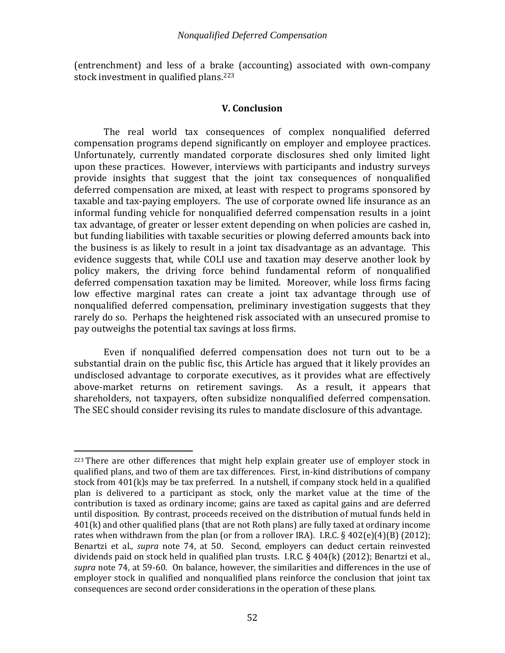<span id="page-54-0"></span>(entrenchment) and less of a brake (accounting) associated with own-company stock investment in qualified plans.<sup>[223](#page-54-2)</sup>

# <span id="page-54-1"></span>**V. Conclusion**

The real world tax consequences of complex nonqualified deferred compensation programs depend significantly on employer and employee practices. Unfortunately, currently mandated corporate disclosures shed only limited light upon these practices. However, interviews with participants and industry surveys provide insights that suggest that the joint tax consequences of nonqualified deferred compensation are mixed, at least with respect to programs sponsored by taxable and tax-paying employers. The use of corporate owned life insurance as an informal funding vehicle for nonqualified deferred compensation results in a joint tax advantage, of greater or lesser extent depending on when policies are cashed in, but funding liabilities with taxable securities or plowing deferred amounts back into the business is as likely to result in a joint tax disadvantage as an advantage. This evidence suggests that, while COLI use and taxation may deserve another look by policy makers, the driving force behind fundamental reform of nonqualified deferred compensation taxation may be limited. Moreover, while loss firms facing low effective marginal rates can create a joint tax advantage through use of nonqualified deferred compensation, preliminary investigation suggests that they rarely do so. Perhaps the heightened risk associated with an unsecured promise to pay outweighs the potential tax savings at loss firms.

Even if nonqualified deferred compensation does not turn out to be a substantial drain on the public fisc, this Article has argued that it likely provides an undisclosed advantage to corporate executives, as it provides what are effectively above-market returns on retirement savings. shareholders, not taxpayers, often subsidize nonqualified deferred compensation. The SEC should consider revising its rules to mandate disclosure of this advantage.

<span id="page-54-2"></span> $223$  There are other differences that might help explain greater use of employer stock in qualified plans, and two of them are tax differences. First, in-kind distributions of company stock from 401(k)s may be tax preferred. In a nutshell, if company stock held in a qualified plan is delivered to a participant as stock, only the market value at the time of the contribution is taxed as ordinary income; gains are taxed as capital gains and are deferred until disposition. By contrast, proceeds received on the distribution of mutual funds held in 401(k) and other qualified plans (that are not Roth plans) are fully taxed at ordinary income rates when withdrawn from the plan (or from a rollover IRA). I.R.C.  $\S 402(e)(4)(B)(2012)$ ; Benartzi et al., *supra* note [74,](#page-18-7) at 50. Second, employers can deduct certain reinvested dividends paid on stock held in qualified plan trusts. I.R.C. § 404(k) (2012); Benartzi et al., *supra* note [74,](#page-18-7) at 59-60. On balance, however, the similarities and differences in the use of employer stock in qualified and nonqualified plans reinforce the conclusion that joint tax consequences are second order considerations in the operation of these plans.